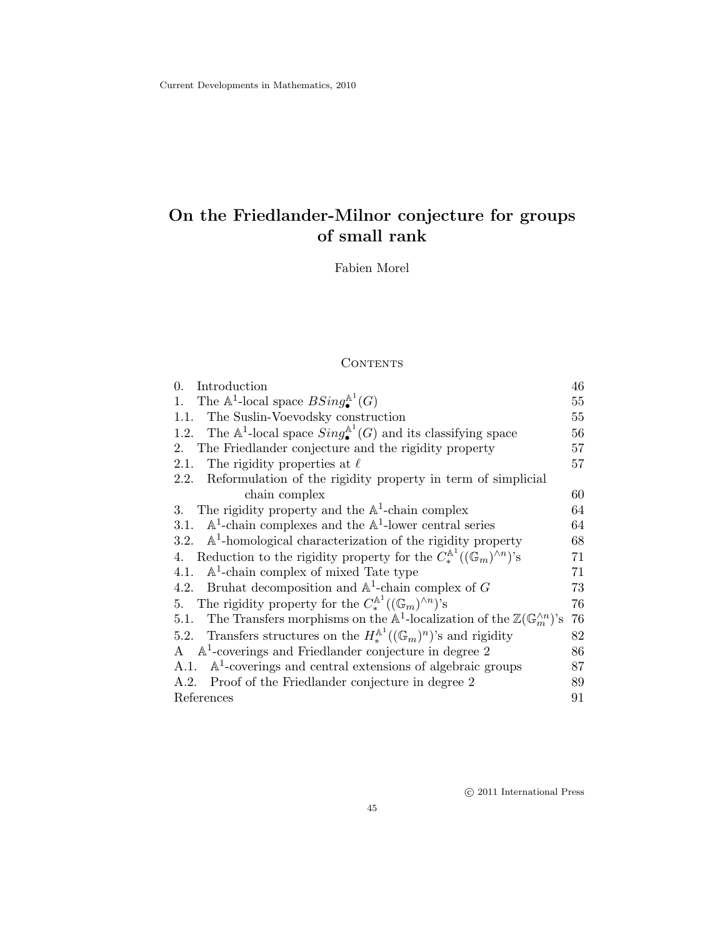## **On the Friedlander-Milnor conjecture for groups of small rank**

Fabien Morel

## CONTENTS

| Introduction<br>$\Omega$ .                                                                                          | 46 |
|---------------------------------------------------------------------------------------------------------------------|----|
| The $\mathbb{A}^1$ -local space $BSing_{\bullet}^{\mathbb{A}^1}(G)$<br>1.                                           | 55 |
| The Suslin-Voevodsky construction<br>1.1.                                                                           | 55 |
| 1.2. The $\mathbb{A}^1$ -local space $Sing_{\bullet}^{\mathbb{A}^1}(G)$ and its classifying space                   | 56 |
| The Friedlander conjecture and the rigidity property<br>$2_{-}$                                                     | 57 |
| The rigidity properties at $\ell$<br>2.1.                                                                           | 57 |
| Reformulation of the rigidity property in term of simplicial<br>2.2.                                                |    |
| chain complex                                                                                                       | 60 |
| The rigidity property and the $\mathbb{A}^1$ -chain complex<br>3.                                                   | 64 |
| $\mathbb{A}^1$ -chain complexes and the $\mathbb{A}^1$ -lower central series<br>3.1.                                | 64 |
| $\mathbb{A}^1$ -homological characterization of the rigidity property<br>3.2.                                       | 68 |
| Reduction to the rigidity property for the $C_*^{\mathbb{A}^1}((\mathbb{G}_m)^{\wedge n})$ 's<br>4.                 | 71 |
| $\mathbb{A}^1$ -chain complex of mixed Tate type<br>4.1.                                                            | 71 |
| 4.2. Bruhat decomposition and $\mathbb{A}^1$ -chain complex of G                                                    | 73 |
| 5. The rigidity property for the $C_*^{\mathbb{A}^1}((\mathbb{G}_m)^{\wedge n})$ 's                                 | 76 |
| The Transfers morphisms on the $\mathbb{A}^1$ -localization of the $\mathbb{Z}(\mathbb{G}_m^{\wedge n})$ 's<br>5.1. | 76 |
| Transfers structures on the $H_*^{\mathbb{A}^1}((\mathbb{G}_m)^n)$ 's and rigidity<br>5.2.                          | 82 |
| $\mathbb{A}^1$ -coverings and Friedlander conjecture in degree 2<br>A                                               | 86 |
| $\mathbb{A}^1$ -coverings and central extensions of algebraic groups<br>A.1.                                        | 87 |
| A.2. Proof of the Friedlander conjecture in degree 2                                                                | 89 |
| References                                                                                                          | 91 |

c 2011 International Press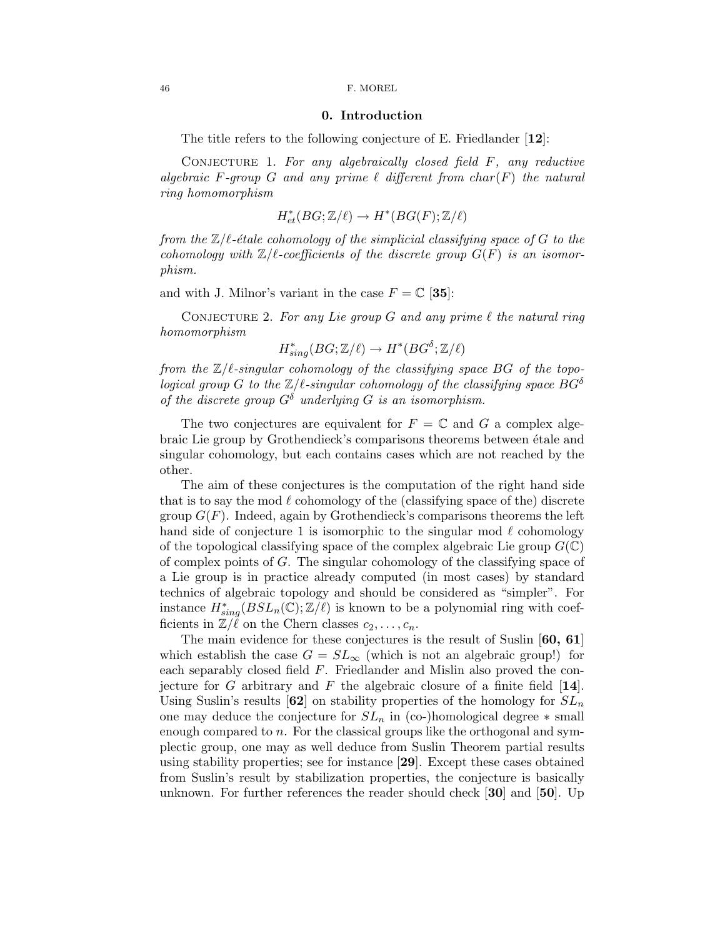## **0. Introduction**

The title refers to the following conjecture of E. Friedlander [**12**]:

Conjecture 1. *For any algebraically closed field* F*, any reductive*  $algebraic$  F-group G and any prime  $\ell$  different from  $char(F)$  the natural *ring homomorphism*

$$
H_{et}^*(BG; \mathbb{Z}/\ell) \to H^*(BG(F); \mathbb{Z}/\ell)
$$

*from the*  $\mathbb{Z}/\ell$ -étale cohomology of the simplicial classifying space of G to the *cohomology with*  $\mathbb{Z}/\ell$ -coefficients of the discrete group  $G(F)$  is an isomor*phism.*

and with J. Milnor's variant in the case  $F = \mathbb{C}$  [35]:

CONJECTURE 2. For any Lie group  $G$  and any prime  $\ell$  the natural ring *homomorphism*

$$
H^*_{sing}(BG; \mathbb{Z}/\ell) \to H^*(BG^\delta; \mathbb{Z}/\ell)
$$

*from the*  $\mathbb{Z}/\ell$ -singular cohomology of the classifying space BG of the topo $logical~group~G~to~the~\mathbb{Z}/\ell\text{-}singular~cohomology~of~the~classifying~space~BG^{\delta}$ *of the discrete group*  $G^{\delta}$  *underlying*  $G$  *is an isomorphism.* 

The two conjectures are equivalent for  $F = \mathbb{C}$  and G a complex algebraic Lie group by Grothendieck's comparisons theorems between  $\acute{e}$ tale and singular cohomology, but each contains cases which are not reached by the other.

The aim of these conjectures is the computation of the right hand side that is to say the mod  $\ell$  cohomology of the (classifying space of the) discrete group  $G(F)$ . Indeed, again by Grothendieck's comparisons theorems the left hand side of conjecture 1 is isomorphic to the singular mod  $\ell$  cohomology of the topological classifying space of the complex algebraic Lie group  $G(\mathbb{C})$ of complex points of G. The singular cohomology of the classifying space of a Lie group is in practice already computed (in most cases) by standard technics of algebraic topology and should be considered as "simpler". For instance  $H^*_{sing}(BSL_n(\mathbb{C}); \mathbb{Z}/\ell)$  is known to be a polynomial ring with coef-<br>figures in  $\mathbb{Z}/\ell$  on the Chern classes  $\ell$ ficients in  $\mathbb{Z}/\ell$  on the Chern classes  $c_2, \ldots, c_n$ .<br>The main evidence for these conjectures is

The main evidence for these conjectures is the result of Suslin [**60, 61**] which establish the case  $G = SL_{\infty}$  (which is not an algebraic group!) for each separably closed field F. Friedlander and Mislin also proved the conjecture for G arbitrary and F the algebraic closure of a finite field [**14**]. Using Suslin's results  $[62]$  on stability properties of the homology for  $SL_n$ one may deduce the conjecture for  $SL_n$  in (co-)homological degree  $*$  small enough compared to  $n$ . For the classical groups like the orthogonal and symplectic group, one may as well deduce from Suslin Theorem partial results using stability properties; see for instance [**29**]. Except these cases obtained from Suslin's result by stabilization properties, the conjecture is basically unknown. For further references the reader should check [**30**] and [**50**]. Up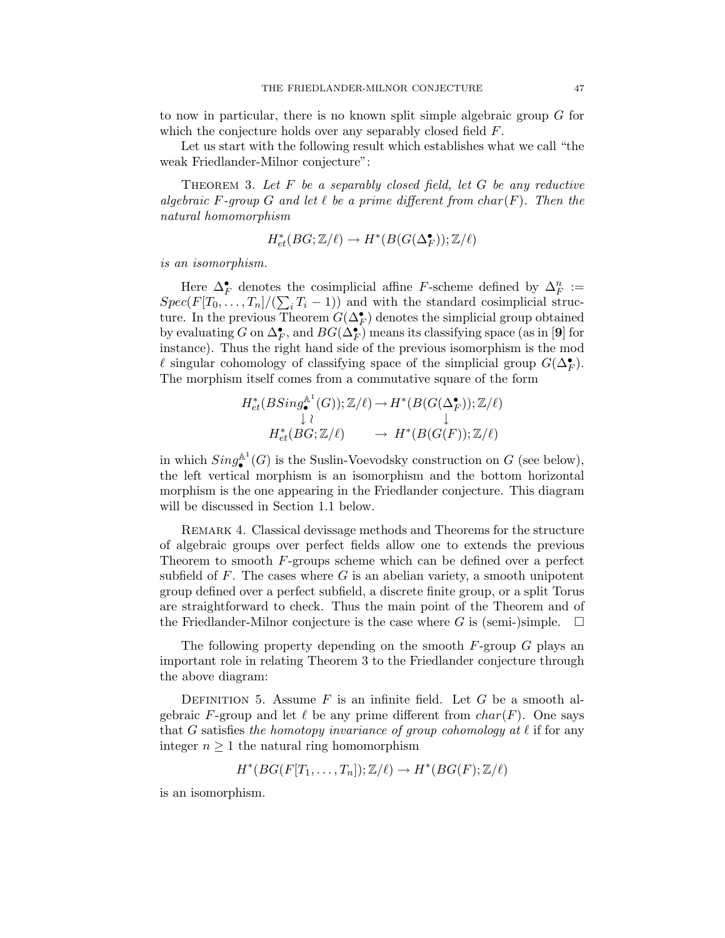to now in particular, there is no known split simple algebraic group G for which the conjecture holds over any separably closed field  $F$ .

Let us start with the following result which establishes what we call "the weak Friedlander-Milnor conjecture":

Theorem 3. *Let* F *be a separably closed field, let* G *be any reductive*  $algebraic$  F-group G and let  $\ell$  be a prime different from  $char(F)$ . Then the *natural homomorphism*

$$
H_{et}^*(BG; \mathbb{Z}/\ell) \to H^*(B(G(\Delta_F^{\bullet})); \mathbb{Z}/\ell)
$$

*is an isomorphism.*

Here  $\Delta_F^{\bullet}$  denotes the cosimplicial affine *F*-scheme defined by  $\Delta_F^n :=$ <br> $c(F[T_0 \ T_1]/(\sum T_1 - 1))$  and with the standard cosimplicial struc- $Spec(F[T_0, \ldots, T_n]/(\sum_i T_i - 1))$  and with the standard cosimplicial structure. In the previous Theorem  $G(\Lambda^{\bullet})$  denotes the simplicial group obtained ture. In the previous Theorem  $G(\Delta_F^{\bullet})$  denotes the simplicial group obtained<br>by evaluating  $G$  on  $\Delta_{\bullet}^{\bullet}$  and  $BG(\Delta_{\bullet}^{\bullet})$  means its classifying space (as in [9] for by evaluating  $G$  on  $\Delta_F^{\bullet}$ , and  $BG(\Delta_F^{\bullet})$  means its classifying space (as in [9] for<br>instance). Thus the right hand side of the previous isomorphism is the mod instance). Thus the right hand side of the previous isomorphism is the mod  $\ell$  singular cohomology of classifying space of the simplicial group  $G(\Delta_F^{\bullet})$ .<br>The morphism itself comes from a commutative square of the form The morphism itself comes from a commutative square of the form

$$
H_{et}^*(BSing_{\bullet}^{\mathbb{A}^1}(G)); \mathbb{Z}/\ell) \to H^*(B(G(\Delta_F^{\bullet})); \mathbb{Z}/\ell)
$$
  
\n
$$
\downarrow \wr \qquad \qquad \downarrow
$$
  
\n
$$
H_{et}^*(BG; \mathbb{Z}/\ell) \qquad \to H^*(B(G(F)); \mathbb{Z}/\ell)
$$

in which  $Sing_{\bullet}^{\mathbb{A}^1}(G)$  is the Suslin-Voevodsky construction on G (see below), the left vertical morphism is an isomorphism and the bottom horizontal morphism is the one appearing in the Friedlander conjecture. This diagram will be discussed in Section 1.1 below.

Remark 4. Classical devissage methods and Theorems for the structure of algebraic groups over perfect fields allow one to extends the previous Theorem to smooth F-groups scheme which can be defined over a perfect subfield of  $F$ . The cases where  $G$  is an abelian variety, a smooth unipotent group defined over a perfect subfield, a discrete finite group, or a split Torus are straightforward to check. Thus the main point of the Theorem and of the Friedlander-Milnor conjecture is the case where  $G$  is (semi-)simple.

The following property depending on the smooth  $F$ -group  $G$  plays an important role in relating Theorem 3 to the Friedlander conjecture through the above diagram:

DEFINITION 5. Assume F is an infinite field. Let G be a smooth algebraic F-group and let  $\ell$  be any prime different from  $char(F)$ . One says that  $G$  satisfies the homotopy invariance of group cohomology at  $\ell$  if for any integer  $n \geq 1$  the natural ring homomorphism

$$
H^*(BG(F[T_1,\ldots,T_n]);\mathbb{Z}/\ell)\to H^*(BG(F);\mathbb{Z}/\ell)
$$

is an isomorphism.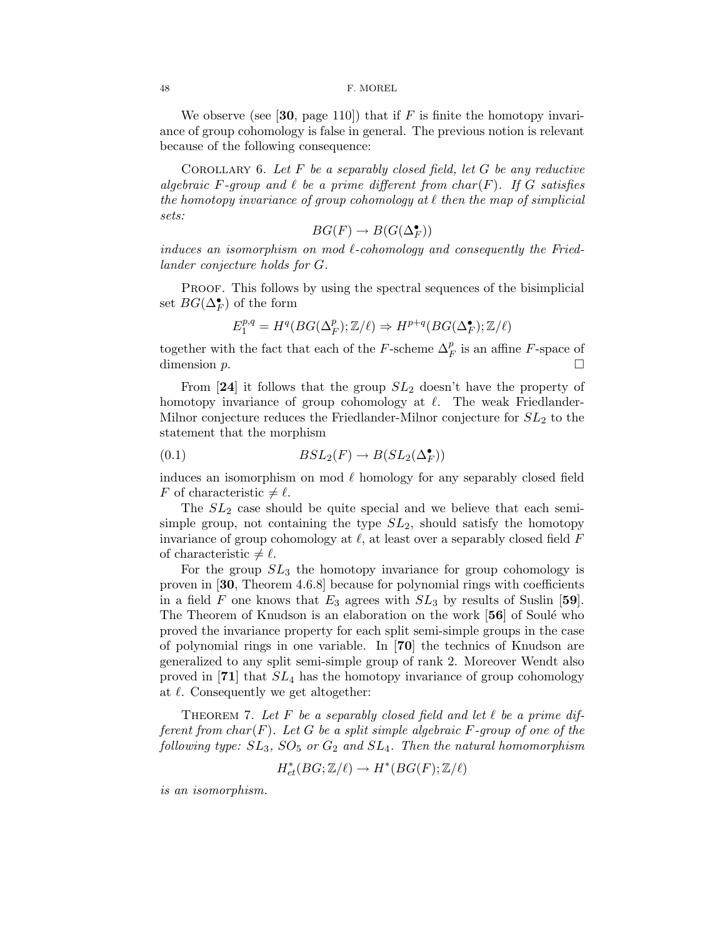We observe (see  $[30, \text{page 110}]$ ) that if F is finite the homotopy invariance of group cohomology is false in general. The previous notion is relevant because of the following consequence:

Corollary 6. *Let* F *be a separably closed field, let* G *be any reductive*  $algebraic$  F-group and  $\ell$  be a prime different from  $char(F)$ . If G satisfies  $the \ homotopy \ invariance \ of \ group \ cohomology \ at \ \ell \ then \ the \ map \ of \ simplicial$ *sets:*

$$
BG(F) \to B(G(\Delta_F^{\bullet}))
$$

 $BG(F) \to B(G(\Delta_F^{\bullet}))$ <br>induces an isomorphism on mod  $\ell$ -cohomology and consequently the Fried*lander conjecture holds for* G*.*

PROOF. This follows by using the spectral sequences of the bisimplicial set  $BG(\Delta_F^{\bullet})$  of the form

$$
E_1^{p,q} = H^q(BG(\Delta_F^p); \mathbb{Z}/\ell) \Rightarrow H^{p+q}(BG(\Delta_F^{\bullet}); \mathbb{Z}/\ell)
$$

together with the fact that each of the F-scheme  $\Delta_F^p$  is an affine F-space of dimension n dimension  $p$ .

From [24] it follows that the group  $SL_2$  doesn't have the property of homotopy invariance of group cohomology at  $\ell$ . The weak Friedlander-Milnor conjecture reduces the Friedlander-Milnor conjecture for  $SL<sub>2</sub>$  to the statement that the morphism

(0.1) 
$$
BSL_2(F) \to B(SL_2(\Delta_F^{\bullet}))
$$

induces an isomorphism on mod  $\ell$  homology for any separably closed field F of characteristic  $\neq \ell$ .

The  $SL_2$  case should be quite special and we believe that each semisimple group, not containing the type  $SL_2$ , should satisfy the homotopy invariance of group cohomology at  $\ell$ , at least over a separably closed field  $F$ of characteristic  $\neq \ell$ .

For the group  $SL_3$  the homotopy invariance for group cohomology is proven in [**30**, Theorem 4.6.8] because for polynomial rings with coefficients in a field F one knows that  $E_3$  agrees with  $SL_3$  by results of Suslin [59]. The Theorem of Knudson is an elaboration on the work [56] of Soulé who proved the invariance property for each split semi-simple groups in the case of polynomial rings in one variable. In [**70**] the technics of Knudson are generalized to any split semi-simple group of rank 2. Moreover Wendt also proved in [**71**] that SL<sup>4</sup> has the homotopy invariance of group cohomology at  $\ell$ . Consequently we get altogether:

THEOREM 7. Let  $F$  be a separably closed field and let  $\ell$  be a prime dif*ferent from* char(F)*. Let* G *be a split simple algebraic* F*-group of one of the following type:* SL3*,* SO<sup>5</sup> *or* G<sup>2</sup> *and* SL4*. Then the natural homomorphism*

$$
H_{et}^*(BG; \mathbb{Z}/\ell) \to H^*(BG(F); \mathbb{Z}/\ell)
$$

*is an isomorphism.*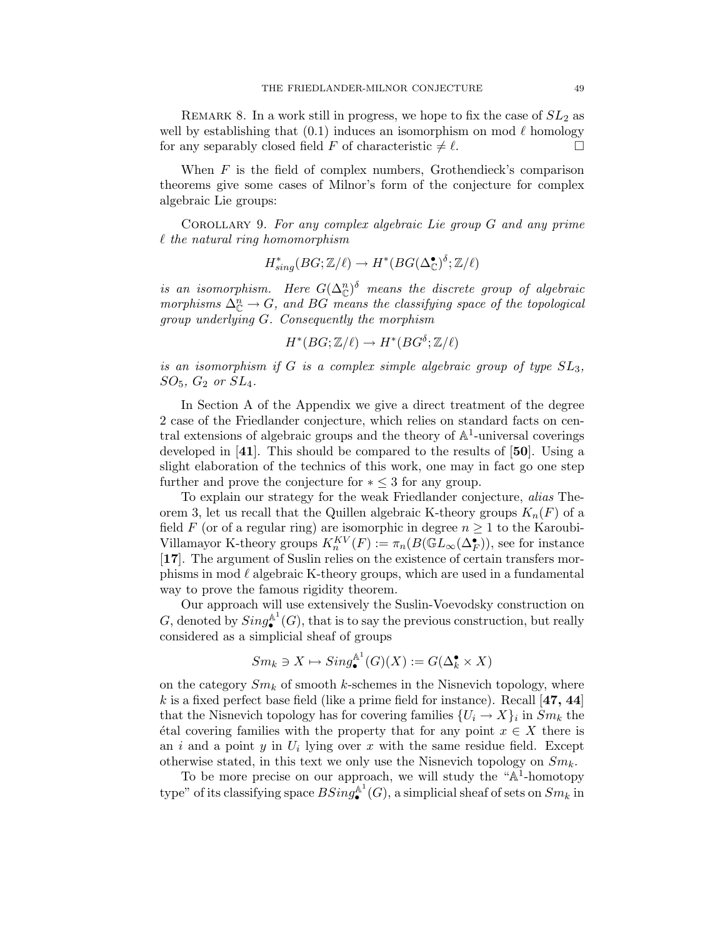REMARK 8. In a work still in progress, we hope to fix the case of  $SL_2$  as well by establishing that  $(0.1)$  induces an isomorphism on mod  $\ell$  homology for any separably closed field F of characteristic  $\neq \ell$ . .  $\Box$ 

When  $F$  is the field of complex numbers, Grothendieck's comparison theorems give some cases of Milnor's form of the conjecture for complex algebraic Lie groups:

Corollary 9. *For any complex algebraic Lie group* G *and any prime* - *the natural ring homomorphism*

$$
H^*_{sing}(BG; \mathbb{Z}/\ell) \to H^*(BG(\Delta^{\bullet}_{\mathbb{C}})^{\delta}; \mathbb{Z}/\ell)
$$

*is an isomorphism.* Here  $G(\Delta^n_{\mathbb{C}})^{\delta}$  *means the discrete group of algebraic*  $morphisms \Delta^n_{\mathbb{C}} \to G$ , and BG means the classifying space of the topological *group underlying* G*. Consequently the morphism*

$$
H^*(BG; \mathbb{Z}/\ell) \to H^*(BG^{\delta}; \mathbb{Z}/\ell)
$$

*is an isomorphism if* G *is a complex simple algebraic group of type* SL3*,* SO5*,* G<sup>2</sup> *or* SL4*.*

In Section A of the Appendix we give a direct treatment of the degree 2 case of the Friedlander conjecture, which relies on standard facts on central extensions of algebraic groups and the theory of  $\mathbb{A}^1$ -universal coverings developed in [**41**]. This should be compared to the results of [**50**]. Using a slight elaboration of the technics of this work, one may in fact go one step further and prove the conjecture for  $* \leq 3$  for any group.

To explain our strategy for the weak Friedlander conjecture, *alias* Theorem 3, let us recall that the Quillen algebraic K-theory groups  $K_n(F)$  of a field F (or of a regular ring) are isomorphic in degree  $n \geq 1$  to the Karoubi-Villamayor K-theory groups  $K_n^{KV}(F) := \pi_n(B(\mathbb{G}L_\infty(\Delta_F^{\bullet})))$ , see for instance [17] The argument of Suslin relies on the existence of certain transfers mor-[**17**]. The argument of Suslin relies on the existence of certain transfers morphisms in mod  $\ell$  algebraic K-theory groups, which are used in a fundamental way to prove the famous rigidity theorem.

Our approach will use extensively the Suslin-Voevodsky construction on G, denoted by  $Sing_{\bullet}^{{\mathbb A}^1}(G)$ , that is to say the previous construction, but really considered as a simplicial sheaf of groups

$$
Sm_k \ni X \mapsto Sing^{\mathbb{A}^1}_{\bullet}(G)(X) := G(\Delta_k^{\bullet} \times X)
$$

on the category  $Sm_k$  of smooth k-schemes in the Nisnevich topology, where k is a fixed perfect base field (like a prime field for instance). Recall [**47, 44**] that the Nisnevich topology has for covering families  ${U_i \rightarrow X}_i$  in  $Sm_k$  the  $\forall$  etal covering families with the property that for any point  $x \in X$  there is an i and a point y in  $U_i$  lying over x with the same residue field. Except otherwise stated, in this text we only use the Nisnevich topology on  $Sm_k$ .

To be more precise on our approach, we will study the " $A<sup>1</sup>$ -homotopy type" of its classifying space  $BSing_{\bullet}^{\mathbb{A}^1}(G)$ , a simplicial sheaf of sets on  $Sm_k$  in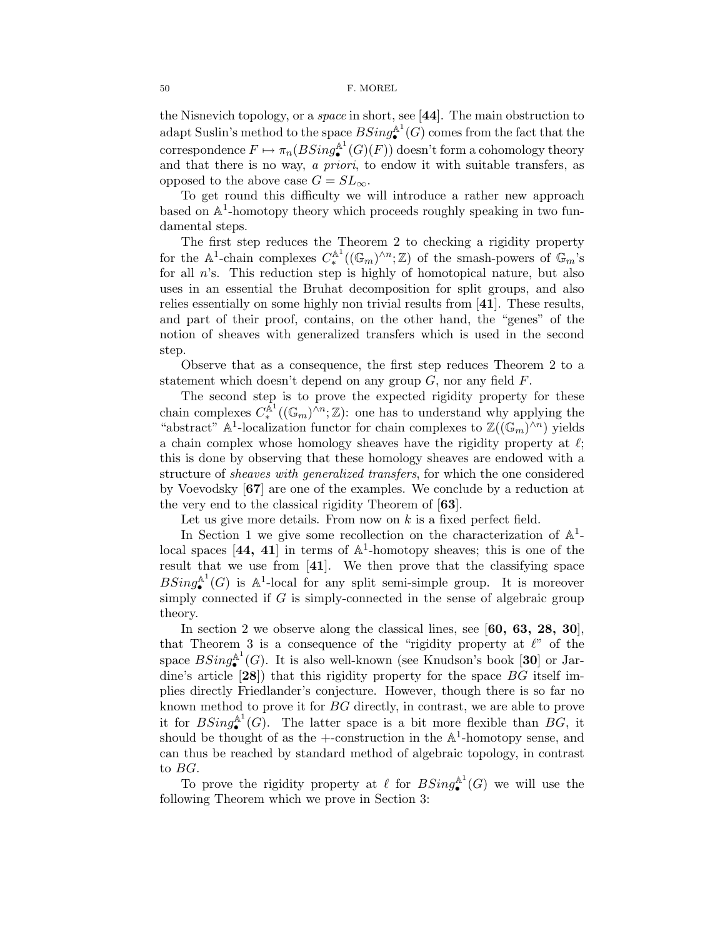the Nisnevich topology, or a *space* in short, see [**44**]. The main obstruction to adapt Suslin's method to the space  $BSing_{\bullet}^{\mathbb{A}^1}(G)$  comes from the fact that the correspondence  $F \mapsto \pi_n(BSing_{\bullet}^{\mathbb{A}^1}(G)(F))$  doesn't form a cohomology theory<br>and that there is no way, a grieri, to order it with suitable transfers, as and that there is no way, *a priori*, to endow it with suitable transfers, as opposed to the above case  $G = SL_{\infty}$ .

To get round this difficulty we will introduce a rather new approach based on  $\mathbb{A}^1$ -homotopy theory which proceeds roughly speaking in two fundamental steps.

The first step reduces the Theorem 2 to checking a rigidity property for the  $\mathbb{A}^1$ -chain complexes  $C^{\mathbb{A}^1}((\mathbb{G}_m)^{\wedge n};\mathbb{Z})$  of the smash-powers of  $\mathbb{G}_m$ 's<br>for all  $\mathbb{R}^n$ . This reduction stap is highly of homotopical pature, but also for all  $n$ 's. This reduction step is highly of homotopical nature, but also uses in an essential the Bruhat decomposition for split groups, and also relies essentially on some highly non trivial results from [**41**]. These results, and part of their proof, contains, on the other hand, the "genes" of the notion of sheaves with generalized transfers which is used in the second step.

Observe that as a consequence, the first step reduces Theorem 2 to a statement which doesn't depend on any group  $G$ , nor any field  $F$ .

The second step is to prove the expected rigidity property for these chain complexes  $C_*^{\mathbb{A}^1}((\mathbb{G}_m)^{\wedge n};\mathbb{Z})$ : one has to understand why applying the "obstract"  $\mathbb{A}^1$  localization functor for chain complexes to  $\mathbb{Z}((\mathbb{C}^m)^{\wedge n})$  violds "abstract"  $\mathbb{A}^1$ -localization functor for chain complexes to  $\mathbb{Z}((\mathbb{G}_m)^{\wedge n})$  yields a chain complex whose homology sheaves have the rigidity property at  $\ell$ ; this is done by observing that these homology sheaves are endowed with a structure of *sheaves with generalized transfers*, for which the one considered by Voevodsky [**67**] are one of the examples. We conclude by a reduction at the very end to the classical rigidity Theorem of [**63**].

Let us give more details. From now on  $k$  is a fixed perfect field.

In Section 1 we give some recollection on the characterization of  $\mathbb{A}^1$ local spaces  $[44, 41]$  in terms of  $\mathbb{A}^1$ -homotopy sheaves; this is one of the result that we use from [**41**]. We then prove that the classifying space  $BSing_{\bullet}^{\mathbb{A}^1}(G)$  is  $\mathbb{A}^1$ -local for any split semi-simple group. It is moreover simply connected if  $G$  is simply-connected in the sense of algebraic group theory.

In section 2 we observe along the classical lines, see [**60, 63, 28, 30**], that Theorem 3 is a consequence of the "rigidity property at  $\ell$ " of the space  $BSing_{\bullet}^{\mathbb{A}^1}(G)$ . It is also well-known (see Knudson's book [30] or Jardine's article [**28**]) that this rigidity property for the space BG itself implies directly Friedlander's conjecture. However, though there is so far no known method to prove it for BG directly, in contrast, we are able to prove it for  $BSing_{\bullet}^{\mathbb{A}^1}(G)$ . The latter space is a bit more flexible than  $BG$ , it should be thought of as the  $+$ -construction in the  $\mathbb{A}^1$ -homotopy sense, and can thus be reached by standard method of algebraic topology, in contrast to BG.

To prove the rigidity property at  $\ell$  for  $BSing_{\bullet}^{\mathbb{A}^1}(G)$  we will use the following Theorem which we prove in Section 3: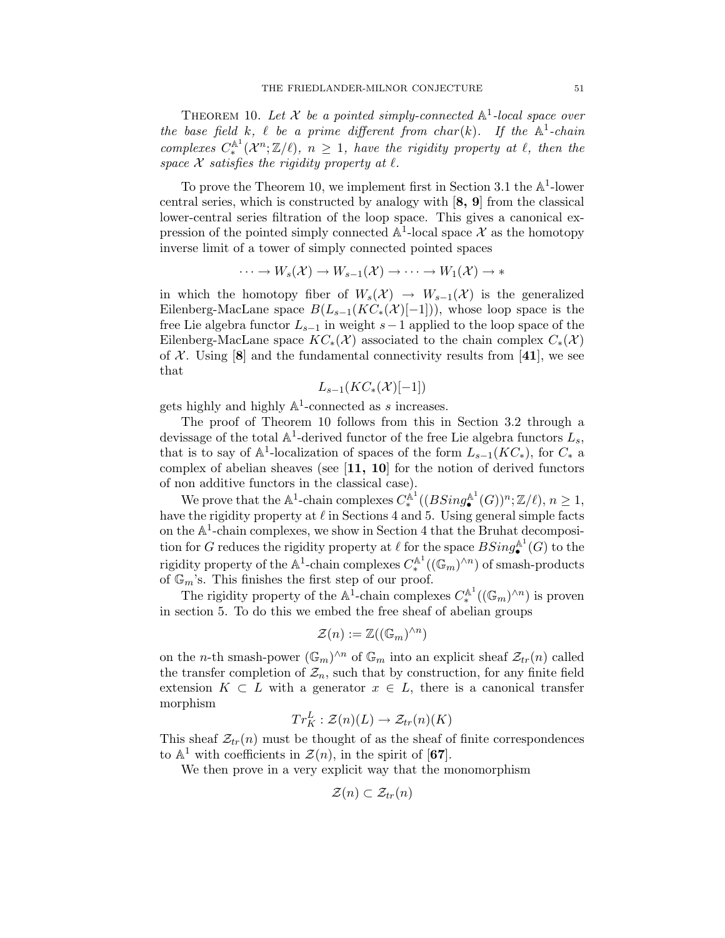THEOREM 10. Let  $\mathcal X$  be a pointed simply-connected  $\mathbb A^1$ -local space over *the base field*  $k$ ,  $\ell$  *be a prime different from char(k). If the*  $\mathbb{A}^1$ -chain *complexes*  $C^{\mathbb{A}^1}_*(\mathcal{X}^n;\mathbb{Z}/\ell), n \geq 1$ , have the rigidity property at  $\ell$ , then the space  $X$  satisfies the rigidity property at  $\ell$ .

To prove the Theorem 10, we implement first in Section 3.1 the  $\mathbb{A}^1$ -lower central series, which is constructed by analogy with [**8, 9**] from the classical lower-central series filtration of the loop space. This gives a canonical expression of the pointed simply connected  $\mathbb{A}^1$ -local space X as the homotopy inverse limit of a tower of simply connected pointed spaces

$$
\cdots \to W_s(\mathcal{X}) \to W_{s-1}(\mathcal{X}) \to \cdots \to W_1(\mathcal{X}) \to *
$$

in which the homotopy fiber of  $W_s(\mathcal{X}) \to W_{s-1}(\mathcal{X})$  is the generalized Eilenberg-MacLane space  $B(L_{s-1}(KC_*(\mathcal{X})[-1]))$ , whose loop space is the free Lie algebra functor  $L_{s-1}$  in weight  $s-1$  applied to the loop space of the Eilenberg-MacLane space  $KC_*(\mathcal{X})$  associated to the chain complex  $C_*(\mathcal{X})$ of  $X$ . Using [8] and the fundamental connectivity results from [41], we see that

$$
L_{s-1}(KC_*(\mathcal{X})[-1])
$$

gets highly and highly  $\mathbb{A}^1$ -connected as s increases.

The proof of Theorem 10 follows from this in Section 3.2 through a devissage of the total  $\mathbb{A}^1$ -derived functor of the free Lie algebra functors  $L_s$ , that is to say of  $\mathbb{A}^1$ -localization of spaces of the form  $L_{s-1}(KC_*)$ , for  $C_*$  a complex of abelian sheaves (see [**11, 10**] for the notion of derived functors of non additive functors in the classical case).

We prove that the  $\mathbb{A}^1$ -chain complexes  $C^{\mathbb{A}^1}_*((BSing_{\bullet}^{\mathbb{A}^1}(G))^n;\mathbb{Z}/\ell), n \geq 1$ , have the rigidity property at  $\ell$  in Sections 4 and 5. Using general simple facts on the  $\mathbb{A}^1$ -chain complexes, we show in Section 4 that the Bruhat decomposition for G reduces the rigidity property at  $\ell$  for the space  $BSing_{\bullet}^{\mathbb{A}^1}(G)$  to the rigidity property of the A<sup>1</sup>-chain complexes  $C_*^{\mathbb{A}^1}((\mathbb{G}_m)^{\wedge n})$  of smash-products of  $\mathbb{C}^{\mathbb{A}^1}$ . of  $\mathbb{G}_m$ 's. This finishes the first step of our proof.

The rigidity property of the  $\mathbb{A}^1$ -chain complexes  $C^{\mathbb{A}^1}((\mathbb{G}_m)^{\wedge n})$  is proven<br>estime 5. To do this we embed the free shoot of abelian groups in section 5. To do this we embed the free sheaf of abelian groups

$$
\mathcal{Z}(n) := \mathbb{Z}((\mathbb{G}_m)^{\wedge n})
$$

on the *n*-th smash-power  $(\mathbb{G}_m)^{\wedge n}$  of  $\mathbb{G}_m$  into an explicit sheaf  $\mathcal{Z}_{tr}(n)$  called the transfer completion of  $\mathcal{Z}_n$ , such that by construction, for any finite field extension  $K \subset L$  with a generator  $x \in L$ , there is a canonical transfer morphism

$$
Tr_K^L: \mathcal{Z}(n)(L) \to \mathcal{Z}_{tr}(n)(K)
$$

This sheaf  $\mathcal{Z}_{tr}(n)$  must be thought of as the sheaf of finite correspondences to  $\mathbb{A}^1$  with coefficients in  $\mathcal{Z}(n)$ , in the spirit of [67].

We then prove in a very explicit way that the monomorphism

$$
\mathcal{Z}(n)\subset \mathcal{Z}_{tr}(n)
$$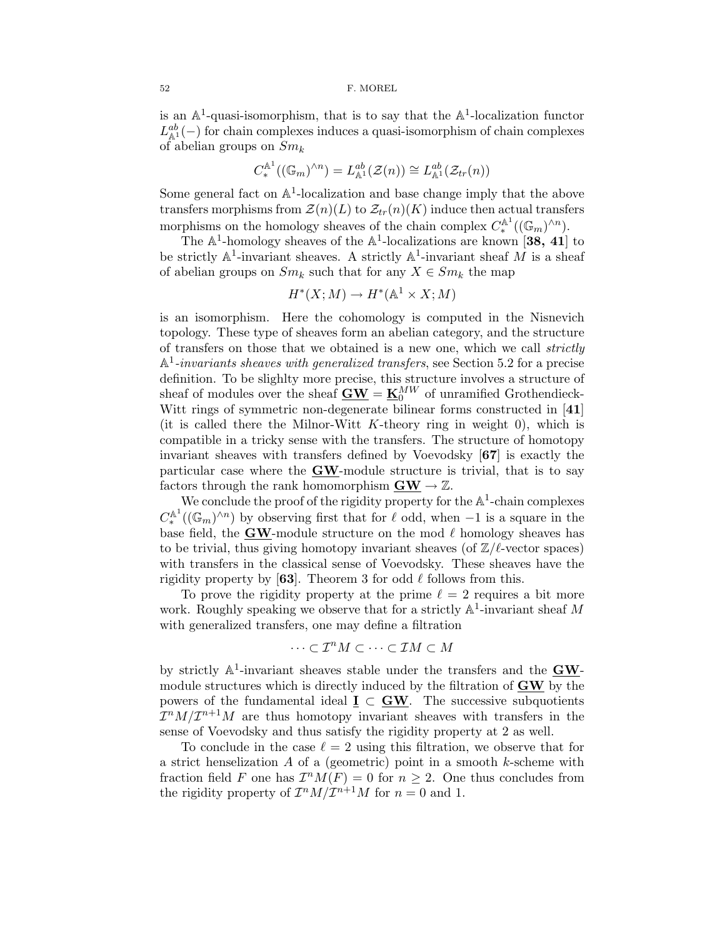is an  $\mathbb{A}^1$ -quasi-isomorphism, that is to say that the  $\mathbb{A}^1$ -localization functor  $L_{\mathbb{A}^1}^{ab}(-)$  for chain complexes induces a quasi-isomorphism of chain complexes of abelian groups on  $Sm_k$ 

$$
C_*^{\mathbb{A}^1}((\mathbb{G}_m)^{\wedge n}) = L_{\mathbb{A}^1}^{ab}(\mathcal{Z}(n)) \cong L_{\mathbb{A}^1}^{ab}(\mathcal{Z}_{tr}(n))
$$

Some general fact on  $A^1$ -localization and base change imply that the above transfers morphisms from  $\mathcal{Z}(n)(L)$  to  $\mathcal{Z}_{tr}(n)(K)$  induce then actual transfers morphisms on the homology sheaves of the chain complex  $C_{*}^{\mathbb{A}^1}((\mathbb{G}_m)^{\wedge n})$ .<br>The  $\mathbb{A}^1$  homology sheaves of the  $\mathbb{A}^1$  logalizations are known [28, 41]

The  $\mathbb{A}^1$ -homology sheaves of the  $\mathbb{A}^1$ -localizations are known [38, 41] to be strictly  $\mathbb{A}^1$ -invariant sheaves. A strictly  $\mathbb{A}^1$ -invariant sheaf M is a sheaf of abelian groups on  $Sm_k$  such that for any  $X \in Sm_k$  the map

$$
H^*(X;M) \to H^*(\mathbb{A}^1 \times X;M)
$$

is an isomorphism. Here the cohomology is computed in the Nisnevich topology. These type of sheaves form an abelian category, and the structure of transfers on those that we obtained is a new one, which we call *strictly* A1*-invariants sheaves with generalized transfers*, see Section 5.2 for a precise definition. To be slighlty more precise, this structure involves a structure of sheaf of modules over the sheaf  $\underline{GW} = \underline{K}_0^{MW}$  of unramified Grothendieck-Witt rings of symmetric non-degenerate bilinear forms constructed in [**41**] (it is called there the Milnor-Witt K-theory ring in weight 0), which is compatible in a tricky sense with the transfers. The structure of homotopy invariant sheaves with transfers defined by Voevodsky [**67**] is exactly the particular case where the **GW**-module structure is trivial, that is to say factors through the rank homomorphism  $\text{GW} \to \mathbb{Z}$ .

We conclude the proof of the rigidity property for the  $\mathbb{A}^1$ -chain complexes  $C_*^{\mathbb{A}^1}((\mathbb{G}_m)^{\wedge n})$  by observing first that for  $\ell$  odd, when −1 is a square in the base field, the  $\mathbf{GW}$ -module structure on the mod  $\ell$  homology sheaves has to be trivial, thus giving homotopy invariant sheaves (of  $\mathbb{Z}/\ell$ -vector spaces) with transfers in the classical sense of Voevodsky. These sheaves have the rigidity property by [63]. Theorem 3 for odd  $\ell$  follows from this.

To prove the rigidity property at the prime  $\ell = 2$  requires a bit more work. Roughly speaking we observe that for a strictly  $\mathbb{A}^1$ -invariant sheaf M with generalized transfers, one may define a filtration

$$
\cdots \subset \mathcal{I}^n M \subset \cdots \subset \mathcal{I}M \subset M
$$

by strictly  $A^1$ -invariant sheaves stable under the transfers and the **GW**module structures which is directly induced by the filtration of **GW** by the powers of the fundamental ideal  $I \subset \underline{GW}$ . The successive subquotients  $\mathcal{I}^nM/\mathcal{I}^{n+1}M$  are thus homotopy invariant sheaves with transfers in the sense of Voevodsky and thus satisfy the rigidity property at 2 as well.

To conclude in the case  $\ell = 2$  using this filtration, we observe that for a strict henselization  $A$  of a (geometric) point in a smooth  $k$ -scheme with fraction field F one has  $\mathcal{I}^nM(F) = 0$  for  $n \geq 2$ . One thus concludes from the rigidity property of  $\mathcal{I}^n M / \mathcal{I}^{n+1} M$  for  $n = 0$  and 1.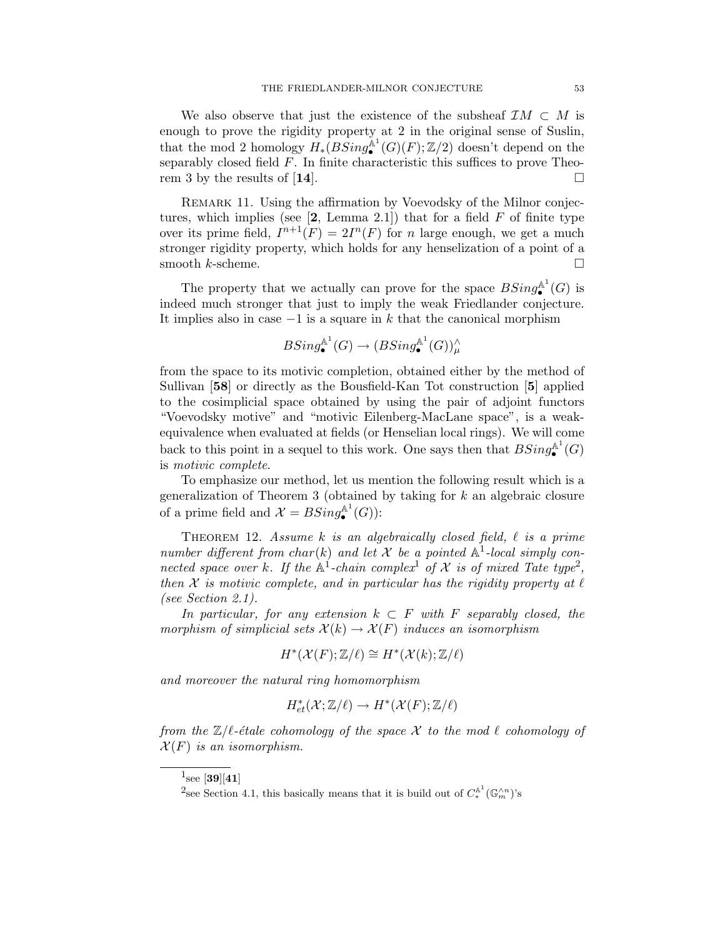We also observe that just the existence of the subsheaf  $\mathcal{I}M\subset M$  is enough to prove the rigidity property at 2 in the original sense of Suslin, that the mod 2 homology  $H_*(BSing^{\mathbb{A}^1}_\bullet(G)(F);\mathbb{Z}/2)$  doesn't depend on the separably closed field  $F$ . In finite characteristic this suffices to prove Theorem 3 by the results of [**14**].

REMARK 11. Using the affirmation by Voevodsky of the Milnor conjectures, which implies (see  $[2, \text{Lemma } 2.1]$ ) that for a field  $F$  of finite type over its prime field,  $I^{n+1}(F)=2I^n(F)$  for n large enough, we get a much stronger rigidity property, which holds for any henselization of a point of a smooth  $k$ -scheme.  $\Box$ 

The property that we actually can prove for the space  $BSing_{\bullet}^{\mathbb{A}^1}(G)$  is indeed much stronger that just to imply the weak Friedlander conjecture. It implies also in case  $-1$  is a square in k that the canonical morphism

$$
BSing_{\bullet}^{\mathbb{A}^1}(G) \to (BSing_{\bullet}^{\mathbb{A}^1}(G))_{\mu}^{\wedge}
$$

from the space to its motivic completion, obtained either by the method of Sullivan [**58**] or directly as the Bousfield-Kan Tot construction [**5**] applied to the cosimplicial space obtained by using the pair of adjoint functors "Voevodsky motive" and "motivic Eilenberg-MacLane space", is a weakequivalence when evaluated at fields (or Henselian local rings). We will come back to this point in a sequel to this work. One says then that  $BSing_{\bullet}^{\mathbb{A}^1}(G)$ is *motivic complete*.

To emphasize our method, let us mention the following result which is a generalization of Theorem 3 (obtained by taking for  $k$  an algebraic closure of a prime field and  $\mathcal{X} = BSing_{\bullet}^{\mathbb{A}^1}(G)$ :

THEOREM 12. Assume k is an algebraically closed field,  $\ell$  is a prime *number different from char(k) and let*  $X$  *be a pointed*  $A<sup>1</sup>$ -local simply con*nected space over* k. If the  $A^1$ -chain complex<sup>1</sup> of X is of mixed Tate type<sup>2</sup>, *then*  $X$  *is motivic complete, and in particular has the rigidity property at*  $\ell$ *(see Section 2.1).*

*In particular, for any extension*  $k \text{ }\subset F$  *with*  $F$  *separably closed, the morphism of simplicial sets*  $\mathcal{X}(k) \to \mathcal{X}(F)$  *induces an isomorphism* 

$$
H^*(\mathcal{X}(F); \mathbb{Z}/\ell) \cong H^*(\mathcal{X}(k); \mathbb{Z}/\ell)
$$

*and moreover the natural ring homomorphism*

$$
H^*_{et}(\mathcal{X};\mathbb{Z}/\ell)\to H^*(\mathcal{X}(F);\mathbb{Z}/\ell)
$$

from the  $\mathbb{Z}/\ell$ -étale cohomology of the space  $\mathcal X$  to the mod  $\ell$  cohomology of  $\mathcal{X}(F)$  *is an isomorphism.* 

 $^{1}$ see [**39**][**41**]

<sup>&</sup>lt;sup>2</sup>see Section 4.1, this basically means that it is build out of  $C_*^{\mathbb{A}^1}(\mathbb{G}_m^{\wedge n})$ 's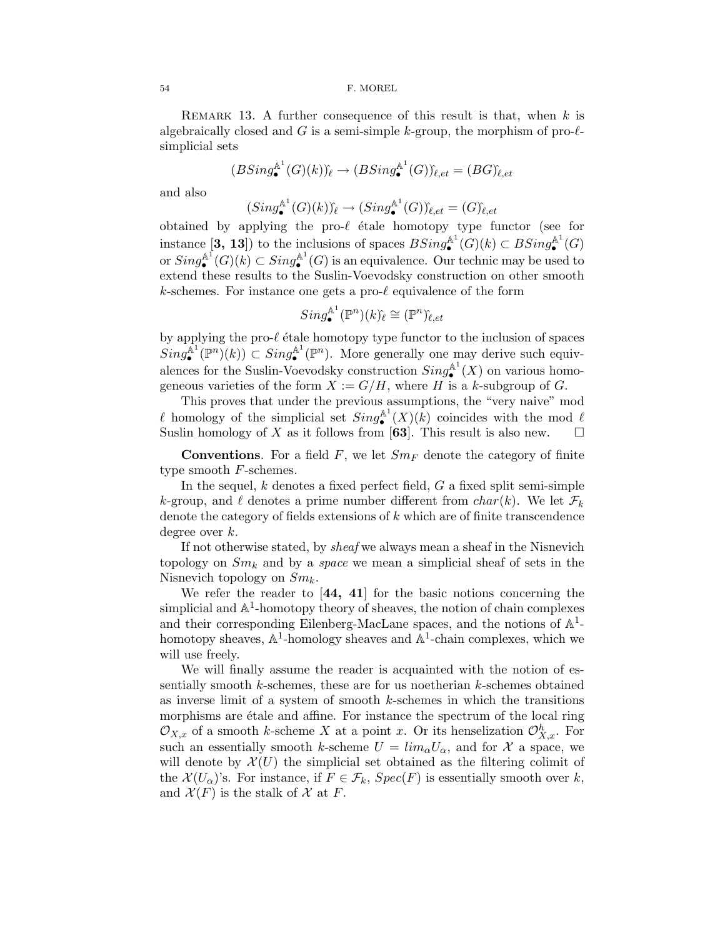REMARK 13. A further consequence of this result is that, when  $k$  is algebraically closed and G is a semi-simple k-group, the morphism of pro- $\ell$ simplicial sets

$$
(BSing_{\bullet}^{\mathbb{A}^1}(G)(k))_{\ell} \to (BSing_{\bullet}^{\mathbb{A}^1}(G))_{\ell,et}^{\mathbb{A}} = (BG)_{\ell,et}
$$

and also

$$
(Sing^{\mathbb{A}^1}(G)(k))_{{\ell}} \to (Sing^{\mathbb{A}^1}(G))_{{\ell},et} = (G)_{\ell,et}
$$

obtained by applying the pro- $\ell$  étale homotopy type functor (see for instance [3, 13]) to the inclusions of spaces  $BSing_{\bullet}^{\mathbb{A}^1}(G)(k) \subset BSing_{\bullet}^{\mathbb{A}^1}(G)$ or  $Sing_{\bullet}^{\mathbb{A}^1}(G)(k) \subset Sing_{\bullet}^{\mathbb{A}^1}(G)$  is an equivalence. Our technic may be used to extend these results to the Suslin-Voevodsky construction on other smooth k-schemes. For instance one gets a pro- $\ell$  equivalence of the form

$$
Sing_{\bullet}^{\mathbb{A}^1}(\mathbb{P}^n)(k)\hat{v}\cong (\mathbb{P}^n)\hat{v}_{\ell,et}
$$

by applying the pro- $\ell$  étale homotopy type functor to the inclusion of spaces  $Sing_{\bullet}^{\mathbb{A}^1}(\mathbb{P}^n)(k)) \subset Sing_{\bullet}^{\mathbb{A}^1}(\mathbb{P}^n)$ . More generally one may derive such equivalences for the Suslin-Voevodsky construction  $Sing_{\bullet}^{\mathbb{A}^1}(X)$  on various homogeneous varieties of the form  $X := G/H$ , where H is a k-subgroup of G.

This proves that under the previous assumptions, the "very naive" mod  $\ell$  homology of the simplicial set  $Sing_{\bullet}^{\mathbb{A}^1}(X)(\bar{k})$  coincides with the mod  $\ell$ Suslin homology of X as it follows from [63]. This result is also new.  $\square$ 

**Conventions**. For a field  $F$ , we let  $Sm_F$  denote the category of finite type smooth F-schemes.

In the sequel,  $k$  denotes a fixed perfect field,  $G$  a fixed split semi-simple k-group, and  $\ell$  denotes a prime number different from  $char(k)$ . We let  $\mathcal{F}_k$ <br>denote the extensive of fields extensions of k which are of finite transcendence denote the category of fields extensions of  $k$  which are of finite transcendence degree over k.

If not otherwise stated, by *sheaf* we always mean a sheaf in the Nisnevich topology on  $Sm_k$  and by a *space* we mean a simplicial sheaf of sets in the Nisnevich topology on  $Sm_k$ .

We refer the reader to [**44, 41**] for the basic notions concerning the simplicial and  $\mathbb{A}^1$ -homotopy theory of sheaves, the notion of chain complexes and their corresponding Eilenberg-MacLane spaces, and the notions of  $\mathbb{A}^1$ homotopy sheaves,  $\mathbb{A}^1$ -homology sheaves and  $\mathbb{A}^1$ -chain complexes, which we will use freely.

We will finally assume the reader is acquainted with the notion of essentially smooth k-schemes, these are for us noetherian k-schemes obtained as inverse limit of a system of smooth  $k$ -schemes in which the transitions morphisms are étale and affine. For instance the spectrum of the local ring  $\mathcal{O}_{X,x}$  of a smooth k-scheme X at a point x. Or its henselization  $\mathcal{O}_{X,x}^h$ . For such an essentially smooth k-scheme  $U = lim$  U and for X a space we such an essentially smooth k-scheme  $U = lim_{\alpha}U_{\alpha}$ , and for X a space, we will denote by  $\mathcal{X}(U)$  the simplicial set obtained as the filtering colimit of the  $\mathcal{X}(U_{\alpha})$ 's. For instance, if  $F \in \mathcal{F}_k$ ,  $Spec(F)$  is essentially smooth over k, and  $\mathcal{X}(F)$  is the stalk of  $\mathcal X$  at F.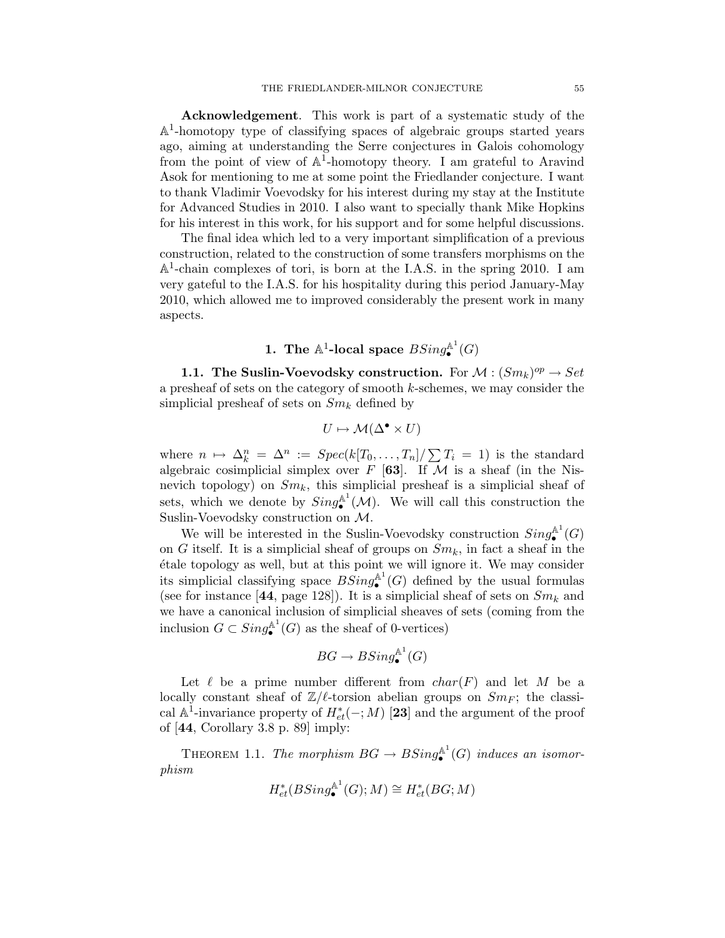**Acknowledgement**. This work is part of a systematic study of the  $\mathbb{A}^1$ -homotopy type of classifying spaces of algebraic groups started years ago, aiming at understanding the Serre conjectures in Galois cohomology from the point of view of  $\mathbb{A}^1$ -homotopy theory. I am grateful to Aravind Asok for mentioning to me at some point the Friedlander conjecture. I want to thank Vladimir Voevodsky for his interest during my stay at the Institute for Advanced Studies in 2010. I also want to specially thank Mike Hopkins for his interest in this work, for his support and for some helpful discussions.

The final idea which led to a very important simplification of a previous construction, related to the construction of some transfers morphisms on the  $\mathbb{A}^1$ -chain complexes of tori, is born at the I.A.S. in the spring 2010. I am very gateful to the I.A.S. for his hospitality during this period January-May 2010, which allowed me to improved considerably the present work in many aspects.

## **1.** The  $\mathbb{A}^1$ -local space  $BSing_{\bullet}^{\mathbb{A}^1}(G)$

**1.1. The Suslin-Voevodsky construction.** For  $\mathcal{M} : (Sm_k)^{op} \to Set$ a presheaf of sets on the category of smooth k-schemes, we may consider the simplicial presheaf of sets on  $Sm_k$  defined by

$$
U \mapsto \mathcal{M}(\Delta^{\bullet} \times U)
$$

where  $n \mapsto \Delta_k^n = \Delta^n := Spec(k[T_0, \ldots, T_n]/\sum T_i = 1)$  is the standard algebraic cosimplicial simplex over F [63]. If M is a sheaf (in the Nisnevich topology) on  $Sm_k$ , this simplicial presheaf is a simplicial sheaf of sets, which we denote by  $Sing^{\mathbb{A}^1}(\mathcal{M})$ . We will call this construction the Suslin-Voevodsky construction on M.

We will be interested in the Suslin-Voevodsky construction  $Sing_{\bullet}^{\mathbb{A}^1}(G)$ on G itself. It is a simplicial sheaf of groups on  $Sm_k$ , in fact a sheaf in the ´etale topology as well, but at this point we will ignore it. We may consider its simplicial classifying space  $BSing^{\mathbb{A}^1}(G)$  defined by the usual formulas (see for instance [44, page 128]). It is a simplicial sheaf of sets on  $Sm_k$  and we have a canonical inclusion of simplicial sheaves of sets (coming from the inclusion  $G \subset Sing_{\bullet}^{\mathbb{A}^1}(G)$  as the sheaf of 0-vertices)

$$
BG \to BSing^{\mathbb{A}^1}_{\bullet}(G)
$$

Let  $\ell$  be a prime number different from  $char(F)$  and let M be a locally constant sheaf of  $\mathbb{Z}/\ell$ -torsion abelian groups on  $Sm_F$ ; the classi-<br>cal  $\mathbb{A}^1$  invariance property of  $H^*(-M)$  [22] and the argument of the proof cal  $\mathbb{A}^1$ -invariance property of  $H_{et}^*(-; M)$  [23] and the argument of the proof<br>of [44] Corollary 3.8 p. 80] imply: of [**44**, Corollary 3.8 p. 89] imply:

THEOREM 1.1. *The morphism*  $BG \to BSing_{\bullet}^{\mathbb{A}^1}(G)$  *induces an isomorphism*

$$
H_{et}^*(BSing_{\bullet}^{\mathbb{A}^1}(G); M) \cong H_{et}^*(BG; M)
$$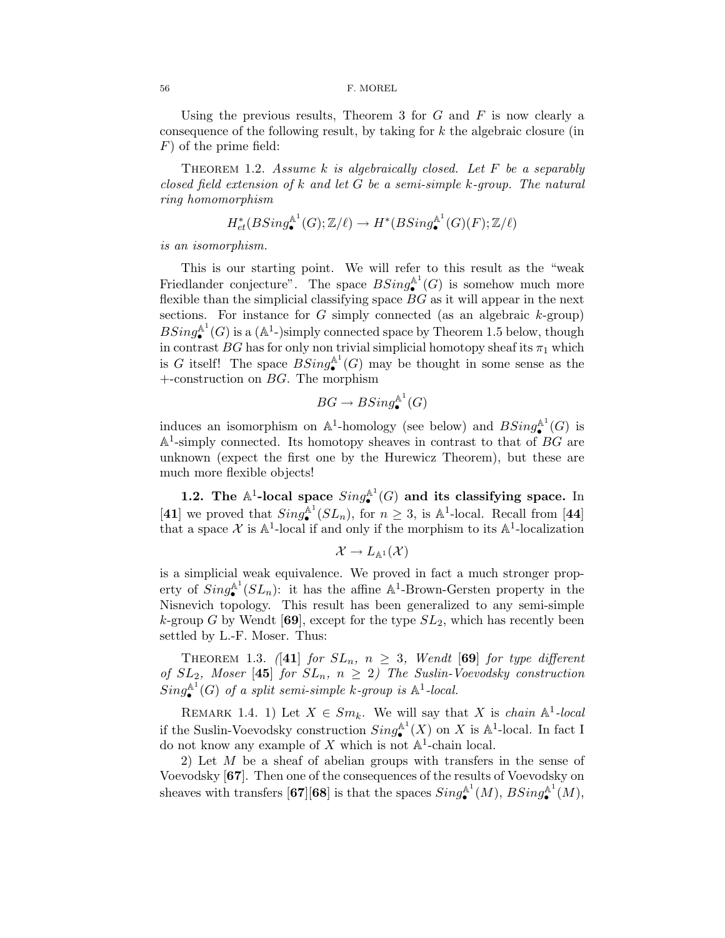Using the previous results, Theorem 3 for  $G$  and  $F$  is now clearly a consequence of the following result, by taking for k the algebraic closure (in  $F$ ) of the prime field:

Theorem 1.2. *Assume* k *is algebraically closed. Let* F *be a separably closed field extension of* k *and let* G *be a semi-simple* k*-group. The natural ring homomorphism*

$$
H_{et}^*(BSing_{\bullet}^{\mathbb{A}^1}(G); \mathbb{Z}/\ell) \to H^*(BSing_{\bullet}^{\mathbb{A}^1}(G)(F); \mathbb{Z}/\ell)
$$

*is an isomorphism.*

This is our starting point. We will refer to this result as the "weak Friedlander conjecture". The space  $BSing_{\bullet}^{\mathbb{A}^1}(G)$  is somehow much more flexible than the simplicial classifying space  $BG$  as it will appear in the next sections. For instance for  $G$  simply connected (as an algebraic  $k$ -group)  $BSing_{\bullet}^{\mathbb{A}^1}(G)$  is a ( $\mathbb{A}^1$ -)simply connected space by Theorem 1.5 below, though in contrast BG has for only non trivial simplicial homotopy sheaf its  $\pi_1$  which is G itself! The space  $BSing_{\bullet}^{\mathbb{A}^1}(G)$  may be thought in some sense as the  $+$ -construction on BG. The morphism

$$
BG\to BSing_\bullet^{{\mathbb A}^1}(G)
$$

induces an isomorphism on  $\mathbb{A}^1$ -homology (see below) and  $BSing^{\mathbb{A}^1}_{\bullet}(G)$  is  $\mathbb{A}^1$ -simply connected. Its homotopy sheaves in contrast to that of BG are unknown (expect the first one by the Hurewicz Theorem), but these are much more flexible objects!

**1.2.** The  $\mathbb{A}^1$ -local space  $Sing_{\bullet}^{\mathbb{A}^1}(G)$  and its classifying space. In [41] we proved that  $Sing_{\bullet}^{\mathbb{A}^1}(SL_n)$ , for  $n \geq 3$ , is  $\mathbb{A}^1$ -local. Recall from [44] that a space  $\mathcal X$  is  $\mathbb A^1$ -local if and only if the morphism to its  $\mathbb A^1$ -localization

$$
\mathcal{X} \to L_{\mathbb{A}^1}(\mathcal{X})
$$

is a simplicial weak equivalence. We proved in fact a much stronger property of  $Sing_{\bullet}^{\mathbb{A}^1}(SL_n)$ : it has the affine  $\mathbb{A}^1$ -Brown-Gersten property in the Nisnevich topology. This result has been generalized to any semi-simple k-group G by Wendt [69], except for the type  $SL_2$ , which has recently been settled by L.-F. Moser. Thus:

THEOREM 1.3. *(*[41] *for*  $SL_n$ ,  $n \geq 3$ , *Wendt* [69] *for type different of*  $SL_2$ *, Moser* [45] *for*  $SL_n$ *,*  $n \geq 2$ *) The Suslin-Voevodsky construction*  $Sing_{\bullet}^{\mathbb{A}^1}(G)$  of a split semi-simple k-group is  $\mathbb{A}^1$ -local.

REMARK 1.4. 1) Let  $X \in Sm_k$ . We will say that X is *chain*  $\mathbb{A}^1$ -local if the Suslin-Voevodsky construction  $Sing_{\bullet}^{\mathbb{A}^1}(X)$  on X is  $\mathbb{A}^1$ -local. In fact I do not know any example of X which is not  $\mathbb{A}^1$ -chain local.

2) Let M be a sheaf of abelian groups with transfers in the sense of Voevodsky [**67**]. Then one of the consequences of the results of Voevodsky on sheaves with transfers [67][68] is that the spaces  $Sing_{\bullet}^{\mathbb{A}^1}(M), BSing_{\bullet}^{\mathbb{A}^1}(M),$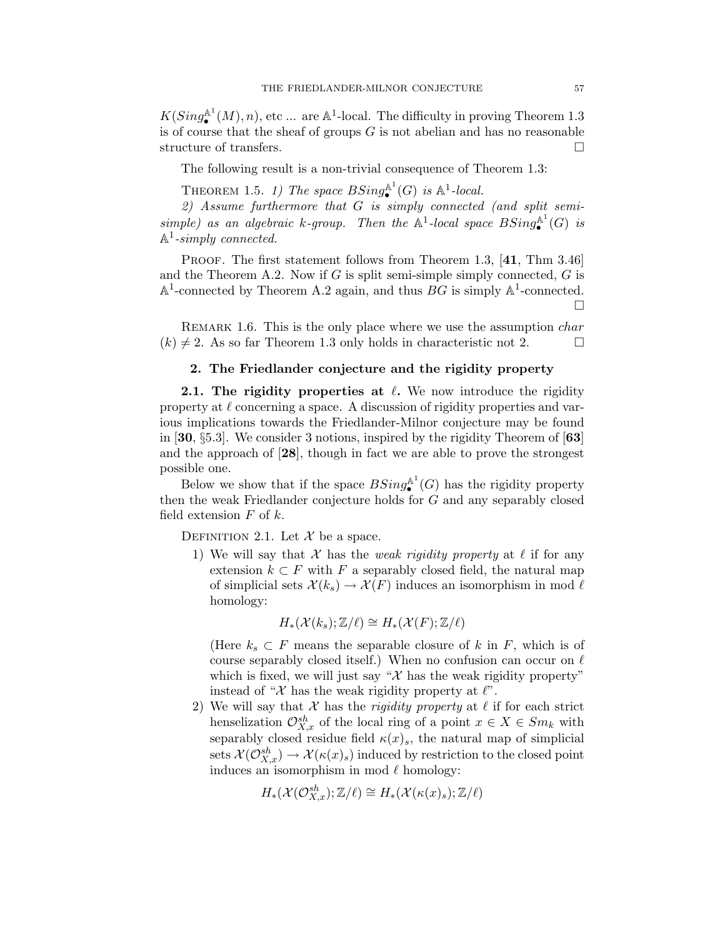$K(Sing_{\bullet}^{\mathbb{A}^1}(M), n)$ , etc ... are  $\mathbb{A}^1$ -local. The difficulty in proving Theorem 1.3 is of course that the sheaf of groups  $G$  is not abelian and has no reasonable structure of transfers.

The following result is a non-trivial consequence of Theorem 1.3:

THEOREM 1.5. *1)* The space  $BSing_{\bullet}^{\mathbb{A}^1}(G)$  is  $\mathbb{A}^1$ -local.

*2) Assume furthermore that* G *is simply connected (and split semi* $simple)$  as an algebraic k-group. Then the  $\mathbb{A}^1$ -local space  $BSing_{\bullet}^{\mathbb{A}^1}(G)$  is A1*-simply connected.*

PROOF. The first statement follows from Theorem 1.3, [41, Thm 3.46] and the Theorem A.2. Now if  $G$  is split semi-simple simply connected,  $G$  is  $\mathbb{A}^1$ -connected by Theorem A.2 again, and thus BG is simply  $\mathbb{A}^1$ -connected.  $\Box$ 

REMARK 1.6. This is the only place where we use the assumption *char*  $(k) \neq 2$ . As so far Theorem 1.3 only holds in characteristic not 2.

## **2. The Friedlander conjecture and the rigidity property**

**2.1. The rigidity properties at**  $\ell$ **. We now introduce the rigidity** property at  $\ell$  concerning a space. A discussion of rigidity properties and various implications towards the Friedlander-Milnor conjecture may be found in [**30**, §5.3]. We consider 3 notions, inspired by the rigidity Theorem of [**63**] and the approach of [**28**], though in fact we are able to prove the strongest possible one.

Below we show that if the space  $BSing_{\bullet}^{\mathbb{A}^1}(G)$  has the rigidity property then the weak Friedlander conjecture holds for G and any separably closed field extension  $F$  of  $k$ .

DEFINITION 2.1. Let  $\mathcal X$  be a space.

1) We will say that  $X$  has the *weak rigidity property* at  $\ell$  if for any extension  $k \subset F$  with F a separably closed field, the natural map of simplicial sets  $\mathcal{X}(k_s) \to \mathcal{X}(F)$  induces an isomorphism in mod  $\ell$ <br>homology: homology:

$$
H_*(\mathcal{X}(k_s);\mathbb{Z}/\ell) \cong H_*(\mathcal{X}(F);\mathbb{Z}/\ell)
$$

(Here  $k_s \subset F$  means the separable closure of k in F, which is of course separably closed itself.) When no confusion can occur on  $\ell$ which is fixed, we will just say " $X$  has the weak rigidity property" instead of " $\mathcal X$  has the weak rigidity property at  $\ell$ ".

2) We will say that  $X$  has the *rigidity property* at  $\ell$  if for each strict henselization  $\mathcal{O}_{X,x}^{sh}$  of the local ring of a point  $x \in X \in Sm_k$  with senarchly closed residue field  $\kappa(x)$ , the natural map of simplicial separably closed residue field  $\kappa(x)_s$ , the natural map of simplicial sets  $\mathcal{X}(\mathcal{O}_{X,x}^{sh}) \to \mathcal{X}(\kappa(x)_s)$  induced by restriction to the closed point<br>induces an isomorphism in mod  $\ell$  homology: induces an isomorphism in mod  $\ell$  homology:

$$
H_*(\mathcal{X}(\mathcal{O}_{X,\mathcal{X}}^{sh});\mathbb{Z}/\ell) \cong H_*(\mathcal{X}(\kappa(x)_s);\mathbb{Z}/\ell)
$$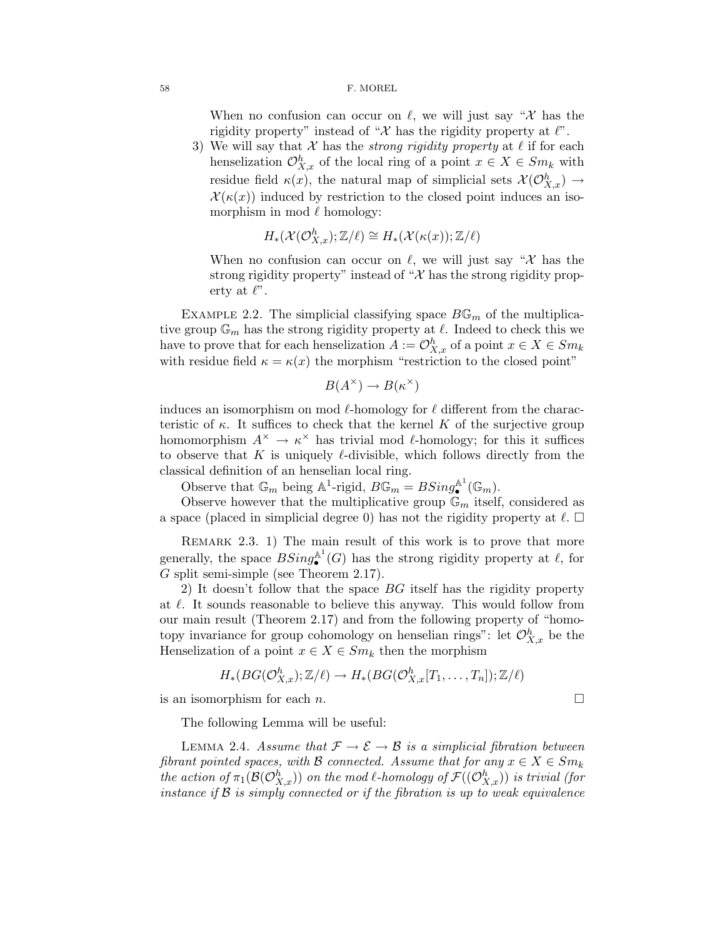When no confusion can occur on  $\ell$ , we will just say "X has the rigidity property" instead of "X has the rigidity property at  $\ell$ ".

3) We will say that  $X$  has the *strong rigidity property* at  $\ell$  if for each henselization  $\mathcal{O}_{X,x}^h$  of the local ring of a point  $x \in X \in Sm_k$  with negative field  $u(x)$ , the natural map of simplicial sets  $\mathcal{X}(\mathcal{O}_h^h)$ residue field  $\kappa(x)$ , the natural map of simplicial sets  $\mathcal{X}(\mathcal{O}_{X,x}^h) \to \mathcal{X}(\kappa(x))$  induced by restriction to the closed point induces an iso  $\mathcal{X}(\kappa(x))$  induced by restriction to the closed point induces an isomorphism in mod  $\ell$  homology:

$$
H_*(\mathcal{X}(\mathcal{O}_{X,x}^h);\mathbb{Z}/\ell) \cong H_*(\mathcal{X}(\kappa(x));\mathbb{Z}/\ell)
$$

When no confusion can occur on  $\ell$ , we will just say "X has the strong rigidity property" instead of " $\mathcal{X}$  has the strong rigidity property at  $\ell$ ".

EXAMPLE 2.2. The simplicial classifying space  $B\mathbb{G}_m$  of the multiplicative group  $\mathbb{G}_m$  has the strong rigidity property at  $\ell$ . Indeed to check this we<br>have to prove that for each hope distribution  $A := \mathcal{O}_k^h$  of a point  $x \in X \subseteq S_m$ . have to prove that for each henselization  $A := \mathcal{O}_{X,x}^h$  of a point  $x \in X \in Sm_k$ <br>with residue field  $x = \kappa(x)$  the morphism "restriction to the closed point" with residue field  $\kappa = \kappa(x)$  the morphism "restriction to the closed point"

$$
B(A^{\times}) \to B(\kappa^{\times})
$$

induces an isomorphism on mod  $\ell$ -homology for  $\ell$  different from the characteristic of  $\kappa$ . It suffices to check that the kernel K of the surjective group homomorphism  $A^{\times} \to \kappa^{\times}$  has trivial mod  $\ell$ -homology; for this it suffices to observe that K is uniquely  $\ell$ -divisible, which follows directly from the classical definition of an henselian local ring.

Observe that  $\mathbb{G}_m$  being  $\mathbb{A}^1$ -rigid,  $B\mathbb{G}_m = BSing_{\bullet}^{\mathbb{A}^1}(\mathbb{G}_m)$ .<br>Observe however that the multiplicative group  $\mathbb{C}$  itself

Observe however that the multiplicative group  $\mathbb{G}_m$  itself, considered as a space (placed in simplicial degree 0) has not the rigidity property at  $\ell$ .  $\Box$ 

REMARK 2.3. 1) The main result of this work is to prove that more generally, the space  $BSing_{\bullet}^{\mathbb{A}^1}(G)$  has the strong rigidity property at  $\ell$ , for G split semi-simple (see Theorem 2.17).

2) It doesn't follow that the space BG itself has the rigidity property at  $\ell$ . It sounds reasonable to believe this anyway. This would follow from our main result (Theorem 2.17) and from the following property of "homotopy invariance for group cohomology on henselian rings": let  $\mathcal{O}_{X,x}^h$  be the Henselization of a point  $x \in X \subseteq S_m$ , then the morphism Henselization of a point  $x \in X \in Sm_k$  then the morphism

$$
H_*(BG(\mathcal{O}_{X,x}^h);\mathbb{Z}/\ell) \to H_*(BG(\mathcal{O}_{X,x}^h[T_1,\ldots,T_n]);\mathbb{Z}/\ell)
$$

is an isomorphism for each  $n$ .

 $\Box$ 

The following Lemma will be useful:

LEMMA 2.4. *Assume that*  $\mathcal{F} \to \mathcal{E} \to \mathcal{B}$  *is a simplicial fibration between fibrant pointed spaces, with*  $\mathcal{B}$  *connected. Assume that for any*  $x \in X \in Sm_k$ *the action of*  $\pi_1(\mathcal{B}(\mathcal{O}_{X,x}^h))$  *on the mod l-homology of*  $\mathcal{F}((\mathcal{O}_{X,x}^h))$  *is trivial (for instance if*  $\mathcal{B}$  *is simply connected or if the fibration is up to weak equivalence instance if* B *is simply connected or if the fibration is up to weak equivalence*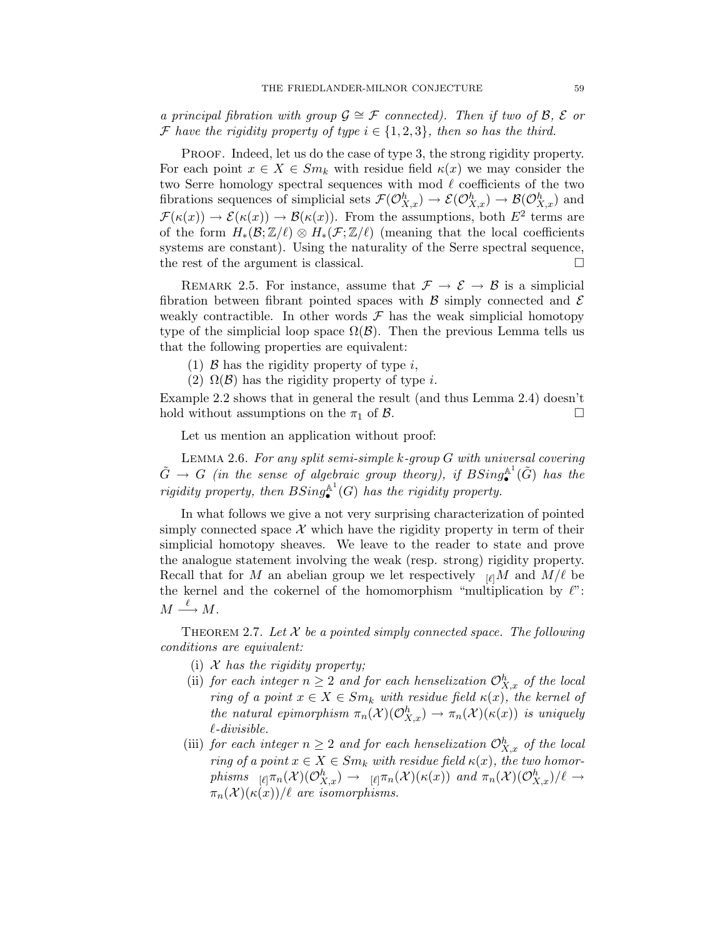*a principal fibration with group*  $\mathcal{G} \cong \mathcal{F}$  *connected). Then if two of*  $\mathcal{B}, \mathcal{E}$  *or* F have the rigidity property of type  $i \in \{1,2,3\}$ , then so has the third.

PROOF. Indeed, let us do the case of type 3, the strong rigidity property. For each point  $x \in X \in Sm_k$  with residue field  $\kappa(x)$  we may consider the two Serre homology spectral sequences with mod  $\ell$  coefficients of the two fibrations sequences of simplicial sets  $\mathcal{F}(\mathcal{O}_{X,x}^h) \to \mathcal{E}(\mathcal{O}_{X,x}^h) \to \mathcal{B}(\mathcal{O}_{X,x}^h)$  and<br> $\mathcal{F}(\mu(x)) \to \mathcal{B}(\mu(x))$ . From the equivariance both  $F^2$  terms are  $\mathcal{F}(\kappa(x)) \to \mathcal{E}(\kappa(x)) \to \mathcal{B}(\kappa(x))$ . From the assumptions, both  $E^2$  terms are of the form  $H_*(\mathcal{B}; \mathbb{Z}/\ell) \otimes H_*(\mathcal{F}; \mathbb{Z}/\ell)$  (meaning that the local coefficients systems are constant). Using the naturality of the Serre spectral sequence, the rest of the argument is classical.  $\Box$ 

REMARK 2.5. For instance, assume that  $\mathcal{F} \to \mathcal{E} \to \mathcal{B}$  is a simplicial fibration between fibrant pointed spaces with  $\beta$  simply connected and  $\beta$ weakly contractible. In other words  $\mathcal F$  has the weak simplicial homotopy type of the simplicial loop space  $\Omega(\mathcal{B})$ . Then the previous Lemma tells us that the following properties are equivalent:

(1)  $\beta$  has the rigidity property of type i,

(2)  $\Omega(\mathcal{B})$  has the rigidity property of type *i*.

Example 2.2 shows that in general the result (and thus Lemma 2.4) doesn't hold without assumptions on the  $\pi_1$  of  $\mathcal{B}$ .

Let us mention an application without proof:

Lemma 2.6. *For any split semi-simple* k*-group* G *with universal covering*  $\tilde{G} \rightarrow G$  *(in the sense of algebraic group theory), if*  $BSing_{\bullet}^{\mathbb{A}^1}(\tilde{G})$  *has the rigidity property, then*  $BSing_{\bullet}^{\mathbb{A}^1}(G)$  *has the rigidity property.* 

In what follows we give a not very surprising characterization of pointed simply connected space  $\mathcal X$  which have the rigidity property in term of their simplicial homotopy sheaves. We leave to the reader to state and prove the analogue statement involving the weak (resp. strong) rigidity property. Recall that for M an abelian group we let respectively  $\begin{bmatrix} \ell \end{bmatrix}$  and  $M/\ell$  be<br>the kernel and the celernal of the homomorphism "multiplication by  $\ell$ " the kernel and the cokernel of the homomorphism "multiplication by  $\ell$ ":  $M \stackrel{\ell}{\longrightarrow} M$ .

THEOREM 2.7. Let  $X$  be a pointed simply connected space. The following *conditions are equivalent:*

- (i) X *has the rigidity property;*
- (ii) *for each integer*  $n \geq 2$  *and for each henselization*  $\mathcal{O}_{X,x}^h$  *of the local*<br>ring of a point  $x \in X \subseteq S_m$  with regidue field  $x(x)$ , the kernal of *ring of a point*  $x \in X \in Sm_k$  *with residue field*  $\kappa(x)$ *, the kernel of the natural epimorphism*  $\pi_n(\mathcal{X})(\mathcal{O}_{X,x}^h) \to \pi_n(\mathcal{X})(\kappa(x))$  *is uniquely*  $\ell$ -divisible -*-divisible.*
- (iii) *for each integer*  $n \geq 2$  *and for each henselization*  $\mathcal{O}_{X,x}^h$  *of the local*<br>*xing of a point*  $x \in X \subseteq S_m$ , *with residue field*  $x(x)$ , the two homor *ring of a point*  $x \in X \in Sm_k$  *with residue field*  $\kappa(x)$ *, the two homorphisms*  $[\ell] \pi_n(\mathcal{X}) (\mathcal{O}_{X,x}^h) \to [\ell] \pi_n(\mathcal{X}) (\kappa(x))$  and  $\pi_n(\mathcal{X}) (\mathcal{O}_{X,x}^h)/\ell \to$ <br>  $\pi_n(\mathcal{X}) (\kappa(x)) / \ell$  are isomorphisms.  $\pi_n(\mathcal{X})(\kappa(x))/\ell$  are isomorphisms.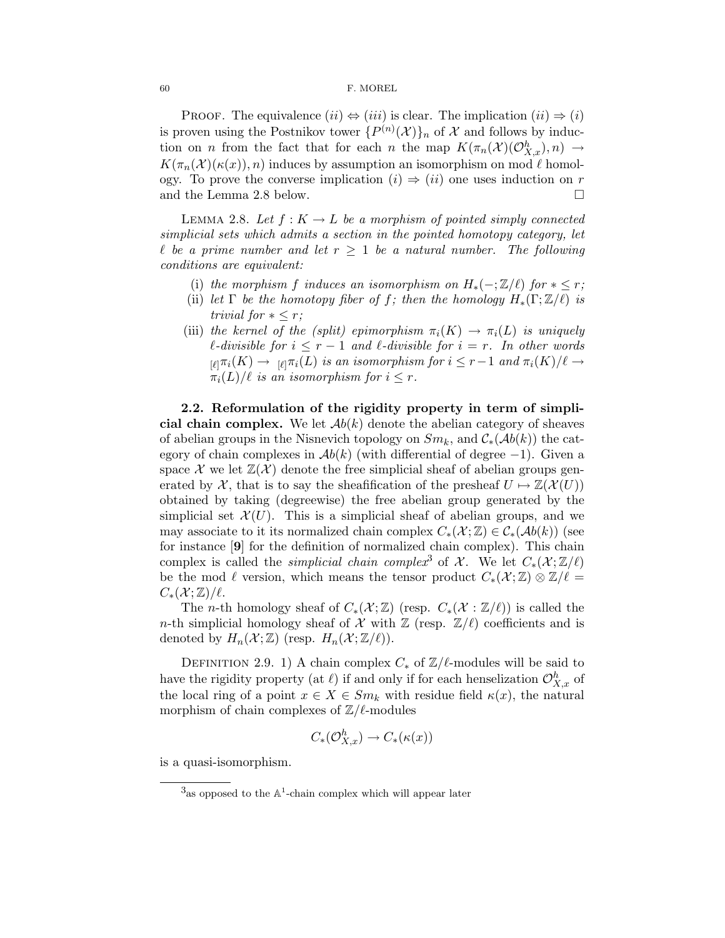PROOF. The equivalence  $(ii) \Leftrightarrow (iii)$  is clear. The implication  $(ii) \Rightarrow (i)$ is proven using the Postnikov tower  $\{P^{(n)}(\mathcal{X})\}_n$  of  $\mathcal X$  and follows by induction on *n* from the fact that for each *n* the map  $K(\pi_n(\mathcal{X})(\mathcal{O}_{X,x}^h), n) \to$ <br> $K(\pi(\mathcal{X})(\kappa(x))$  *n*) induces by assumption an isomorphism on mod  $\ell$  homol  $K(\pi_n(\mathcal{X})(\kappa(x)), n)$  induces by assumption an isomorphism on mod  $\ell$  homol-<br>cover To prove the converse implication  $\ell(n) \rightarrow \ell(i)$  are used induction on  $x$ ogy. To prove the converse implication  $(i) \Rightarrow (ii)$  one uses induction on r and the Lemma 2.8 below.  $\Box$ 

LEMMA 2.8. Let  $f: K \to L$  be a morphism of pointed simply connected *simplicial sets which admits a section in the pointed homotopy category, let*  $\ell$  be a prime number and let  $r \geq 1$  be a natural number. The following *conditions are equivalent:*

- (i) the morphism f induces an isomorphism on  $H_*(-;\mathbb{Z}/\ell)$  for  $*\leq r$ ;
- (ii) let  $\Gamma$  be the homotopy fiber of f; then the homology  $H_*(\Gamma;\mathbb{Z}/\ell)$  is *trivial for*  $* < r$ *;*
- (iii) the kernel of the (split) epimorphism  $\pi_i(K) \to \pi_i(L)$  is uniquely  $\ell$ -divisible for  $i \leq r - 1$  and  $\ell$ -divisible for  $i = r$ . In other words  $\lim_{\tau \to (L)} \pi_i(K) \to \lim_{\tau \to (L)} \pi_i(L)$  *is an isomorphism for*  $i \leq r-1$  *and*  $\pi_i(K)/\ell \to \pi_i(L)/\ell$  *is an isomorphism for*  $i \leq r$  $\pi_i(L)/\ell$  is an isomorphism for  $i \leq r$ .

**2.2. Reformulation of the rigidity property in term of simplicial chain complex.** We let  $\mathcal{A}b(k)$  denote the abelian category of sheaves of abelian groups in the Nisnevich topology on  $Sm_k$ , and  $\mathcal{C}_*(\mathcal{A}b(k))$  the category of chain complexes in  $\mathcal{A}b(k)$  (with differential of degree -1). Given a space X we let  $\mathbb{Z}(\mathcal{X})$  denote the free simplicial sheaf of abelian groups generated by X, that is to say the sheafification of the presheaf  $U \mapsto \mathbb{Z}(\mathcal{X}(U))$ obtained by taking (degreewise) the free abelian group generated by the simplicial set  $\mathcal{X}(U)$ . This is a simplicial sheaf of abelian groups, and we may associate to it its normalized chain complex  $C_*(\mathcal{X};\mathbb{Z}) \in C_*(\mathcal{A}b(k))$  (see for instance [**9**] for the definition of normalized chain complex). This chain complex is called the *simplicial chain complex*<sup>3</sup> of X. We let  $C_*(X;\mathbb{Z}/\ell)$ be the mod  $\ell$  version, which means the tensor product  $C_*(\mathcal{X}; \mathbb{Z}) \otimes \mathbb{Z}/\ell =$  $C_*(\mathcal{X}; \mathbb{Z})/\ell.$ 

The *n*-th homology sheaf of  $C_*(\mathcal{X}; \mathbb{Z})$  (resp.  $C_*(\mathcal{X}; \mathbb{Z}/\ell)$ ) is called the *n*-th simplicial homology sheaf of X with  $\mathbb{Z}$  (resp.  $\mathbb{Z}/\ell$ ) coefficients and is denoted by  $H_n(\mathcal{X}; \mathbb{Z})$  (resp.  $H_n(\mathcal{X}; \mathbb{Z}/\ell)$ ).

DEFINITION 2.9. 1) A chain complex  $C_*$  of  $\mathbb{Z}/\ell$ -modules will be said to have the rigidity property (at  $\ell$ ) if and only if for each henselization  $\mathcal{O}_{X,x}^h$  of<br>the local ring of a point  $x \in X \subseteq S_m$ , with residue field  $x(x)$ , the patural the local ring of a point  $x \in X \in Sm_k$  with residue field  $\kappa(x)$ , the natural morphism of chain complexes of  $\mathbb{Z}/\ell$ -modules

$$
C_*(\mathcal{O}_{X,x}^h) \to C_*(\kappa(x))
$$

is a quasi-isomorphism.

 $3$ as opposed to the  $\mathbb{A}^1$ -chain complex which will appear later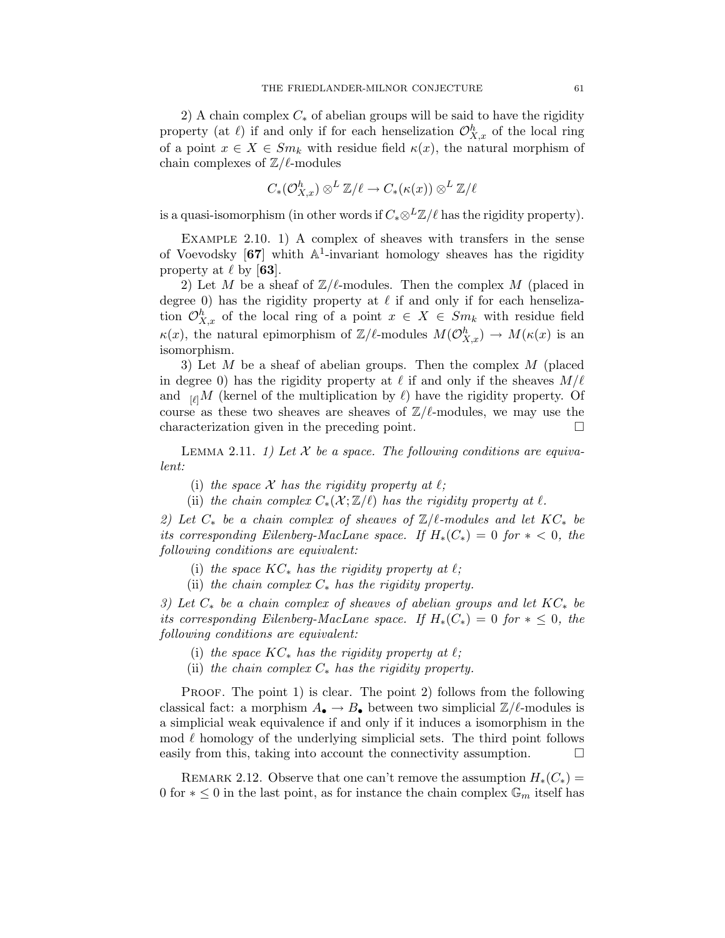2) A chain complex  $C_*$  of abelian groups will be said to have the rigidity property (at  $\ell$ ) if and only if for each henselization  $\mathcal{O}_{X,x}^h$  of the local ring<br>of a point  $x \in X \in S_m$ , with residue field  $\kappa(x)$  the natural morphism of of a point  $x \in X \in Sm_k$  with residue field  $\kappa(x)$ , the natural morphism of chain complexes of  $\mathbb{Z}/\ell$ -modules

$$
C_*(\mathcal{O}_{X,\mathcal{X}}^h)\otimes^L \mathbb{Z}/\ell \to C_*(\kappa(x))\otimes^L \mathbb{Z}/\ell
$$

is a quasi-isomorphism (in other words if  $C_*\otimes^L \mathbb{Z}/\ell$  has the rigidity property).

EXAMPLE 2.10. 1) A complex of sheaves with transfers in the sense of Voevodsky  $[67]$  whith  $\mathbb{A}^1$ -invariant homology sheaves has the rigidity property at  $\ell$  by [63].

2) Let M be a sheaf of  $\mathbb{Z}/\ell$ -modules. Then the complex M (placed in degree 0) has the rigidity property at  $\ell$  if and only if for each henselization  $\mathcal{O}_{X,x}^h$  of the local ring of a point  $x \in X \in Sm_k$  with residue field  $\kappa(x)$ , the natural epimorphism of  $\mathbb{Z}/\ell$ -modules  $M(\mathcal{O}_{X,x}^h) \to M(\kappa(x))$  is an isomorphism isomorphism.

3) Let M be a sheaf of abelian groups. Then the complex M (placed in degree 0) has the rigidity property at  $\ell$  if and only if the sheaves  $M/\ell$ and  $\ell$  ( $\ell$ ] (kernel of the multiplication by  $\ell$ ) have the rigidity property. Of course as these two sheaves are sheaves of  $\mathbb{Z}/\ell$ -modules, we may use the characterization given in the preceding point.  $\Box$ 

LEMMA 2.11. *1)* Let  $X$  be a space. The following conditions are equiva*lent:*

- (i) the space  $X$  has the rigidity property at  $\ell$ ;
- (ii) the chain complex  $C_*(\mathcal{X}; \mathbb{Z}/\ell)$  has the rigidity property at  $\ell$ .

2) Let  $C_*$  be a chain complex of sheaves of  $\mathbb{Z}/\ell$ -modules and let  $KC_*$  be *its corresponding Eilenberg-MacLane space. If*  $H_*(C_*)=0$  *for*  $* < 0$ *, the following conditions are equivalent:*

- (i) the space  $KC_*$  has the rigidity property at  $\ell$ ;
- (ii) *the chain complex* C<sup>∗</sup> *has the rigidity property.*

*3) Let* C<sup>∗</sup> *be a chain complex of sheaves of abelian groups and let* KC<sup>∗</sup> *be its corresponding Eilenberg-MacLane space.* If  $H_*(C_*)=0$  *for*  $* \leq 0$ *, the following conditions are equivalent:*

- (i) the space  $KC_*$  has the rigidity property at  $\ell$ ;
- (ii) *the chain complex* C<sup>∗</sup> *has the rigidity property.*

PROOF. The point 1) is clear. The point 2) follows from the following classical fact: a morphism  $A_{\bullet} \to B_{\bullet}$  between two simplicial  $\mathbb{Z}/\ell$ -modules is a simplicial weak equivalence if and only if it induces a isomorphism in the mod  $\ell$  homology of the underlying simplicial sets. The third point follows easily from this, taking into account the connectivity assumption.  $\Box$ 

REMARK 2.12. Observe that one can't remove the assumption  $H_*(C_*)$  = 0 for  $* \leq 0$  in the last point, as for instance the chain complex  $\mathbb{G}_m$  itself has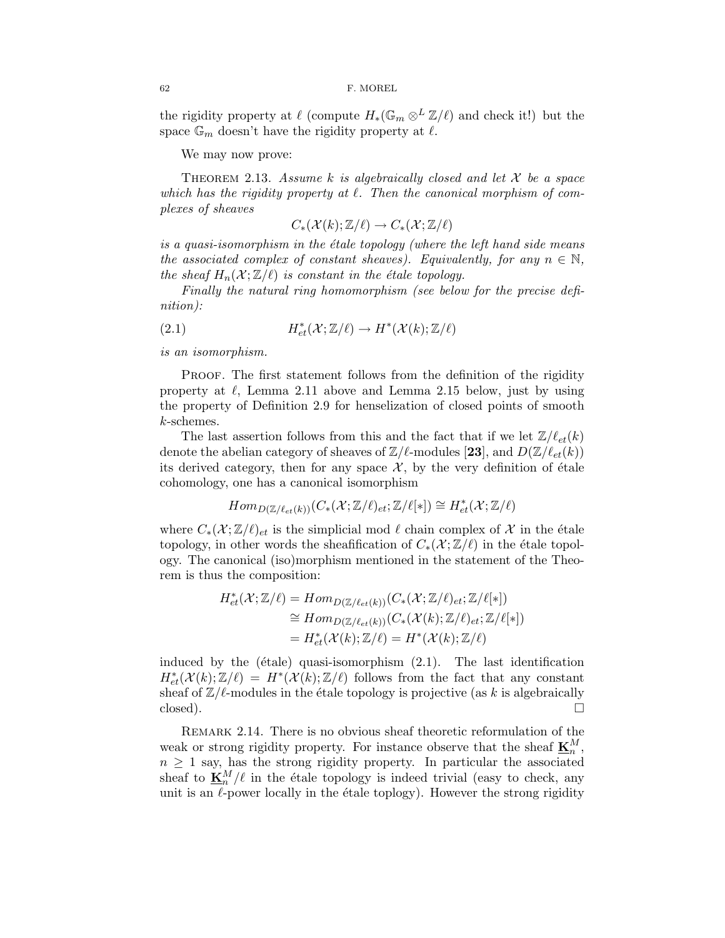the rigidity property at  $\ell$  (compute  $H_*(\mathbb{G}_m \otimes^L \mathbb{Z}/\ell)$  and check it!) but the space  $\mathbb{G}_m$  doesn't have the rigidity property at  $\ell$ .

We may now prove:

Theorem 2.13. *Assume* k *is algebraically closed and let* X *be a space* which has the rigidity property at  $\ell$ . Then the canonical morphism of com*plexes of sheaves*

$$
C_*(\mathcal{X}(k);\mathbb{Z}/\ell)\to C_*(\mathcal{X};\mathbb{Z}/\ell)
$$

*is a quasi-isomorphism in the ´etale topology (where the left hand side means the associated complex of constant sheaves). Equivalently, for any*  $n \in \mathbb{N}$ , *the sheaf*  $H_n(\mathcal{X}; \mathbb{Z}/\ell)$  *is constant in the étale topology.*<br>Finally the natural ring homomorphism (see heles)

*Finally the natural ring homomorphism (see below for the precise definition):*

(2.1) 
$$
H_{et}^*(\mathcal{X}; \mathbb{Z}/\ell) \to H^*(\mathcal{X}(k); \mathbb{Z}/\ell)
$$

*is an isomorphism.*

PROOF. The first statement follows from the definition of the rigidity property at  $\ell$ , Lemma 2.11 above and Lemma 2.15 below, just by using the property of Definition 2.9 for henselization of closed points of smooth k-schemes.

The last assertion follows from this and the fact that if we let  $\mathbb{Z}/\ell_{et}(k)$  and  $h(x)$ denote the abelian category of sheaves of  $\mathbb{Z}/\ell$ -modules [23], and  $D(\mathbb{Z}/\ell_{et}(k))$ <br>its denived actorous than for any grass.  $\mathbb{Z}$  by the year definition of átale its derived category, then for any space  $\mathcal{X}$ , by the very definition of étale cohomology, one has a canonical isomorphism

$$
Hom_{D(\mathbb{Z}/\ell_{et}(k))}(C_*(\mathcal{X};\mathbb{Z}/\ell)_{et};\mathbb{Z}/\ell[*]) \cong H^*_{et}(\mathcal{X};\mathbb{Z}/\ell)
$$

where  $C_*(\mathcal{X}; \mathbb{Z}/\ell)_{et}$  is the simplicial mod  $\ell$  chain complex of  $\mathcal{X}$  in the étale<br>topology in other words the shoof fication of  $C(\mathcal{X}; \mathbb{Z}/\ell)$  in the étale topol topology, in other words the sheafification of  $C_*(\mathcal{X}; \mathbb{Z}/\ell)$  in the étale topology. The canonical (iso)morphism mentioned in the statement of the Theorem is thus the composition:

$$
H_{et}^*(\mathcal{X}; \mathbb{Z}/\ell) = Hom_{D(\mathbb{Z}/\ell_{et}(k))}(C_*(\mathcal{X}; \mathbb{Z}/\ell)_{et}; \mathbb{Z}/\ell[*])
$$
  
\n
$$
\cong Hom_{D(\mathbb{Z}/\ell_{et}(k))}(C_*(\mathcal{X}(k); \mathbb{Z}/\ell)_{et}; \mathbb{Z}/\ell[*])
$$
  
\n
$$
= H_{et}^*(\mathcal{X}(k); \mathbb{Z}/\ell) = H^*(\mathcal{X}(k); \mathbb{Z}/\ell)
$$

induced by the ( $\text{étale}$ ) quasi-isomorphism  $(2.1)$ . The last identification  $H_{et}^*(\mathcal{X}(k); \mathbb{Z}/\ell) = H^*(\mathcal{X}(k); \mathbb{Z}/\ell)$  follows from the fact that any constant sheaf of  $\mathbb{Z}/\ell$ -modules in the étale topology is projective (as k is algebraically sheaf of  $\mathbb{Z}/\ell$ -modules in the étale topology is projective (as k is algebraically closed).

Remark 2.14. There is no obvious sheaf theoretic reformulation of the weak or strong rigidity property. For instance observe that the sheaf  $\underline{\mathbf{K}}_n^M$ ,<br> $n > 1$  say has the strong rigidity property. In particular the associated  $n \geq 1$  say, has the strong rigidity property. In particular the associated sheaf to  $\underline{\mathbf{K}}_n^M/\ell$  in the étale topology is indeed trivial (easy to check, any<br>unit is an  $\ell$  power locally in the étale topory). However the strong rigidity unit is an  $\ell$ -power locally in the étale toplogy). However the strong rigidity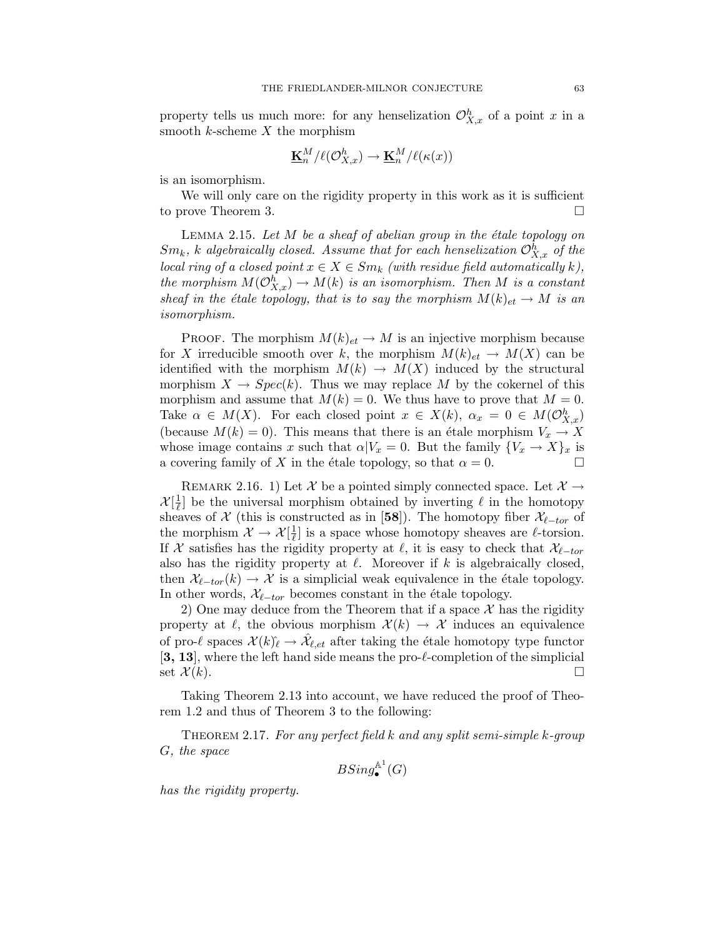property tells us much more: for any henselization  $\mathcal{O}_{X,x}^h$  of a point x in a<br>smooth k-scheme X the morphism smooth  $k$ -scheme  $X$  the morphism

$$
\underline{\mathbf{K}}_n^M/\ell(\mathcal{O}_{X,x}^h) \to \underline{\mathbf{K}}_n^M/\ell(\kappa(x))
$$

is an isomorphism.

We will only care on the rigidity property in this work as it is sufficient to prove Theorem 3.

LEMMA 2.15. Let M be a sheaf of abelian group in the étale topology on  $Sm_k$ , k algebraically closed. Assume that for each henselization  $\mathcal{O}_{X,x}^h$  of the local ring of a closed point  $x \in X \subseteq Sm$ . (with residue field automatically k) *local ring of a closed point*  $x \in X \in Sm_k$  *(with residue field automatically k), the morphism*  $M(\mathcal{O}_{X,x}^h) \to M(k)$  *is an isomorphism. Then* M *is a constant* check in the *étale* topology, that is to sou the morphism  $M(k) \to M$  is an *sheaf in the étale topology, that is to say the morphism*  $M(k)_{et} \rightarrow M$  *is an isomorphism.*

PROOF. The morphism  $M(k)_{et} \to M$  is an injective morphism because for X irreducible smooth over k, the morphism  $M(k)_{et} \to M(X)$  can be identified with the morphism  $M(k) \to M(X)$  induced by the structural morphism  $X \to Spec(k)$ . Thus we may replace M by the cokernel of this morphism and assume that  $M(k) = 0$ . We thus have to prove that  $M = 0$ . Take  $\alpha \in M(X)$ . For each closed point  $x \in X(k)$ ,  $\alpha_x = 0 \in M(\mathcal{O}_{X,x}^h)$ <br>(because  $M(k) = 0$ ). This means that there is an étale merghism  $V \times Y$ (because  $M(k) = 0$ ). This means that there is an étale morphism  $V_x \to X$ whose image contains x such that  $\alpha|V_x = 0$ . But the family  $\{V_x \to X\}_x$  is a covering family of X in the étale topology, so that  $\alpha = 0$ .

REMARK 2.16. 1) Let X be a pointed simply connected space. Let  $\mathcal{X} \rightarrow$  $\mathcal{X}[\frac{1}{\ell}]$  be the universal morphism obtained by inverting  $\ell$  in the homotopy<br>sheaves of  $\mathcal X$  (this is constructed as in [58]). The homotopy fiber  $\mathcal X_{\ell}$  to of sheaves of  $\mathcal{X}$  (this is constructed as in [58]). The homotopy fiber  $\mathcal{X}_{\ell-tor}$  of the morphism  $\mathcal{X} \to \mathcal{X}[\frac{1}{\ell}]$  is a space whose homotopy sheaves are  $\ell$ -torsion.<br>If  $\mathcal{X}$  satisfies has the rigidity property at  $\ell$  it is easy to check that  $\mathcal{X}_{\ell \to \infty}$ If X satisfies has the rigidity property at  $\ell$ , it is easy to check that  $\mathcal{X}_{\ell-tor}$ <br>also has the rigidity property at  $\ell$ . Moreover if  $k$  is algebraically aloned also has the rigidity property at  $\ell$ . Moreover if k is algebraically closed, then  $\mathcal{X}_{\ell-tor}(k) \to \mathcal{X}$  is a simplicial weak equivalence in the étale topology. In other words,  $\mathcal{X}_{\ell-tor}$  becomes constant in the étale topology.

2) One may deduce from the Theorem that if a space  $\mathcal X$  has the rigidity property at  $\ell$ , the obvious morphism  $\mathcal{X}(k) \to \mathcal{X}$  induces an equivalence of pro- $\ell$  spaces  $\mathcal{X}(k)\hat{\ell} \to \hat{\mathcal{X}}_{\ell,et}$  after taking the étale homotopy type functor  $\mathbf{S}$  12 upon the loft hand side means the pro  $\ell$  completion of the simplicial  $[3, 13]$ , where the left hand side means the pro- $\ell$ -completion of the simplicial set  $\mathcal{X}(k)$ .  $\Box$ 

Taking Theorem 2.13 into account, we have reduced the proof of Theorem 1.2 and thus of Theorem 3 to the following:

Theorem 2.17. *For any perfect field* k *and any split semi-simple* k*-group* G*, the space*

 $BSing_{\bullet}^{{\mathbb A}^1}(G)$ 

*has the rigidity property.*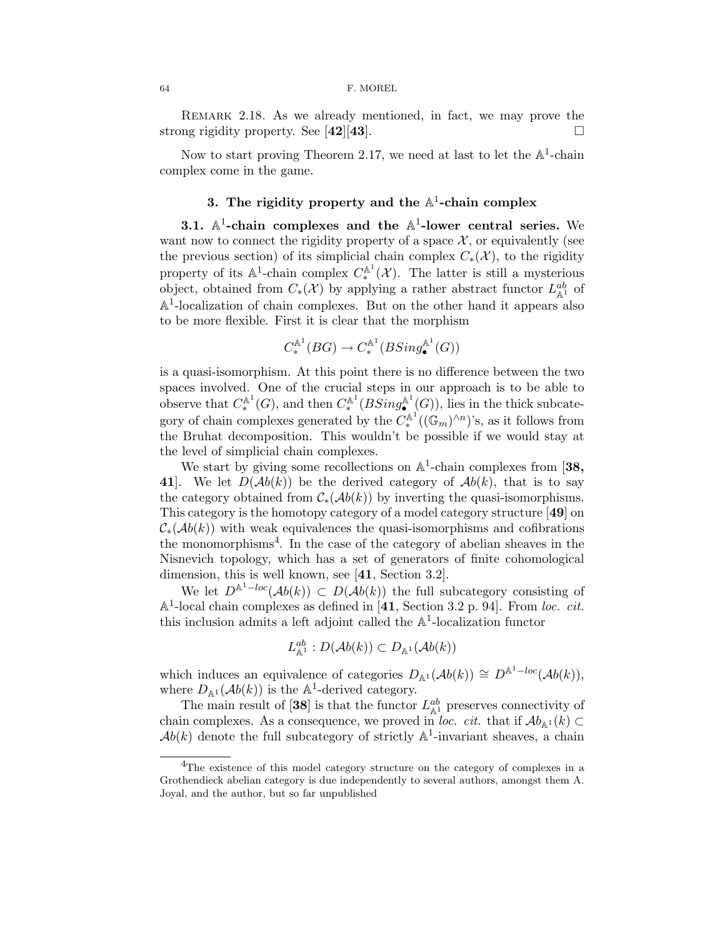REMARK 2.18. As we already mentioned, in fact, we may prove the strong rigidity property. See  $[42][43]$ .

Now to start proving Theorem 2.17, we need at last to let the  $\mathbb{A}^1$ -chain complex come in the game.

## **3.** The rigidity property and the  $A^1$ -chain complex

**3.1.** A1**-chain complexes and the** A1**-lower central series.** We want now to connect the rigidity property of a space  $\mathcal{X}$ , or equivalently (see the previous section) of its simplicial chain complex  $C_*(\mathcal{X})$ , to the rigidity property of its  $\mathbb{A}^1$ -chain complex  $C_*^{\mathbb{A}^1}(\mathcal{X})$ . The latter is still a mysterious object, obtained from  $C_*(\mathcal{X})$  by applying a rather abstract functor  $L_{\mathbb{A}^1}^{ab}$  of  $\mathbb{A}^1$ -localization of chain complexes. But on the other hand it appears also to be more flexible. First it is clear that the morphism

$$
C^{{\mathbb A}^1}_*(BG) \to C^{{\mathbb A}^1}_*(BSing^{{\mathbb A}^1}_\bullet(G))
$$

is a quasi-isomorphism. At this point there is no difference between the two spaces involved. One of the crucial steps in our approach is to be able to observe that  $C_*^{\mathbb{A}^1}(G)$ , and then  $C_*^{\mathbb{A}^1}(BSing_{\bullet}^{\mathbb{A}^1}(G))$ , lies in the thick subcategory of chain complexes generated by the  $C_*^{\mathbb{A}^1}((\mathbb{G}_m)^{\wedge n})$ 's, as it follows from the Bruhat decomposition. This wouldn't be possible if we would stay at the level of simplicial chain complexes.

We start by giving some recollections on  $\mathbb{A}^1$ -chain complexes from [38, **41**. We let  $D(\mathcal{A}b(k))$  be the derived category of  $\mathcal{A}b(k)$ , that is to say the category obtained from  $\mathcal{C}_*(\mathcal{A}b(k))$  by inverting the quasi-isomorphisms. This category is the homotopy category of a model category structure [**49**] on  $\mathcal{C}_*(\mathcal{A}b(k))$  with weak equivalences the quasi-isomorphisms and cofibrations the monomorphisms<sup>4</sup>. In the case of the category of abelian sheaves in the Nisnevich topology, which has a set of generators of finite cohomological dimension, this is well known, see [**41**, Section 3.2].

We let  $D^{A^1-loc}(\mathcal{A}b(k)) \subset D(\mathcal{A}b(k))$  the full subcategory consisting of A1-local chain complexes as defined in [**41**, Section 3.2 p. 94]. From *loc. cit.* this inclusion admits a left adjoint called the  $A<sup>1</sup>$ -localization functor

$$
L_{\mathbb{A}^1}^{ab}:D(\mathcal{A}b(k))\subset D_{\mathbb{A}^1}(\mathcal{A}b(k))
$$

which induces an equivalence of categories  $D_{\mathbb{A}^1}(\mathcal{A}b(k)) \cong D^{\mathbb{A}^1 - loc}(\mathcal{A}b(k)),$ where  $D_{\mathbb{A}^1}(\mathcal{A}b(k))$  is the  $\mathbb{A}^1$ -derived category.

The main result of  $[38]$  is that the functor  $L_{\mathbb{A}^1}^{ab}$  preserves connectivity of chain complexes. As a consequence, we proved in *loc. cit.* that if  $\mathcal{A}b_{\mathbb{A}^1}(k) \subset$  $Ab(k)$  denote the full subcategory of strictly  $\mathbb{A}^1$ -invariant sheaves, a chain

<sup>&</sup>lt;sup>4</sup>The existence of this model category structure on the category of complexes in a Grothendieck abelian category is due independently to several authors, amongst them A. Joyal, and the author, but so far unpublished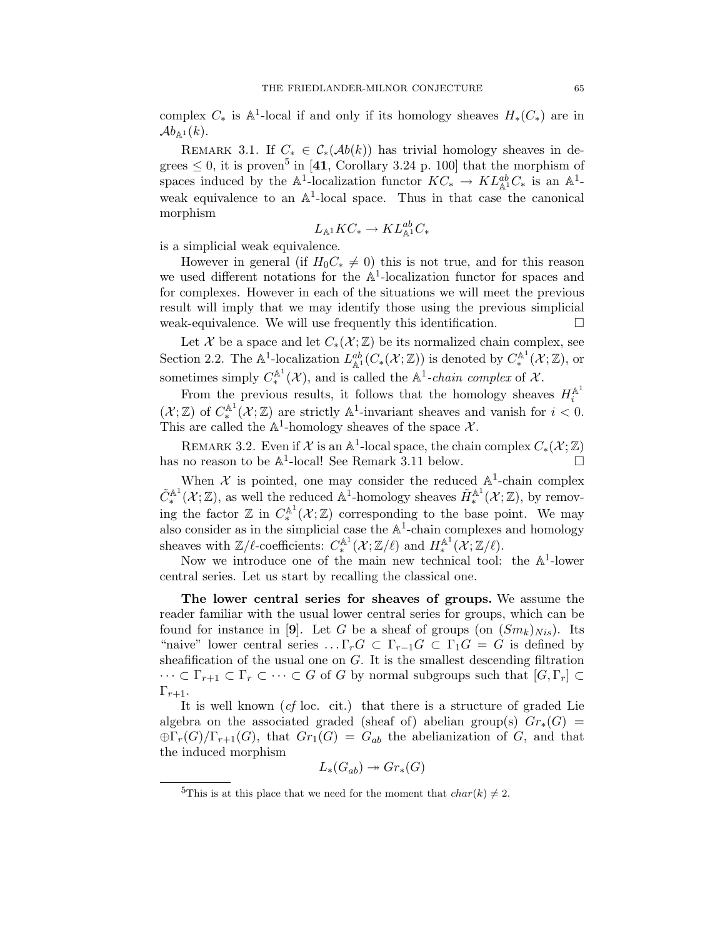complex  $C_*$  is A<sup>1</sup>-local if and only if its homology sheaves  $H_*(C_*)$  are in  $Ab_{\mathbb{A}^1}(k).$ 

REMARK 3.1. If  $C_* \in C_*(\mathcal{A}b(k))$  has trivial homology sheaves in degrees  $\leq 0$ , it is proven<sup>5</sup> in [41, Corollary 3.24 p. 100] that the morphism of spaces induced by the  $\mathbb{A}^1$ -localization functor  $KC_* \to KL_{\mathbb{A}^1}^{ab}C_*$  is an  $\mathbb{A}^1$ weak equivalence to an  $\mathbb{A}^1$ -local space. Thus in that case the canonical morphism

$$
L_{\mathbb{A}^1}KC_* \to KL_{\mathbb{A}^1}^{ab}C_*
$$

is a simplicial weak equivalence.

However in general (if  $H_0C_* \neq 0$ ) this is not true, and for this reason we used different notations for the  $\mathbb{A}^1$ -localization functor for spaces and for complexes. However in each of the situations we will meet the previous result will imply that we may identify those using the previous simplicial weak-equivalence. We will use frequently this identification.  $\Box$ 

Let X be a space and let  $C_*(\mathcal{X}; \mathbb{Z})$  be its normalized chain complex, see Section 2.2. The  $\mathbb{A}^1$ -localization  $L^{ab}_{\mathbb{A}^1}(C_*(\mathcal{X};\mathbb{Z}))$  is denoted by  $C_*^{\mathbb{A}^1}(\mathcal{X};\mathbb{Z})$ , or sometimes simply  $C_*^{\mathbb{A}^1}(\mathcal{X})$ , and is called the  $\mathbb{A}^1$ -*chain complex* of  $\mathcal{X}$ .

From the previous results, it follows that the homology sheaves  $H_i^{\mathbb{A}^1}$  $(\mathcal{X};\mathbb{Z})$  of  $C_*^{\mathbb{A}^1}(\mathcal{X};\mathbb{Z})$  are strictly  $\mathbb{A}^1$ -invariant sheaves and vanish for  $i < 0$ . This are called the  $\mathbb{A}^1$ -homology sheaves of the space X.

REMARK 3.2. Even if  $\mathcal X$  is an A<sup>1</sup>-local space, the chain complex  $C_*(\mathcal X;\mathbb Z)$  no reason to be A<sup>1</sup>-local! See Remark 3.11 below. has no reason to be  $\mathbb{A}^1$ -local! See Remark 3.11 below.

When  $\mathcal X$  is pointed, one may consider the reduced  $\mathbb A^1$ -chain complex  $\tilde{C}_{*}^{\mathbb{A}^1}(\mathcal{X};\mathbb{Z})$ , as well the reduced  $\mathbb{A}^1$ -homology sheaves  $\tilde{H}_{*}^{\mathbb{A}^1}(\mathcal{X};\mathbb{Z})$ , by removing the factor  $\mathbb{Z}$  in  $C^{\mathbb{A}^1}_*(\mathcal{X};\mathbb{Z})$  corresponding to the base point. We may also consider as in the simplicial case the  $\mathbb{A}^1$ -chain complexes and homology sheaves with  $\mathbb{Z}/\ell$ -coefficients:  $C^{\mathbb{A}^1}_*(\mathcal{X}; \mathbb{Z}/\ell)$  and  $H^{\mathbb{A}^1}_*(\mathcal{X}; \mathbb{Z}/\ell)$ .

Now we introduce one of the main new technical tool: the  $\mathbb{A}^1$ -lower central series. Let us start by recalling the classical one.

**The lower central series for sheaves of groups.** We assume the reader familiar with the usual lower central series for groups, which can be found for instance in [9]. Let G be a sheaf of groups (on  $(Sm_k)_{Nis}$ ). Its "naive" lower central series  $\ldots \Gamma_r G \subset \Gamma_{r-1} G \subset \Gamma_1 G = G$  is defined by sheafification of the usual one on  $G$ . It is the smallest descending filtration  $\cdots \subset \Gamma_{r+1} \subset \Gamma_r \subset \cdots \subset G$  of G by normal subgroups such that  $[G, \Gamma_r] \subset$  $\Gamma_{r+1}$ .

It is well known (*cf* loc. cit.) that there is a structure of graded Lie algebra on the associated graded (sheaf of) abelian group(s)  $Gr_*(G)$  =  $\bigoplus_{r} \Gamma_r(G)/\Gamma_{r+1}(G)$ , that  $Gr_1(G) = G_{ab}$  the abelianization of G, and that the induced morphism

$$
L_*(G_{ab}) \twoheadrightarrow Gr_*(G)
$$

<sup>&</sup>lt;sup>5</sup>This is at this place that we need for the moment that  $char(k) \neq 2$ .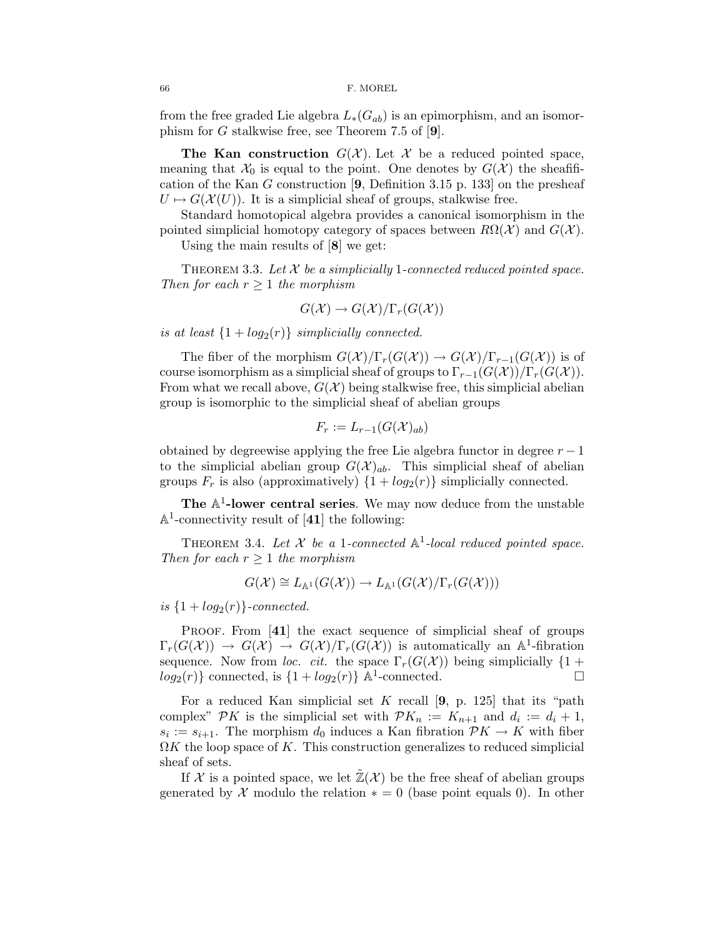from the free graded Lie algebra  $L_*(G_{ab})$  is an epimorphism, and an isomorphism for G stalkwise free, see Theorem 7.5 of [**9**].

**The Kan construction**  $G(\mathcal{X})$ . Let X be a reduced pointed space, meaning that  $\mathcal{X}_0$  is equal to the point. One denotes by  $G(\mathcal{X})$  the sheafification of the Kan G construction [**9**, Definition 3.15 p. 133] on the presheaf  $U \mapsto G(\mathcal{X}(U))$ . It is a simplicial sheaf of groups, stalkwise free.

Standard homotopical algebra provides a canonical isomorphism in the pointed simplicial homotopy category of spaces between  $R\Omega(\mathcal{X})$  and  $G(\mathcal{X})$ .

Using the main results of [**8**] we get:

THEOREM 3.3. Let  $X$  be a simplicially 1-connected reduced pointed space. *Then for each*  $r \geq 1$  *the morphism* 

$$
G(\mathcal{X}) \to G(\mathcal{X})/\Gamma_r(G(\mathcal{X}))
$$

*is at least*  $\{1 + log_2(r)\}\$  *simplicially connected.* 

The fiber of the morphism  $G(\mathcal{X})/\Gamma_r(G(\mathcal{X})) \to G(\mathcal{X})/\Gamma_{r-1}(G(\mathcal{X}))$  is of course isomorphism as a simplicial sheaf of groups to  $\Gamma_{r-1}(G(\mathcal{X}))/\Gamma_r(G(\mathcal{X})).$ From what we recall above,  $G(\mathcal{X})$  being stalkwise free, this simplicial abelian group is isomorphic to the simplicial sheaf of abelian groups

$$
F_r := L_{r-1}(G(\mathcal{X})_{ab})
$$

obtained by degreewise applying the free Lie algebra functor in degree  $r - 1$ to the simplicial abelian group  $G(\mathcal{X})_{ab}$ . This simplicial sheaf of abelian groups  $F_r$  is also (approximatively)  $\{1 + log_2(r)\}\$  simplicially connected.

**The** A1**-lower central series**. We may now deduce from the unstable  $\mathbb{A}^1$ -connectivity result of [41] the following:

THEOREM 3.4. Let  $X$  be a 1-connected  $A^1$ -local reduced pointed space. *Then for each*  $r \geq 1$  *the morphism* 

$$
G(\mathcal{X}) \cong L_{\mathbb{A}^1}(G(\mathcal{X})) \to L_{\mathbb{A}^1}(G(\mathcal{X})/\Gamma_r(G(\mathcal{X})))
$$

*is*  $\{1 + log_2(r)\}\text{-connected.}$ 

PROOF. From [41] the exact sequence of simplicial sheaf of groups  $\Gamma_r(G(\mathcal{X})) \to G(\mathcal{X}) \to G(\mathcal{X})/\Gamma_r(G(\mathcal{X}))$  is automatically an A<sup>1</sup>-fibration sequence. Now from *loc. cit.* the space  $\Gamma_r(G(\mathcal{X}))$  being simplicially  $\{1 + \log_2(r)\}\$  connected. is  $\{1 + \log_2(r)\}$   $\mathbb{A}^1$ -connected.  $log_2(r)$  connected, is  $\{1 + log_2(r)\}\;$  A<sup>1</sup>-connected.

For a reduced Kan simplicial set K recall [**9**, p. 125] that its "path complex" PK is the simplicial set with  $\mathcal{P}K_n := K_{n+1}$  and  $d_i := d_i + 1$ ,  $s_i := s_{i+1}$ . The morphism  $d_0$  induces a Kan fibration  $\mathcal{P}K \to K$  with fiber  $\Omega K$  the loop space of K. This construction generalizes to reduced simplicial sheaf of sets.

If X is a pointed space, we let  $\mathbb{Z}(\mathcal{X})$  be the free sheaf of abelian groups generated by X modulo the relation  $* = 0$  (base point equals 0). In other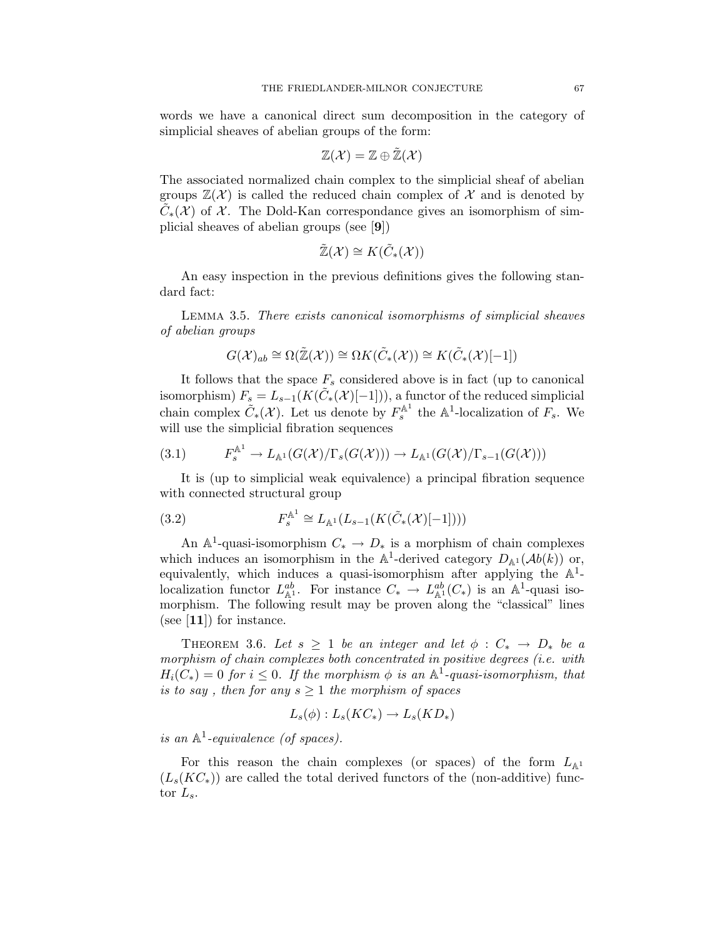words we have a canonical direct sum decomposition in the category of simplicial sheaves of abelian groups of the form:

$$
\mathbb{Z}(\mathcal{X})=\mathbb{Z}\oplus\tilde{\mathbb{Z}}(\mathcal{X})
$$

The associated normalized chain complex to the simplicial sheaf of abelian groups  $\mathbb{Z}(\mathcal{X})$  is called the reduced chain complex of X and is denoted by  $C_*(\mathcal{X})$  of X. The Dold-Kan correspondance gives an isomorphism of simplicial sheaves of abelian groups (see [**9**])

$$
\mathbb{Z}(\mathcal{X}) \cong K(\tilde{C}_{*}(\mathcal{X}))
$$

An easy inspection in the previous definitions gives the following standard fact:

Lemma 3.5. *There exists canonical isomorphisms of simplicial sheaves of abelian groups*

$$
G(\mathcal{X})_{ab} \cong \Omega(\tilde{\mathbb{Z}}(\mathcal{X})) \cong \Omega K(\tilde{C}_{*}(\mathcal{X})) \cong K(\tilde{C}_{*}(\mathcal{X})[-1])
$$

It follows that the space  $F_s$  considered above is in fact (up to canonical isomorphism)  $F_s = L_{s-1}(K(C_*(\mathcal{X})[-1]))$ , a functor of the reduced simplicial chain complex  $\tilde{C}_*(\mathcal{X})$ . Let us denote by  $F_s^{\mathbb{A}^1}$  the  $\mathbb{A}^1$ -localization of  $F_s$ . We will use the simplicial fibration sequences

(3.1) 
$$
F_s^{\mathbb{A}^1} \to L_{\mathbb{A}^1}(G(\mathcal{X})/\Gamma_s(G(\mathcal{X}))) \to L_{\mathbb{A}^1}(G(\mathcal{X})/\Gamma_{s-1}(G(\mathcal{X})))
$$

It is (up to simplicial weak equivalence) a principal fibration sequence with connected structural group

(3.2) 
$$
F_s^{\mathbb{A}^1} \cong L_{\mathbb{A}^1}(L_{s-1}(K(\tilde{C}_*(\mathcal{X})[-1])))
$$

An  $\mathbb{A}^1$ -quasi-isomorphism  $C_* \to D_*$  is a morphism of chain complexes which induces an isomorphism in the  $\mathbb{A}^1$ -derived category  $D_{\mathbb{A}^1}(\mathcal{A}b(k))$  or, equivalently, which induces a quasi-isomorphism after applying the  $\mathbb{A}^1$ localization functor  $L_{\mathbb{A}^1}^{ab}$ . For instance  $C_* \to L_{\mathbb{A}^1}^{ab}(C_*)$  is an  $\mathbb{A}^1$ -quasi isomorphism. The following result may be proven along the "classical" lines (see [**11**]) for instance.

THEOREM 3.6. Let  $s \geq 1$  be an integer and let  $\phi : C_* \to D_*$  be a *morphism of chain complexes both concentrated in positive degrees (i.e. with*  $H_i(C_*)=0$  *for*  $i \leq 0$ *. If the morphism*  $\phi$  *is an*  $\mathbb{A}^1$ -quasi-isomorphism, that *is to say, then for any*  $s \geq 1$  *the morphism of spaces* 

$$
L_s(\phi): L_s(KC_*) \to L_s(KD_*)
$$

*is an*  $\mathbb{A}^1$ -equivalence (of spaces).

For this reason the chain complexes (or spaces) of the form  $L_{\mathbb{A}^1}$  $(L_s(KC_*))$  are called the total derived functors of the (non-additive) functor  $L_s$ .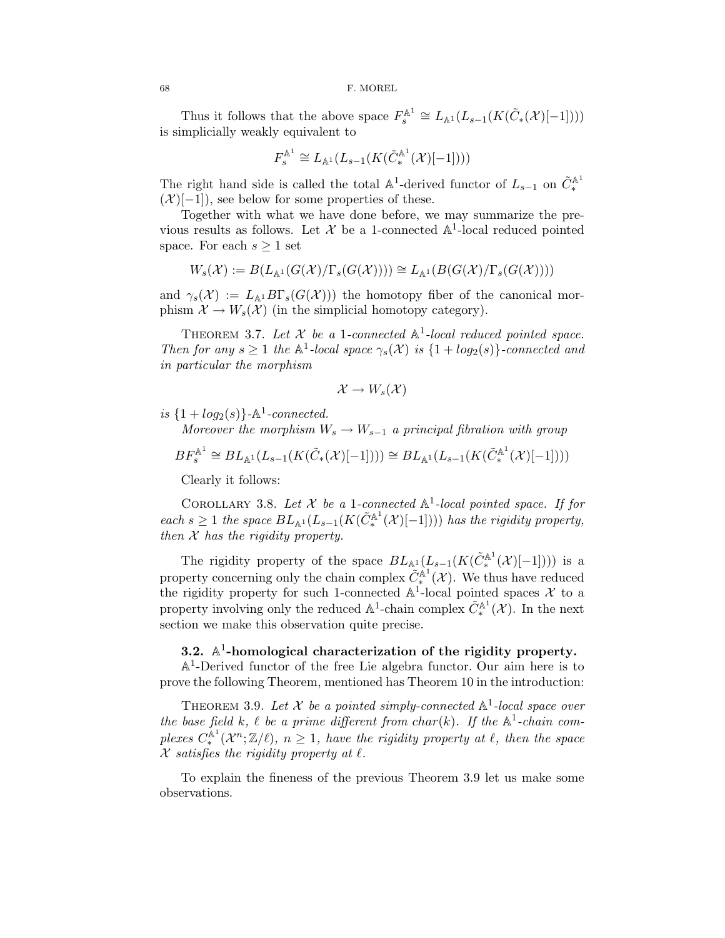Thus it follows that the above space  $F_s^{\mathbb{A}^1} \cong L_{\mathbb{A}^1}(L_{s-1}(K(\tilde{C}_*(\mathcal{X})[-1]))$ <br>mplicially weakly equivalent to is simplicially weakly equivalent to

$$
F_s^{\mathbb{A}^1} \cong L_{\mathbb{A}^1}(L_{s-1}(K(\tilde{C}_*^{\mathbb{A}^1}(\mathcal{X})[-1])))
$$

The right hand side is called the total  $\mathbb{A}^1$ -derived functor of  $L_{s-1}$  on  $\tilde{C}^{\mathbb{A}^1}_*$  $(\mathcal{X})[-1]$ , see below for some properties of these.

Together with what we have done before, we may summarize the previous results as follows. Let  $\mathcal X$  be a 1-connected  $\mathbb A^1$ -local reduced pointed space. For each  $s \geq 1$  set

$$
W_s(\mathcal{X}) := B(L_{\mathbb{A}^1}(G(\mathcal{X})/\Gamma_s(G(\mathcal{X})))) \cong L_{\mathbb{A}^1}(B(G(\mathcal{X})/\Gamma_s(G(\mathcal{X}))))
$$

and  $\gamma_s(\mathcal{X}) := L_{\mathbb{A}^1} B\Gamma_s(G(\mathcal{X})))$  the homotopy fiber of the canonical morphism  $\mathcal{X} \to W_s(\mathcal{X})$  (in the simplicial homotopy category).

THEOREM 3.7. Let  $X$  be a 1-connected  $A^1$ -local reduced pointed space. *Then for any*  $s \geq 1$  *the*  $\mathbb{A}^1$ *-local space*  $\gamma_s(\mathcal{X})$  *is*  $\{1 + \log_2(s)\}$ *-connected and in particular the morphism*

$$
\mathcal{X}\to W_s(\mathcal{X})
$$

*is*  $\{1 + log_2(s)\}$ - $\mathbb{A}^1$ -connected.

*Moreover the morphism*  $W_s \to W_{s-1}$  *a principal fibration with group* 

$$
BF_s^{\mathbb{A}^1} \cong BL_{\mathbb{A}^1}(L_{s-1}(K(\tilde{C}_{*}(X)[-1]))) \cong BL_{\mathbb{A}^1}(L_{s-1}(K(\tilde{C}_{*}^{\mathbb{A}^1}(\mathcal{X})[-1])))
$$

Clearly it follows:

COROLLARY 3.8. Let  $X$  be a 1-connected  $A^1$ -local pointed space. If for *each*  $s \geq 1$  *the space*  $BL_{\mathbb{A}^1}(L_{s-1}(K(\tilde{C}_{\ast}^{\mathbb{A}^1}(\mathcal{X})[-1]))$  *has the rigidity property,*<br>*then*  $\mathcal{Y}$  has the rigidity property. *then* X *has the rigidity property.*

The rigidity property of the space  $BL_{\mathbb{A}^1}(L_{s-1}(K(\tilde{C}_{*}^{\mathbb{A}^1}(\mathcal{X})[-1])))$  is a property concerning only the chain complex  $\tilde{C}_{*}^{\mathbb{A}^1}(\mathcal{X})$ . We thus have reduced the rigidity property for such 1-connected  $\mathbb{A}^1$ -local pointed spaces X to a property involving only the reduced  $\mathbb{A}^1$ -chain complex  $\tilde{C}^{\mathbb{A}^1}_*(\mathcal{X})$ . In the next section we make this observation quite precise.

## **3.2.** A1**-homological characterization of the rigidity property.**

 $\mathbb{A}^1$ -Derived functor of the free Lie algebra functor. Our aim here is to prove the following Theorem, mentioned has Theorem 10 in the introduction:

THEOREM 3.9. Let  $X$  be a pointed simply-connected  $A^1$ -local space over *the base field*  $k$ ,  $\ell$  *be a prime different from char(k). If the*  $\mathbb{A}^1$ -*chain com* $p$ lexes  $C_*^{\mathbb{A}^1}(\mathcal{X}^n;\mathbb{Z}/\ell), n \geq 1$ , have the rigidity property at  $\ell$ , then the space  $X$  satisfies the rigidity property at  $\ell$ .

To explain the fineness of the previous Theorem 3.9 let us make some observations.

$$
^{68}
$$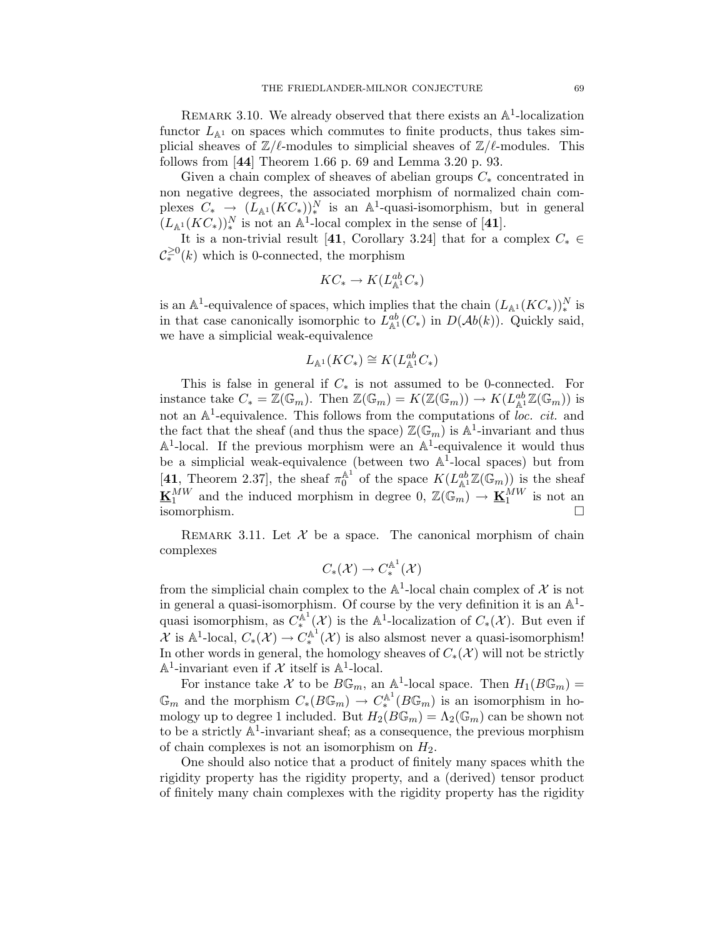REMARK 3.10. We already observed that there exists an  $\mathbb{A}^1$ -localization functor  $L_{\mathbb{A}^1}$  on spaces which commutes to finite products, thus takes simplicial sheaves of  $\mathbb{Z}/\ell$ -modules to simplicial sheaves of  $\mathbb{Z}/\ell$ -modules. This follows from [**44**] Theorem 1.66 p. 69 and Lemma 3.20 p. 93.

Given a chain complex of sheaves of abelian groups  $C_*$  concentrated in non negative degrees, the associated morphism of normalized chain complexes  $C_* \to (L_{\mathbb{A}^1}(KC_*))_*^N$  is an A<sup>1</sup>-quasi-isomorphism, but in general  $(L_{\mathbb{A}^1}(KC_*))_*^N$  is not an  $\mathbb{A}^1$ -local complex in the sense of [41].

It is a non-trivial result [41, Corollary 3.24] that for a complex  $C_* \in$  $\mathcal{C}_{\ast}^{\geq 0}(k)$  which is 0-connected, the morphism

$$
KC_* \to K(L_{\mathbb{A}^1}^{ab}C_*)
$$

is an  $\mathbb{A}^1$ -equivalence of spaces, which implies that the chain  $(L_{\mathbb{A}^1}(KC_*))_*^N$  is in that case canonically isomorphic to  $L_{\mathbb{A}^1}^{ab}(C_*)$  in  $D(\mathcal{A}b(k))$ . Quickly said, we have a simplicial weak-equivalence

$$
L_{\mathbb{A}^1}(KC_*) \cong K(L_{\mathbb{A}^1}^{ab}C_*)
$$

This is false in general if  $C_*$  is not assumed to be 0-connected. For instance take  $C_* = \mathbb{Z}(\mathbb{G}_m)$ . Then  $\mathbb{Z}(\mathbb{G}_m) = K(\mathbb{Z}(\mathbb{G}_m)) \to K(L^{ab}_{\mathbb{A}}\mathbb{Z}(\mathbb{G}_m))$  is not an  $A^1$ -equivalence. This follows from the computations of *loc. cit.* and the fact that the sheaf (and thus the space)  $\mathbb{Z}(\mathbb{G}_m)$  is  $\mathbb{A}^1$ -invariant and thus  $\mathbb{A}^1$ -local. If the previous morphism were an  $\mathbb{A}^1$ -equivalence it would thus be a simplicial weak-equivalence (between two  $\mathbb{A}^1$ -local spaces) but from [**41**, Theorem 2.37], the sheaf  $\pi_0^{\mathbb{A}^1}$  of the space  $K(L_{\mathbb{A}^1}^{ab}\mathbb{Z}(\mathbb{G}_m))$  is the sheaf  $\underline{\mathbf{K}}_1^{MW}$  and the induced morphism in degree  $0, \mathbb{Z}(\mathbb{G}_m) \to \underline{\mathbf{K}}_1^{MW}$  is not an isomorphism isomorphism.

REMARK 3.11. Let  $\mathcal X$  be a space. The canonical morphism of chain complexes

$$
C_*(\mathcal{X}) \to C_*^{\mathbb{A}^1}(\mathcal{X})
$$

from the simplicial chain complex to the  $\mathbb{A}^1$ -local chain complex of X is not in general a quasi-isomorphism. Of course by the very definition it is an  $\mathbb{A}^1$ quasi isomorphism, as  $C_*^{\mathbb{A}^1}(\mathcal{X})$  is the  $\mathbb{A}^1$ -localization of  $C_*(\mathcal{X})$ . But even if  $\mathcal{X}$  is  $\mathbb{A}^1$ -local,  $C_*(\mathcal{X}) \to C_*^{\mathbb{A}^1}(\mathcal{X})$  is also alsmost never a quasi-isomorphism! In other words in general, the homology sheaves of  $C_*(\mathcal{X})$  will not be strictly  $\mathbb{A}^1$ -invariant even if X itself is  $\mathbb{A}^1$ -local.

For instance take X to be  $B\mathbb{G}_m$ , an  $\mathbb{A}^1$ -local space. Then  $H_1(B\mathbb{G}_m)$  =  $\mathbb{G}_m$  and the morphism  $C_*(B\mathbb{G}_m) \to C_*^{\mathbb{A}^1}(B\mathbb{G}_m)$  is an isomorphism in ho-<br>moleculum to degree 1 included  $B_{\mathcal{U}^+}(B\mathbb{C}) = \Lambda_*(\mathbb{C})$  can be shown not mology up to degree 1 included. But  $H_2(B\mathbb{G}_m) = \Lambda_2(\mathbb{G}_m)$  can be shown not to be a strictly  $\mathbb{A}^1$ -invariant sheaf; as a consequence, the previous morphism of chain complexes is not an isomorphism on  $H_2$ .

One should also notice that a product of finitely many spaces whith the rigidity property has the rigidity property, and a (derived) tensor product of finitely many chain complexes with the rigidity property has the rigidity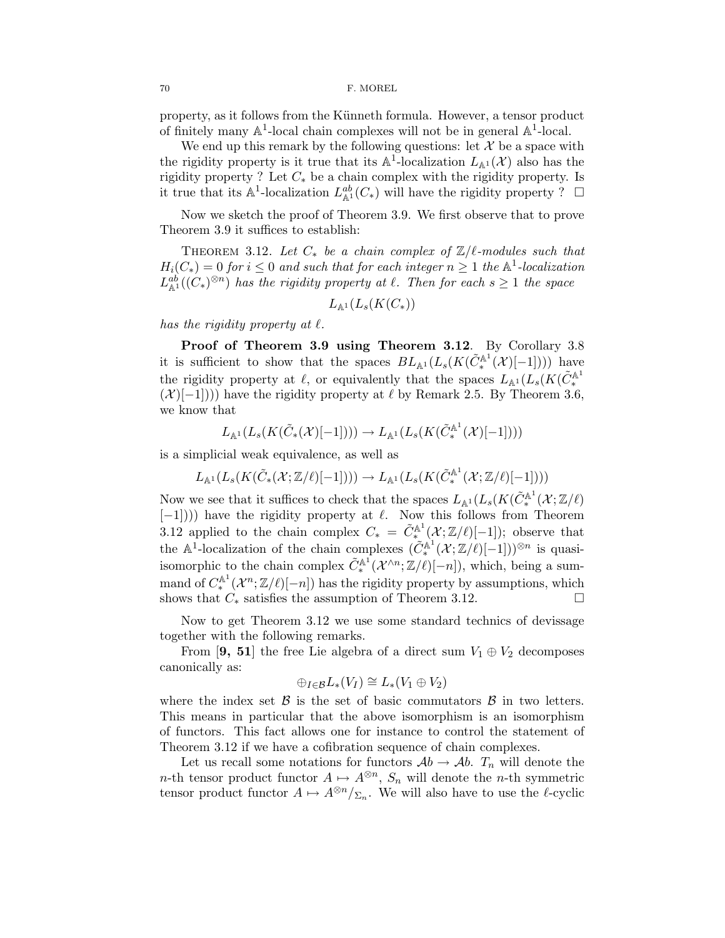property, as it follows from the Künneth formula. However, a tensor product of finitely many  $\mathbb{A}^1$ -local chain complexes will not be in general  $\mathbb{A}^1$ -local.

We end up this remark by the following questions: let  $\mathcal X$  be a space with the rigidity property is it true that its  $\mathbb{A}^1$ -localization  $L_{\mathbb{A}^1}(\mathcal{X})$  also has the rigidity property ? Let  $C_*$  be a chain complex with the rigidity property. Is it true that its  $\mathbb{A}^1$ -localization  $L_{\mathbb{A}^1}^{ab}(C_*)$  will have the rigidity property ?  $\Box$ 

Now we sketch the proof of Theorem 3.9. We first observe that to prove Theorem 3.9 it suffices to establish:

THEOREM 3.12. Let  $C_*$  be a chain complex of  $\mathbb{Z}/\ell$ -modules such that  $H_i(C_*)=0$  *for*  $i \leq 0$  *and such that for each integer*  $n \geq 1$  *the*  $\mathbb{A}^1$ *-localization*  $L^{\text{ab}}_{\mathbb{A}^1}((C_*)^{\otimes n})$  *has the rigidity property at*  $\ell$ *. Then for each*  $s \geq 1$  *the space* 

 $L_{\mathbb{A}^{1}}(L_{s}(K(C_{*}))$ 

*has the rigidity property at*  $\ell$ .

**Proof of Theorem 3.9 using Theorem 3.12**. By Corollary 3.8 it is sufficient to show that the spaces  $BL_{\mathbb{A}^1}(L_s(K(\tilde{C}_{\ast}^{\mathbb{A}^1}(\mathcal{X})[-1])))$  have the rigidity property at  $\ell$ , or equivalently that the spaces  $L_{\mathbb{A}^1}(L_s(K(\tilde{C}^{\mathbb{A}^1}_*)$  $(\mathcal{X})[-1]$ )) have the rigidity property at  $\ell$  by Remark 2.5. By Theorem 3.6, we know that

$$
L_{\mathbb{A}^1}(L_s(K(\tilde{C}_*(\mathcal{X})[-1]))) \to L_{\mathbb{A}^1}(L_s(K(\tilde{C}_*^{\mathbb{A}^1}(\mathcal{X})[-1])))
$$

is a simplicial weak equivalence, as well as

$$
L_{{\mathbb A}^1}(L_s(K(\tilde{C}_*({\mathcal X};{\mathbb Z}/\ell)[-1]))) \to L_{{\mathbb A}^1}(L_s(K(\tilde{C}_*^{{\mathbb A}^1}({\mathcal X};{\mathbb Z}/\ell)[-1])))
$$

Now we see that it suffices to check that the spaces  $L_{\mathbb{A}^1}(L_s(K(\tilde{C}^{\mathbb{A}^1}_*(\mathcal{X};\mathbb{Z}/\ell)))$  $[-1]$ ))) have the rigidity property at  $\ell$ . Now this follows from Theorem 3.12 applied to the chain complex  $C_* = \tilde{C}^{\mathbb{A}^1}_*(\mathcal{X}; \mathbb{Z}/\ell)[-1]$ ; observe that the A<sup>1</sup>-localization of the chain complexes  $(\tilde{C}_{*}^{\mathbb{A}^1}(\mathcal{X}; \mathbb{Z}/\ell)[-1]))^{\otimes n}$  is quasiisomorphic to the chain complex  $\tilde{C}_{*}^{\mathbb{A}^1}(\mathcal{X}^{\wedge n}; \mathbb{Z}/\ell)[-n]$ , which, being a summand of  $C_*^{\mathbb{A}^1}(\mathcal{X}^n;\mathbb{Z}/\ell)[-n]$ ) has the rigidity property by assumptions, which shows that  $C_*$  satisfies the assumption of Theorem 3.12.  $\Box$ 

Now to get Theorem 3.12 we use some standard technics of devissage together with the following remarks.

From [9, 51] the free Lie algebra of a direct sum  $V_1 \oplus V_2$  decomposes canonically as:

$$
\oplus_{I \in \mathcal{B}} L_*(V_I) \cong L_*(V_1 \oplus V_2)
$$

where the index set  $\beta$  is the set of basic commutators  $\beta$  in two letters. This means in particular that the above isomorphism is an isomorphism of functors. This fact allows one for instance to control the statement of Theorem 3.12 if we have a cofibration sequence of chain complexes.

Let us recall some notations for functors  $\mathcal{A}b \to \mathcal{A}b$ .  $T_n$  will denote the n-th tensor product functor  $A \mapsto A^{\otimes n}$ ,  $S_n$  will denote the n-th symmetric tensor product functor  $A \mapsto A^{\otimes n}/_{\Sigma_n}$ . We will also have to use the  $\ell$ -cyclic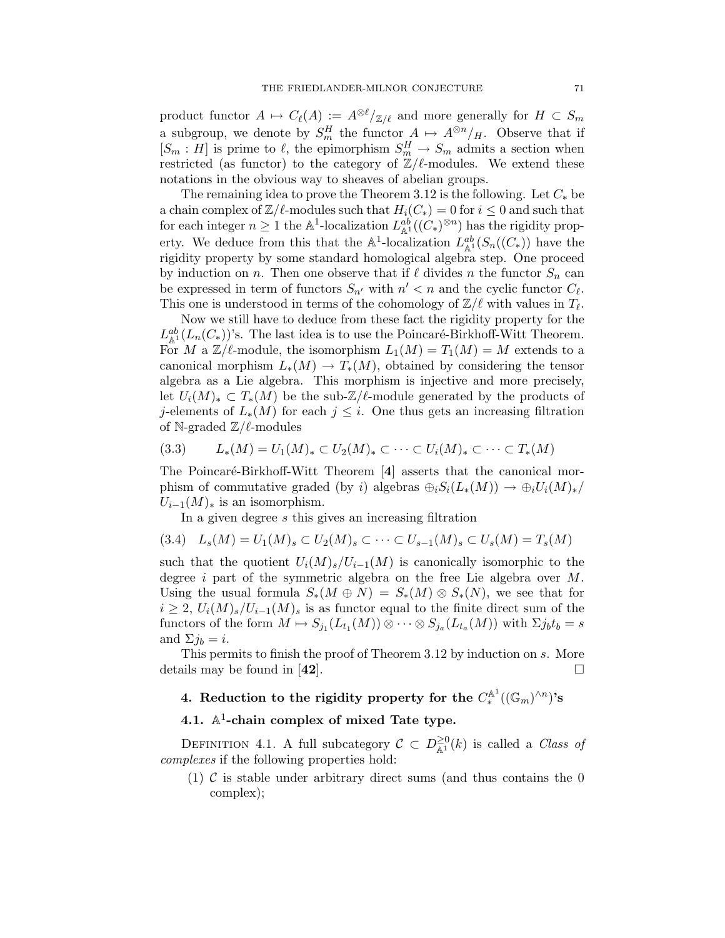product functor  $A \mapsto C_{\ell}(A) := A^{\otimes \ell}/\mathbb{Z}/\ell$  and more generally for  $H \subset S_m$ a subgroup, we denote by  $S_m^H$  the functor  $A \mapsto A^{\otimes n}/H$ . Observe that if  $[S_m : H]$  is prime to  $\ell$ , the epimorphism  $S_m^H \to S_m$  admits a section when<br>restricted (as functor) to the category of  $\mathbb{Z}/\ell$ -modules. We extend these restricted (as functor) to the category of  $\mathbb{Z}/\ell$ -modules. We extend these notations in the obvious way to sheaves of abelian groups.

The remaining idea to prove the Theorem 3.12 is the following. Let  $C_*$  be a chain complex of  $\mathbb{Z}/\ell$ -modules such that  $H_i(C_*)=0$  for  $i \leq 0$  and such that for each integer  $n > 1$  the A<sub>1</sub> legalization  $I^{ab}$  ( $(C, \mathbb{R})$ ) has the migidity propfor each integer  $n \geq 1$  the  $\mathbb{A}^1$ -localization  $L_{\mathbb{A}^1}^{ab}((C_*)^{\otimes n})$  has the rigidity property. We deduce from this that the  $\mathbb{A}^1$ -localization  $L^{ab}_{\mathbb{A}}(S_n((C_*))$  have the rigidity proporty by some standard homological algebra stap. One proceed rigidity property by some standard homological algebra step. One proceed by induction on n. Then one observe that if  $\ell$  divides n the functor  $S_n$  can<br>be expressed in term of functors  $S_n$ , with  $n' \leq n$  and the evolic functor  $C_n$ . be expressed in term of functors  $S_{n'}$  with  $n' < n$  and the cyclic functor  $C_{\ell}$ . This one is understood in terms of the cohomology of  $\mathbb{Z}/\ell$  with values in  $T_{\ell}$ .<br>Now we still have to deduce from these feet the rigidity property for the

Now we still have to deduce from these fact the rigidity property for the  $L_{\mathbb{A}}^{ab}(L_n(C_*))^s$ . The last idea is to use the Poincaré-Birkhoff-Witt Theorem.<br>Equation  $\mathcal{L}_{ab}(\mathcal{M}) = \mathcal{L}(\mathcal{M}) = \mathcal{M}$  extends to a For M a  $\mathbb{Z}/\ell$ -module, the isomorphism  $L_1(M) = T_1(M) = M$  extends to a canonical morphism  $L_*(M) \to T_*(M)$ , obtained by considering the tensor algebra as a Lie algebra. This morphism is injective and more precisely, let  $U_i(M)_* \subset T_*(M)$  be the sub- $\mathbb{Z}/\ell$ -module generated by the products of  $i$  obtained by the products of  $I_i(M)$  for each  $i \leq i$ . One thus gets an increasing filtration j-elements of  $L_*(M)$  for each  $j \leq i$ . One thus gets an increasing filtration of N-graded  $\mathbb{Z}/\ell$ -modules

$$
(3.3) \qquad L_*(M) = U_1(M)_* \subset U_2(M)_* \subset \cdots \subset U_i(M)_* \subset \cdots \subset T_*(M)
$$

The Poincaré-Birkhoff-Witt Theorem [4] asserts that the canonical morphism of commutative graded (by i) algebras  $\bigoplus_i S_i(L_*(M)) \to \bigoplus_i U_i(M)_*/$  $U_{i-1}(M)_*$  is an isomorphism.

In a given degree  $s$  this gives an increasing filtration

$$
(3.4) \quad L_s(M) = U_1(M)_s \subset U_2(M)_s \subset \cdots \subset U_{s-1}(M)_s \subset U_s(M) = T_s(M)
$$

such that the quotient  $U_i(M)_s/U_{i-1}(M)$  is canonically isomorphic to the degree i part of the symmetric algebra on the free Lie algebra over M. Using the usual formula  $S_*(M \oplus N) = S_*(M) \otimes S_*(N)$ , we see that for  $i \geq 2$ ,  $U_i(M)_s/U_{i-1}(M)_s$  is as functor equal to the finite direct sum of the functors of the form  $M \mapsto S_{j_1}(L_{t_1}(M)) \otimes \cdots \otimes S_{j_a}(L_{t_a}(M))$  with  $\Sigma j_b t_b = s$ and  $\Sigma j_b = i$ .

This permits to finish the proof of Theorem 3.12 by induction on s. More details may be found in [42].  $\Box$ 

# **4.** Reduction to the rigidity property for the  $C_*^{\mathbb{A}^1}((\mathbb{G}_m)^{\wedge n})$ 's

## **4.1.** A1**-chain complex of mixed Tate type.**

DEFINITION 4.1. A full subcategory  $\mathcal{C} \subset D_{\mathbb{A}^1}^{\geq 0}(k)$  is called a *Class of complexes* if the following properties hold:

(1)  $\mathcal C$  is stable under arbitrary direct sums (and thus contains the 0 complex);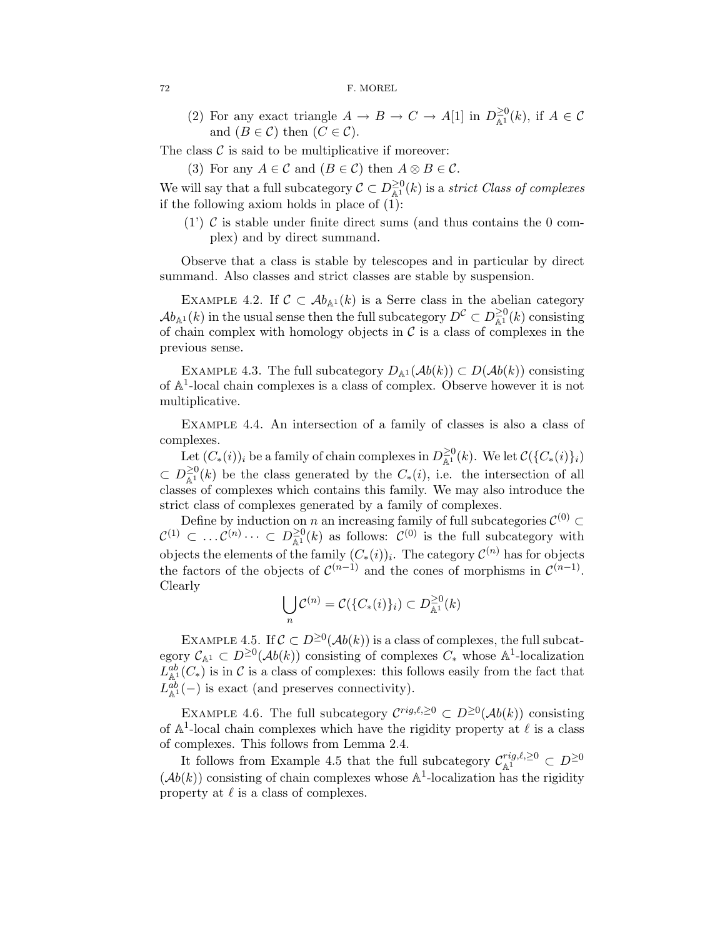(2) For any exact triangle  $A \to B \to C \to A[1]$  in  $D_{\mathbb{A}^1}^{\geq 0}(k)$ , if  $A \in \mathcal{C}$ and  $(B \in \mathcal{C})$  then  $(C \in \mathcal{C})$ .

The class  $\mathcal C$  is said to be multiplicative if moreover:

(3) For any  $A \in \mathcal{C}$  and  $(B \in \mathcal{C})$  then  $A \otimes B \in \mathcal{C}$ .

We will say that a full subcategory  $\mathcal{C} \subset D_{\mathbb{A}^1}^{\geq 0}(k)$  is a *strict Class of complexes* if the following axiom holds in place of  $(1)$ :

 $(1')$  C is stable under finite direct sums (and thus contains the 0 complex) and by direct summand.

Observe that a class is stable by telescopes and in particular by direct summand. Also classes and strict classes are stable by suspension.

EXAMPLE 4.2. If  $\mathcal{C} \subset Ab_{\mathbb{A}^1}(k)$  is a Serre class in the abelian category  $\mathcal{A}b_{\mathbb{A}^1}(k)$  in the usual sense then the full subcategory  $D^{\mathcal{C}} \subset D_{\mathbb{A}^1}^{\geq 0}(k)$  consisting of chain complex with homology objects in  $\mathcal{C}$  is a class of complexes in the previous sense.

EXAMPLE 4.3. The full subcategory  $D_{\mathbb{A}^1}(\mathcal{A}b(k)) \subset D(\mathcal{A}b(k))$  consisting of  $\mathbb{A}^1$ -local chain complexes is a class of complex. Observe however it is not multiplicative.

Example 4.4. An intersection of a family of classes is also a class of complexes.

Let  $(C_*(i))_i$  be a family of chain complexes in  $D_{\mathbb{A}^1}^{\geq 0}(k)$ . We let  $\mathcal{C}(\{C_*(i)\}_i)$  $\subset D_{\mathbb{A}^1}^{\geq 0}(k)$  be the class generated by the  $C_*(i)$ , i.e. the intersection of all classes of complexes which contains this family. We may also introduce the strict class of complexes generated by a family of complexes.

Define by induction on n an increasing family of full subcategories  $\mathcal{C}^{(0)}$  ⊂  $\mathcal{C}^{(1)} \subset \ldots \mathcal{C}^{(n)} \cdots \subset D_{\mathbb{A}^1}^{\geq 0}(k)$  as follows:  $\mathcal{C}^{(0)}$  is the full subcategory with objects the elements of the family  $(C_*(i))_i$ . The category  $\mathcal{C}^{(n)}$  has for objects the factors of the objects of  $\mathcal{C}^{(n-1)}$  and the cones of morphisms in  $\mathcal{C}^{(n-1)}$ . Clearly

$$
\bigcup_n \mathcal{C}^{(n)} = \mathcal{C}(\{C_*(i)\}_i) \subset D_{\mathbb{A}^1}^{\geq 0}(k)
$$

EXAMPLE 4.5. If  $C \subset D^{\geq 0}(\mathcal{A}b(k))$  is a class of complexes, the full subcategory  $\mathcal{C}_{\mathbb{A}^1} \subset D^{\geq 0}(\mathcal{A}b(k))$  consisting of complexes  $C_*$  whose  $\mathbb{A}^1$ -localization  $L_{\mathbb{A}^1}^{ab}(C_*)$  is in C is a class of complexes: this follows easily from the fact that  $L_{\mathbb{A}^1}^{ab}(-)$  is exact (and preserves connectivity).

EXAMPLE 4.6. The full subcategory  $\mathcal{C}^{rig,\ell,\geq0} \subset D^{\geq0}(\mathcal{A}b(k))$  consisting of  $\mathbb{A}^1$ -local chain complexes which have the rigidity property at  $\ell$  is a class of complexes. This follows from Lemma 2.4.

It follows from Example 4.5 that the full subcategory  $\mathcal{C}_{\mathbb{A}^1}^{rig,\ell,\geq 0} \subset D^{\geq 0}$  $(\mathcal{A}b(k))$  consisting of chain complexes whose  $\mathbb{A}^1$ -localization has the rigidity property at  $\ell$  is a class of complexes.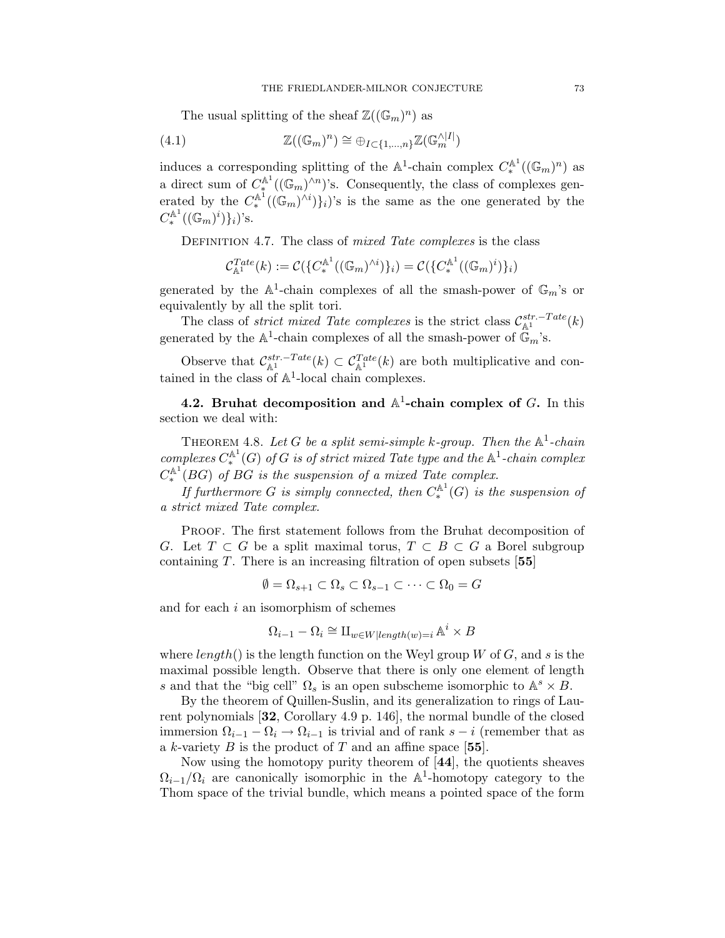The usual splitting of the sheaf  $\mathbb{Z}((\mathbb{G}_m)^n)$  as

(4.1) 
$$
\mathbb{Z}((\mathbb{G}_m)^n) \cong \bigoplus_{I \subset \{1,\ldots,n\}} \mathbb{Z}(\mathbb{G}_m^{\wedge |I|})
$$

induces a corresponding splitting of the  $\mathbb{A}^1$ -chain complex  $C_*^{\mathbb{A}^1}((\mathbb{G}_m)^n)$  as a direct sum of  $C_*^{\mathbb{A}^1}((\mathbb{G}_m)^{\wedge n})$ 's. Consequently, the class of complexes generated by the crated by the  $C_*^{\mathbb{A}^1}((\mathbb{G}_m)^{\wedge i})\}_i)$ 's is the same as the one generated by the  $C^{\mathbb{A}^1}((\mathbb{G}_m)^{\wedge i})$ .  $C_*^{{\mathbb{A}}^1}(({{\mathbb{G}}_m})^i)\}_i)$ 's.

Definition 4.7. The class of *mixed Tate complexes* is the class

$$
\mathcal{C}_{\mathbb{A}^{1}}^{Tate}(k) := \mathcal{C}(\{C_{\ast}^{\mathbb{A}^{1}}((\mathbb{G}_{m})^{\wedge i})\}_{i}) = \mathcal{C}(\{C_{\ast}^{\mathbb{A}^{1}}((\mathbb{G}_{m})^{i})\}_{i})
$$

generated by the  $A^1$ -chain complexes of all the smash-power of  $\mathbb{G}_m$ 's or equivalently by all the split tori.

The class of *strict mixed Tate complexes* is the strict class  $\mathcal{C}_{\mathbb{A}^1}^{str.-Tate}(k)$ generated by the  $\mathbb{A}^1$ -chain complexes of all the smash-power of  $\mathbb{G}_m$ 's.

Observe that  $\mathcal{C}_{\mathbb{A}^1}^{str.-Tate}(k) \subset \mathcal{C}_{\mathbb{A}^1}^{Tate}(k)$  are both multiplicative and contained in the class of  $\mathbb{A}^1$ -local chain complexes.

**4.2. Bruhat decomposition and**  $A^1$ **-chain complex of G.** In this section we deal with:

THEOREM 4.8. Let G be a split semi-simple k-group. Then the  $A^1$ -chain  $complexes C_*^{\mathbb{A}^1}(G)$  *of* G *is of strict mixed Tate type and the*  $\mathbb{A}^1$ -*chain complex*  $C_*^{\mathbb{A}^1}(BG)$  of  $BG$  is the suspension of a mixed Tate complex.

*If furthermore G is simply connected, then*  $C^{\mathbb{A}^1}_*(G)$  *is the suspension of a strict mixed Tate complex.*

Proof. The first statement follows from the Bruhat decomposition of G. Let  $T \subset G$  be a split maximal torus,  $T \subset B \subset G$  a Borel subgroup containing T. There is an increasing filtration of open subsets [**55**]

 $\emptyset = \Omega_{s+1} \subset \Omega_s \subset \Omega_{s-1} \subset \cdots \subset \Omega_0 = G$ 

and for each i an isomorphism of schemes

$$
\Omega_{i-1} - \Omega_i \cong \amalg_{w \in W|length(w) = i} \mathbb{A}^i \times B
$$

where  $length()$  is the length function on the Weyl group W of G, and s is the maximal possible length. Observe that there is only one element of length s and that the "big cell"  $\Omega_s$  is an open subscheme isomorphic to  $\mathbb{A}^s \times B$ .

By the theorem of Quillen-Suslin, and its generalization to rings of Laurent polynomials [**32**, Corollary 4.9 p. 146], the normal bundle of the closed immersion  $\Omega_{i-1} - \Omega_i \to \Omega_{i-1}$  is trivial and of rank  $s - i$  (remember that as a k-variety B is the product of T and an affine space [**55**].

Now using the homotopy purity theorem of [**44**], the quotients sheaves  $\Omega_{i-1}/\Omega_i$  are canonically isomorphic in the A<sup>1</sup>-homotopy category to the Thom space of the trivial bundle, which means a pointed space of the form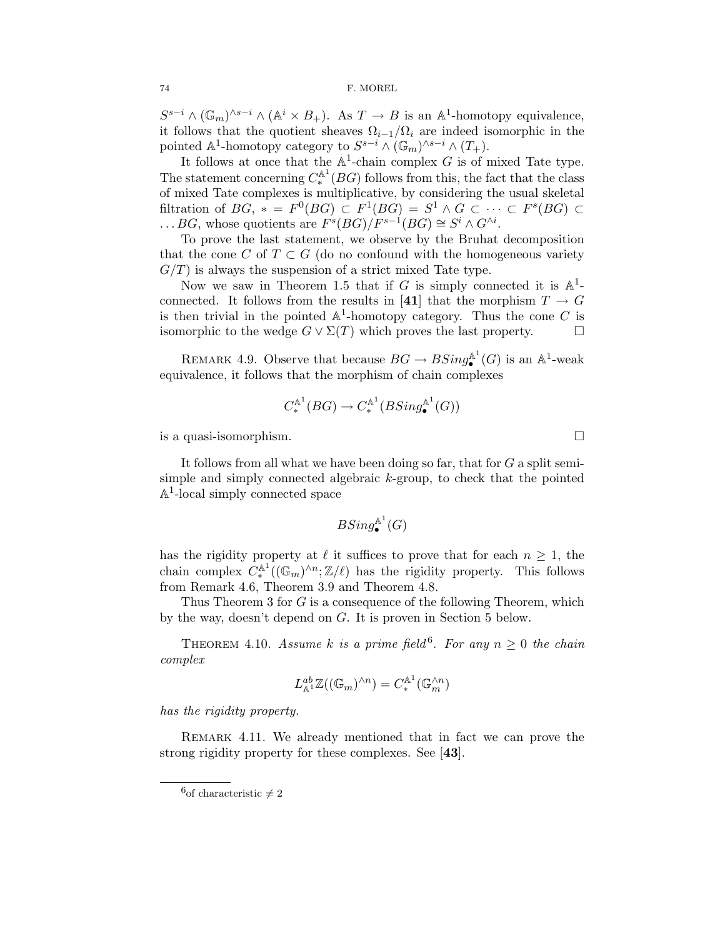$S^{s-i} \wedge (\mathbb{G}_m)^{\wedge s-i} \wedge (\mathbb{A}^i \times B_+)$ . As  $T \to B$  is an  $\mathbb{A}^1$ -homotopy equivalence, it follows that the quotient sheaves  $\Omega_{i-1}/\Omega_i$  are indeed isomorphic in the pointed A<sup>1</sup>-homotopy category to  $S^{s-i} \wedge (\mathbb{G}_m)^{s-i} \wedge (T_+).$ 

It follows at once that the  $A^1$ -chain complex G is of mixed Tate type. The statement concerning  $C_*^{\mathbb{A}^1}(BG)$  follows from this, the fact that the class of mixed Tate complexes is multiplicative, by considering the usual skeletal filtration of  $BG$ ,  $* = F^0(BG) \subset F^1(BG) = S^1 \wedge G \subset \cdots \subset F^s(BG) \subset$ ... BG, whose quotients are  $F^s(BG)/F^{s-1}(BG) \cong S^i \wedge G^{\wedge i}$ .

To prove the last statement, we observe by the Bruhat decomposition that the cone C of  $T \subset G$  (do no confound with the homogeneous variety  $G/T$ ) is always the suspension of a strict mixed Tate type.

Now we saw in Theorem 1.5 that if G is simply connected it is  $\mathbb{A}^1$ connected. It follows from the results in [41] that the morphism  $T \to G$ is then trivial in the pointed  $\mathbb{A}^1$ -homotopy category. Thus the cone C is isomorphic to the wedge  $G \vee \Sigma(T)$  which proves the last property.  $\Box$ 

REMARK 4.9. Observe that because  $BG \to BSing_{\bullet}^{\mathbb{A}^1}(G)$  is an  $\mathbb{A}^1$ -weak equivalence, it follows that the morphism of chain complexes

$$
C^{{\mathbb A}^1}_*(BG) \to C^{{\mathbb A}^1}_*(BSing^{{\mathbb A}^1}_\bullet(G))
$$

is a quasi-isomorphism.

It follows from all what we have been doing so far, that for  $G$  a split semisimple and simply connected algebraic k-group, to check that the pointed  $\mathbb{A}^1$ -local simply connected space

$$
BSing_{\bullet}^{{\mathbb A}^1}(G)
$$

has the rigidity property at  $\ell$  it suffices to prove that for each  $n \geq 1$ , the chain complex  $C_*^{{\mathbb{A}}^1}((\mathbb{G}_m)^{\wedge n}; \mathbb{Z}/\ell)$  has the rigidity property. This follows from Remark 4.6, Theorem 3.9 and Theorem 4.8.

Thus Theorem 3 for G is a consequence of the following Theorem, which by the way, doesn't depend on G. It is proven in Section 5 below.

THEOREM 4.10. *Assume* k *is a prime field*<sup>6</sup>. For any  $n \geq 0$  the chain *complex*

$$
L_{\mathbb{A}^1}^{ab}\mathbb{Z}((\mathbb{G}_m)^{\wedge n})=C_*^{\mathbb{A}^1}(\mathbb{G}_m^{\wedge n})
$$

*has the rigidity property.*

Remark 4.11. We already mentioned that in fact we can prove the strong rigidity property for these complexes. See [**43**].

 $\Box$ 

<sup>&</sup>lt;sup>6</sup>of characteristic  $\neq 2$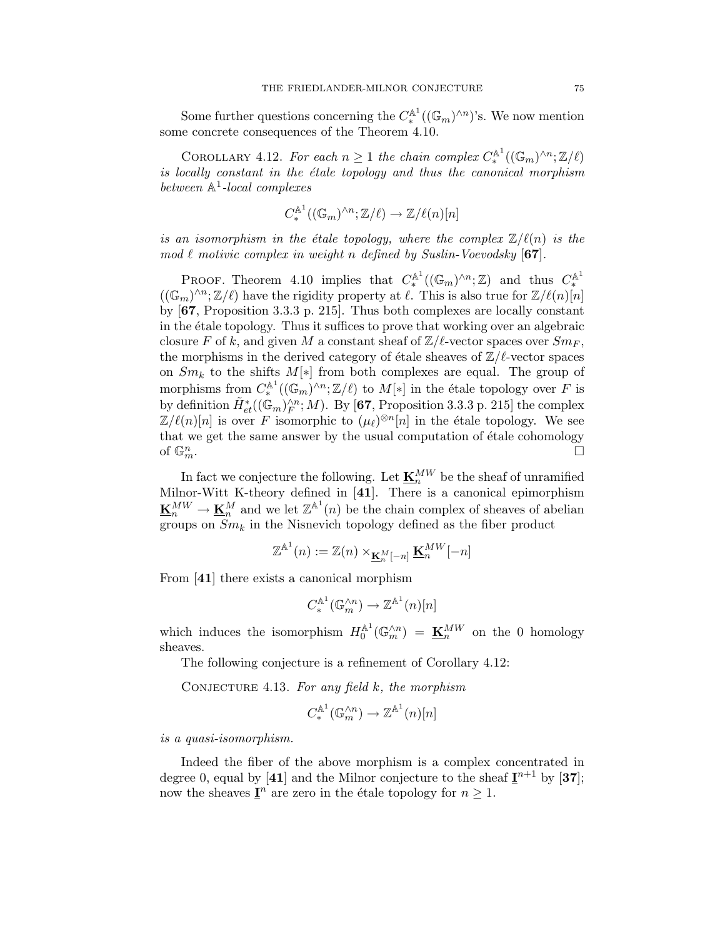Some further questions concerning the  $C_*^{\mathbb{A}^1}((\mathbb{G}_m)^{\wedge n})$ 's. We now mention some concrete consequences of the Theorem 4.10.

COROLLARY 4.12. For each  $n \geq 1$  the chain complex  $C_{*}^{\mathbb{A}^1}((\mathbb{G}_m)^{\wedge n}; \mathbb{Z}/\ell)$ *is locally constant in the ´etale topology and thus the canonical morphism between* A1*-local complexes*

$$
C^{\mathbb{A}^1}_*((\mathbb{G}_m)^{\wedge n}; \mathbb{Z}/\ell) \to \mathbb{Z}/\ell(n)[n]
$$

*is an isomorphism in the étale topology, where the complex*  $\mathbb{Z}/\ell(n)$  *is the*  $mod \ell$  motivic complex in weight n defined by Suslin-Voevodsky [67].

PROOF. Theorem 4.10 implies that  $C_*^{\mathbb{A}^1}((\mathbb{G}_m)^{\wedge n}; \mathbb{Z})$  and thus  $C_*^{\mathbb{A}^1}((\mathbb{G}_m)^{\wedge n}; \mathbb{Z}/\ell)$  have the rigidity property at  $\ell$ . This is also true for  $\mathbb{Z}/\ell(n)[n]$ <br>by [67 Proposition 3.3.3.p. 315]. by [**67**, Proposition 3.3.3 p. 215]. Thus both complexes are locally constant in the étale topology. Thus it suffices to prove that working over an algebraic closure F of k, and given M a constant sheaf of  $\mathbb{Z}/\ell$ -vector spaces over  $Sm_F$ , the morphisms in the derived category of étale sheaves of  $\mathbb{Z}/\ell$ -vector spaces on  $Sm_k$  to the shifts  $M[*]$  from both complexes are equal. The group of morphisms from  $C_*^{\mathbb{A}^1}((\mathbb{G}_m)^{\wedge n}; \mathbb{Z}/\ell)$  to  $M[*]$  in the étale topology over F is<br>by definition  $\tilde{H}^*(\mathbb{C}_m)_{\wedge n}$ ,  $M$ ). By  $\mathbb{F}$ , Preparaition 2.2.2.p. 315 the complex by definition  $\tilde{H}^*_{et}((\mathbb{G}_m)_F^{\wedge n}; M)$ . By [67, Proposition 3.3.3 p. 215] the complex  $\mathbb{Z}/\ell(n)[n]$  is over F isomorphic to  $(\mu_e)^{\otimes n}[n]$  in the étale topology. We see  $\mathbb{Z}/\ell(n)[n]$  is over F isomorphic to  $(\mu_{\ell})^{\otimes n}[n]$  in the étale topology. We see that we get the same answer by the usual computation of étale cohomology of  $\mathbb{G}_m^n$ .  $\Box$ <br>m.

In fact we conjecture the following. Let  $\underline{\mathbf{K}}_n^{MW}$  be the sheaf of unramified Milnor-Witt K-theory defined in [**41**]. There is a canonical epimorphism  $\underline{\mathbf{K}}_n^{MW} \to \underline{\mathbf{K}}_n^M$  and we let  $\mathbb{Z}^{\mathbb{A}^1}(n)$  be the chain complex of sheaves of abelian groups on  $S_m$ , in the Nispevich topology defined as the fiber product groups on  $Sm_k$  in the Nisnevich topology defined as the fiber product

$$
\mathbb{Z}^{\mathbb{A}^1}(n) := \mathbb{Z}(n) \times_{\mathbf{\underline{K}}_n^M[-n]} \mathbf{\underline{K}}_n^{MW}[-n]
$$

From [**41**] there exists a canonical morphism

$$
C^{\mathbb{A}^1}_*(\mathbb{G}_m^{\wedge n}) \to \mathbb{Z}^{\mathbb{A}^1}(n)[n]
$$

which induces the isomorphism  $H_0^{\mathbb{A}^1}(\mathbb{G}_m^{\wedge n}) = \underline{\mathbf{K}}_n^{MW}$  on the 0 homology sheaves.

The following conjecture is a refinement of Corollary 4.12:

Conjecture 4.13. *For any field* k*, the morphism*

$$
C^{\mathbb{A}^1}_*(\mathbb{G}_m^{\wedge n}) \to \mathbb{Z}^{\mathbb{A}^1}(n)[n]
$$

*is a quasi-isomorphism.*

Indeed the fiber of the above morphism is a complex concentrated in degree 0, equal by [41] and the Milnor conjecture to the sheaf  $I^{n+1}$  by [37]; now the sheaves  $\underline{\mathbf{I}}^n$  are zero in the étale topology for  $n \geq 1$ .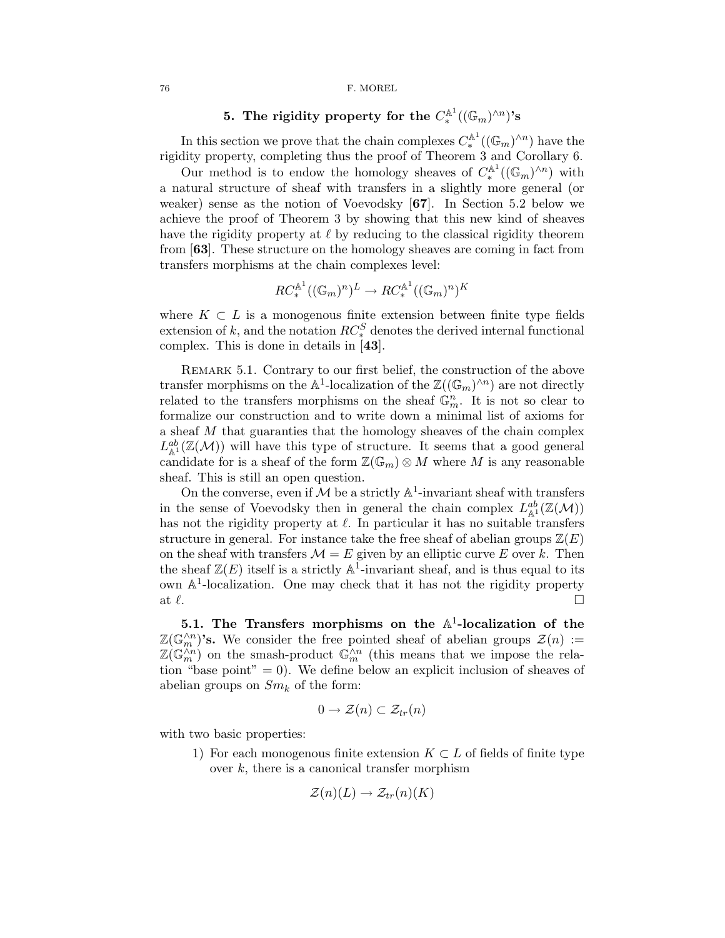# **5.** The rigidity property for the  $C_*^{\mathbb{A}^1}((\mathbb{G}_m)^{\wedge n})$ 's

In this section we prove that the chain complexes  $C_*^{\mathbb{A}^1}((\mathbb{G}_m)^{\wedge n})$  have the dity property completing thus the proof of Theorem 2 and Corollary 6 rigidity property, completing thus the proof of Theorem 3 and Corollary 6.

Our method is to endow the homology sheaves of  $C_*^{\mathbb{A}^1}((\mathbb{G}_m)^{\wedge n})$  with a natural structure of sheaf with transfers in a slightly more general (or weaker) sense as the notion of Voevodsky [**67**]. In Section 5.2 below we achieve the proof of Theorem 3 by showing that this new kind of sheaves have the rigidity property at  $\ell$  by reducing to the classical rigidity theorem from [**63**]. These structure on the homology sheaves are coming in fact from transfers morphisms at the chain complexes level:

$$
RC_*^{\mathbb{A}^1}((\mathbb{G}_m)^n)^L \to RC_*^{\mathbb{A}^1}((\mathbb{G}_m)^n)^K
$$

where  $K \subset L$  is a monogenous finite extension between finite type fields extension of k, and the notation  $RC_*^S$  denotes the derived internal functional complex. This is done in details in [**43**].

REMARK 5.1. Contrary to our first belief, the construction of the above transfer morphisms on the A<sup>1</sup>-localization of the  $\mathbb{Z}((\mathbb{G}_m)^{\wedge n})$  are not directly related to the transfers morphisms on the sheaf  $\mathbb{G}_m^n$ . It is not so clear to formalize our construction and to write down a minimal list of axioms for formalize our construction and to write down a minimal list of axioms for a sheaf  $M$  that guaranties that the homology sheaves of the chain complex  $L^{ab}_{\mathbb{A}^1}(\mathbb{Z}(\mathcal{M}))$  will have this type of structure. It seems that a good general candidate for is a sheaf of the form  $\mathbb{Z}(\mathbb{G}_m) \otimes M$  where M is any reasonable sheaf. This is still an open question.

On the converse, even if  $M$  be a strictly  $\mathbb{A}^1$ -invariant sheaf with transfers in the sense of Voevodsky then in general the chain complex  $L_{\mathbb{A}^1}^{ab}(\mathbb{Z}(\mathcal{M}))$ has not the rigidity property at  $\ell$ . In particular it has no suitable transfers structure in general. For instance take the free sheaf of abelian groups  $\mathbb{Z}(E)$ on the sheaf with transfers  $\mathcal{M} = E$  given by an elliptic curve E over k. Then the sheaf  $\mathbb{Z}(E)$  itself is a strictly  $\mathbb{A}^1$ -invariant sheaf, and is thus equal to its own  $\mathbb{A}^1$ -localization. One may check that it has not the rigidity property at  $\ell$ . . The contract of the contract of the contract of the contract of the contract of the contract of the contract of the contract of the contract of the contract of the contract of the contract of the contract of the contrac  $\Box$ 

**5.1.** The Transfers morphisms on the  $\mathbb{A}^1$ -localization of the  $\mathbb{Z}(\mathbb{G}_m^{\wedge n})$ **'s.** We consider the free pointed sheaf of abelian groups  $\mathcal{Z}(n) :=$ <br> $\mathbb{Z}(\mathbb{G}_m^{\wedge n})$  on the smash-product  $\mathbb{G}_m^{\wedge n}$  (this means that we impose the rela- $\mathbb{Z}(\mathbb{G}_m^{\wedge n})$  on the smash-product  $\mathbb{G}_m^{\wedge n}$  (this means that we impose the rela-<br>tion "base point"  $-0$ ). We define below an explicit inclusion of sheaves of tion "base point"  $= 0$ ). We define below an explicit inclusion of sheaves of abelian groups on  $Sm_k$  of the form:

$$
0 \to \mathcal{Z}(n) \subset \mathcal{Z}_{tr}(n)
$$

with two basic properties:

1) For each monogenous finite extension  $K \subset L$  of fields of finite type over  $k$ , there is a canonical transfer morphism

$$
\mathcal{Z}(n)(L) \to \mathcal{Z}_{tr}(n)(K)
$$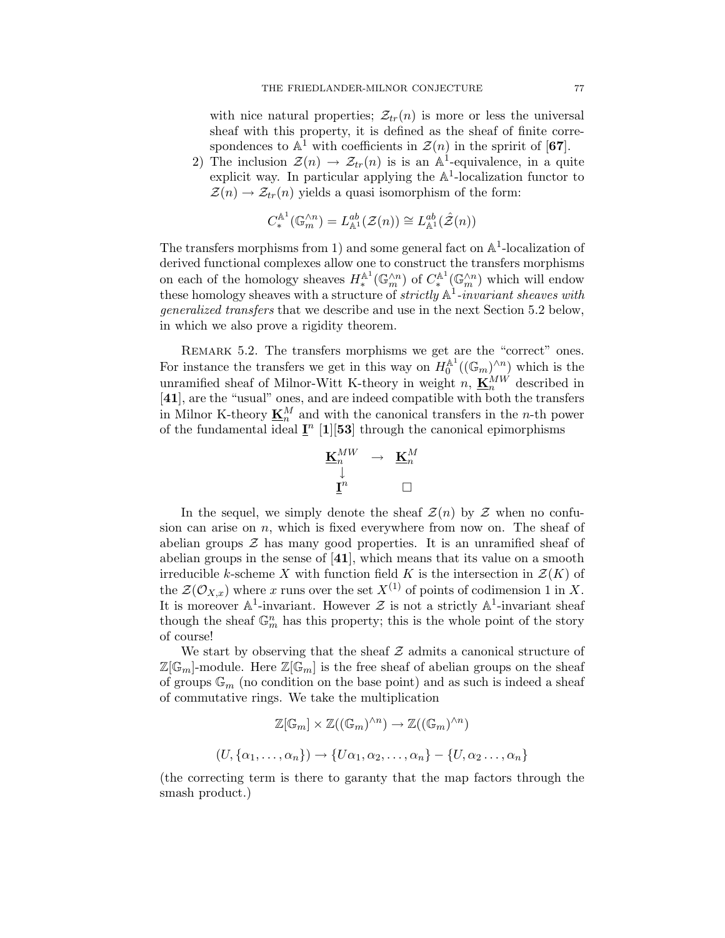with nice natural properties;  $\mathcal{Z}_{tr}(n)$  is more or less the universal sheaf with this property, it is defined as the sheaf of finite correspondences to  $\mathbb{A}^1$  with coefficients in  $\mathcal{Z}(n)$  in the spririt of [67].

2) The inclusion  $\mathcal{Z}(n) \to \mathcal{Z}_{tr}(n)$  is is an  $\mathbb{A}^1$ -equivalence, in a quite explicit way. In particular applying the  $\mathbb{A}^1$ -localization functor to  $\mathcal{Z}(n) \to \mathcal{Z}_{tr}(n)$  yields a quasi isomorphism of the form:

$$
C^{\mathbb{A}^1}_*(\mathbb{G}_m^{\wedge n}) = L^{ab}_{\mathbb{A}^1}(\mathcal{Z}(n)) \cong L^{ab}_{\mathbb{A}^1}(\hat{\mathcal{Z}}(n))
$$

The transfers morphisms from 1) and some general fact on  $\mathbb{A}^1$ -localization of derived functional complexes allow one to construct the transfers morphisms on each of the homology sheaves  $H^{\mathbb{A}^1}(\mathbb{G}_m^{\wedge n})$  of  $C^{^mathbb{A}^1}(\mathbb{G}_m^{\wedge n})$  which will endow<br>these homology sheaves with a structure of *strictly*  $^{\mathbb{A}^1}$  invariant sheaves with these homology sheaves with a structure of *strictly*  $\mathbb{A}^1$ -*invariant sheaves with generalized transfers* that we describe and use in the next Section 5.2 below, in which we also prove a rigidity theorem.

REMARK 5.2. The transfers morphisms we get are the "correct" ones. For instance the transfers we get in this way on  $H_0^{\mathbb{A}^1}((\mathbb{G}_m)^{\wedge n})$  which is the unramified sheaf of Milnor-Witt K-theory in weight n,  $\underline{\mathbf{K}}_n^{MW}$  described in [41] are the "usual" ones and are indeed comp [**41**], are the "usual" ones, and are indeed compatible with both the transfers in Milnor K-theory  $\underline{\mathbf{K}}_n^M$  and with the canonical transfers in the *n*-th power<br>of the fundamental ideal  $\mathbf{I}^n$  [1][53] through the canonical enimorphisms of the fundamental ideal  $I^n$  [1][53] through the canonical epimorphisms

$$
\begin{array}{ccc}\underline{\mathbf{K}}_{n}^{MW} & \rightarrow & \underline{\mathbf{K}}_{n}^{M}\\ \downarrow & & \square & \\ \underline{\mathbf{I}}^{n} & & \square & \end{array}
$$

In the sequel, we simply denote the sheaf  $\mathcal{Z}(n)$  by  $\mathcal Z$  when no confusion can arise on  $n$ , which is fixed everywhere from now on. The sheaf of abelian groups  $\mathcal Z$  has many good properties. It is an unramified sheaf of abelian groups in the sense of [**41**], which means that its value on a smooth irreducible k-scheme X with function field K is the intersection in  $\mathcal{Z}(K)$  of the  $\mathcal{Z}(\mathcal{O}_{X,x})$  where x runs over the set  $X^{(1)}$  of points of codimension 1 in X. It is moreover  $\mathbb{A}^1$ -invariant. However  $\mathcal Z$  is not a strictly  $\mathbb{A}^1$ -invariant sheaf though the sheaf  $\mathbb{G}_m^n$  has this property; this is the whole point of the story of course of course!

We start by observing that the sheaf  $Z$  admits a canonical structure of  $\mathbb{Z}[\mathbb{G}_m]$ -module. Here  $\mathbb{Z}[\mathbb{G}_m]$  is the free sheaf of abelian groups on the sheaf of groups  $\mathbb{G}_m$  (no condition on the base point) and as such is indeed a sheaf of commutative rings. We take the multiplication

$$
\mathbb{Z}[\mathbb{G}_m] \times \mathbb{Z}((\mathbb{G}_m)^{\wedge n}) \to \mathbb{Z}((\mathbb{G}_m)^{\wedge n})
$$

$$
(U, \{\alpha_1, \ldots, \alpha_n\}) \to \{U\alpha_1, \alpha_2, \ldots, \alpha_n\} - \{U, \alpha_2 \ldots, \alpha_n\}
$$

(the correcting term is there to garanty that the map factors through the smash product.)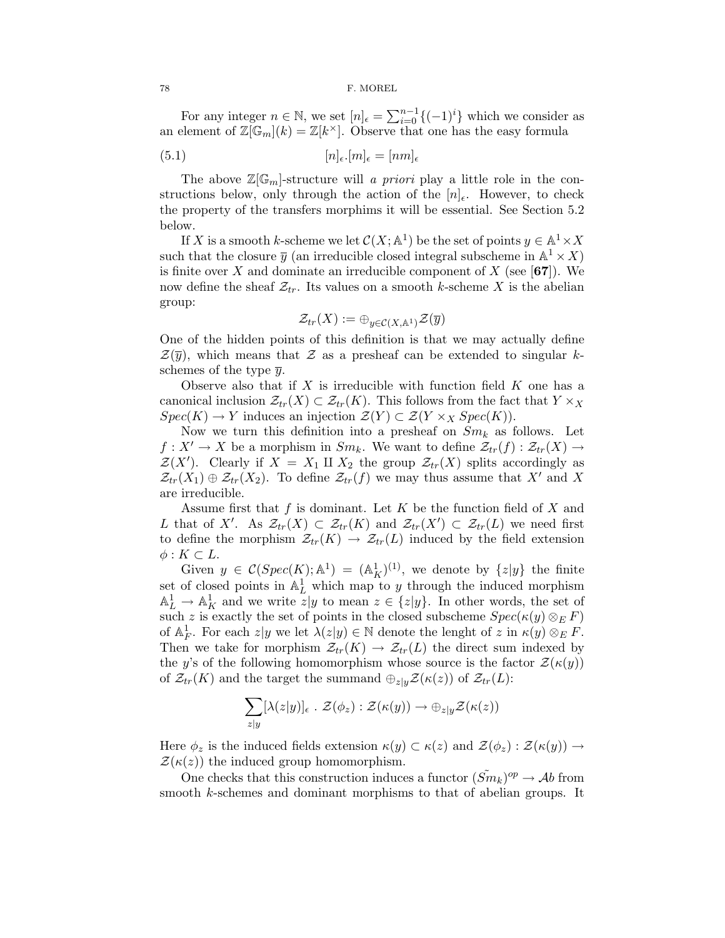For any integer  $n \in \mathbb{N}$ , we set  $[n]_{\epsilon} = \sum_{i=0}^{n-1} \{(-1)^i\}$  which we consider as an element of  $\mathbb{Z}[\mathbb{G}_m](k) = \mathbb{Z}[k^{\times}]$ . Observe that one has the easy formula

(5.1) 
$$
[n]_{\epsilon}.[m]_{\epsilon} = [nm]_{\epsilon}
$$

The above  $\mathbb{Z}[\mathbb{G}_m]$ -structure will *a priori* play a little role in the constructions below, only through the action of the  $[n]_{\epsilon}$ . However, to check the property of the transfers morphims it will be essential. See Section 5.2 below.

If X is a smooth k-scheme we let  $C(X; A<sup>1</sup>)$  be the set of points  $y \in A<sup>1</sup> \times X$ such that the closure  $\overline{y}$  (an irreducible closed integral subscheme in  $\mathbb{A}^1 \times X$ ) is finite over X and dominate an irreducible component of  $X$  (see [67]). We now define the sheaf  $\mathcal{Z}_{tr}$ . Its values on a smooth k-scheme X is the abelian group:

$$
\mathcal{Z}_{tr}(X):=\oplus_{y\in\mathcal{C}(X,\mathbb{A}^1)}\mathcal{Z}(\overline{y})
$$

One of the hidden points of this definition is that we may actually define  $\mathcal{Z}(\bar{y})$ , which means that  $\mathcal Z$  as a presheaf can be extended to singular kschemes of the type  $\overline{y}$ .

Observe also that if X is irreducible with function field  $K$  one has a canonical inclusion  $\mathcal{Z}_{tr}(X) \subset \mathcal{Z}_{tr}(K)$ . This follows from the fact that  $Y \times_X$  $Spec(K) \to Y$  induces an injection  $\mathcal{Z}(Y) \subset \mathcal{Z}(Y \times_X Spec(K)).$ 

Now we turn this definition into a presheaf on  $Sm_k$  as follows. Let  $f: X' \to X$  be a morphism in  $Sm_k$ . We want to define  $\mathcal{Z}_{tr}(f): \mathcal{Z}_{tr}(X) \to$  $\mathcal{Z}(X')$ . Clearly if  $X = X_1 \amalg X_2$  the group  $\mathcal{Z}_{tr}(X)$  splits accordingly as  $\mathcal{Z}_{tr}(X_1) \oplus \mathcal{Z}_{tr}(X_2)$ . To define  $\mathcal{Z}_{tr}(f)$  we may thus accume that  $X'$  and X.  $\mathcal{Z}_{tr}(X_1) \oplus \mathcal{Z}_{tr}(X_2)$ . To define  $\mathcal{Z}_{tr}(f)$  we may thus assume that X' and X are irreducible.

Assume first that f is dominant. Let K be the function field of X and L that of X'. As  $\mathcal{Z}_{tr}(X) \subset \mathcal{Z}_{tr}(K)$  and  $\mathcal{Z}_{tr}(X') \subset \mathcal{Z}_{tr}(L)$  we need first<br>to define the mernhism  $\mathcal{Z}_{tr}(K) \to \mathcal{Z}_{tr}(L)$  induced by the field extension to define the morphism  $\mathcal{Z}_{tr}(K) \to \mathcal{Z}_{tr}(L)$  induced by the field extension  $\phi: K \subset L$ .

Given  $y \in \mathcal{C}(Spec(K);\mathbb{A}^1) = (\mathbb{A}^1_K)^{(1)}$ , we denote by  $\{z|y\}$  the finite of closed points in  $\mathbb{A}^1$  which map to *u* through the induced morphism set of closed points in  $\mathbb{A}_{L}^{1}$  which map to y through the induced morphism  $\mathbb{A}^{1} \rightarrow \mathbb{A}^{1}$  and we write  $z|y|$  to mean  $z \in \{z|y|$ . In other words, the set of  $\mathbb{A}^1_L \to \mathbb{A}^1_K$  and we write  $z|y$  to mean  $z \in \{z|y\}$ . In other words, the set of such z is exactly the set of points in the closed subscheme  $Spec(\kappa(u) \otimes_E F)$ such z is exactly the set of points in the closed subscheme  $Spec(\kappa(y) \otimes_E F)$ of  $\mathbb{A}_F^1$ . For each  $z|y$  we let  $\lambda(z|y) \in \mathbb{N}$  denote the lenght of  $z$  in  $\kappa(y) \otimes_E F$ .<br>Then we take for morphism  $\mathcal{Z}_L(K) \to \mathcal{Z}_L(L)$  the direct sum indexed by Then we take for morphism  $\mathcal{Z}_{tr}(K) \to \mathcal{Z}_{tr}(L)$  the direct sum indexed by the y's of the following homomorphism whose source is the factor  $\mathcal{Z}(\kappa(y))$ of  $\mathcal{Z}_{tr}(K)$  and the target the summand  $\oplus_{z|y}\mathcal{Z}(\kappa(z))$  of  $\mathcal{Z}_{tr}(L)$ :

$$
\sum_{z|y} [\lambda(z|y)]_{\epsilon} \cdot \mathcal{Z}(\phi_z) : \mathcal{Z}(\kappa(y)) \to \oplus_{z|y} \mathcal{Z}(\kappa(z))
$$

Here  $\phi_z$  is the induced fields extension  $\kappa(y) \subset \kappa(z)$  and  $\mathcal{Z}(\phi_z) : \mathcal{Z}(\kappa(y)) \to$  $\mathcal{Z}(\kappa(z))$  the induced group homomorphism.

One checks that this construction induces a functor  $(\tilde{Sm}_k)^{op} \to \mathcal{A}b$  from smooth k-schemes and dominant morphisms to that of abelian groups. It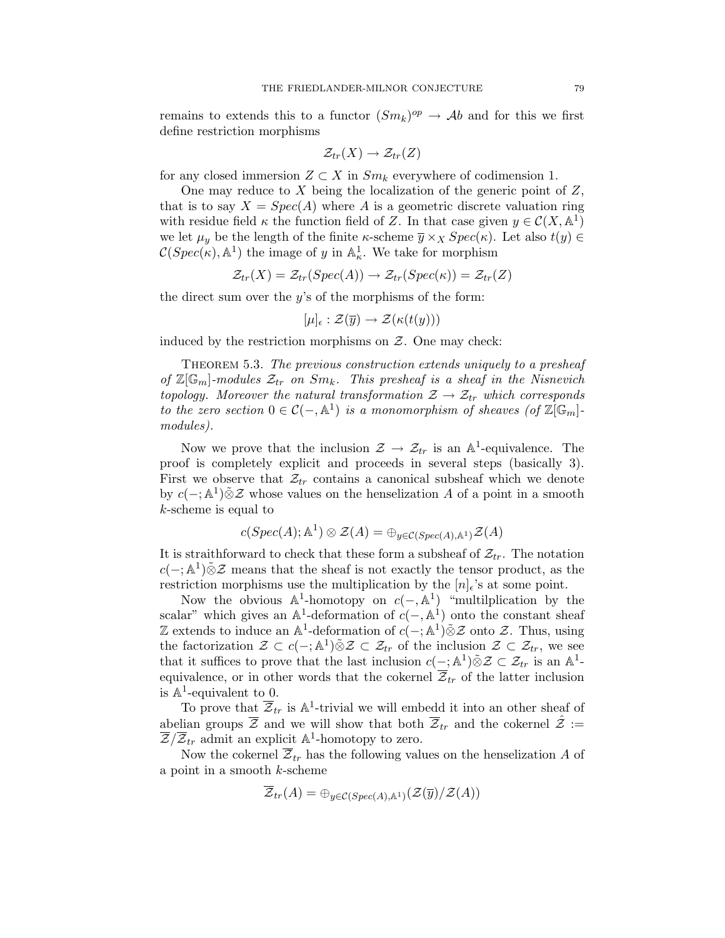remains to extends this to a functor  $(Sm_k)^{op} \to Ab$  and for this we first define restriction morphisms

$$
\mathcal{Z}_{tr}(X) \to \mathcal{Z}_{tr}(Z)
$$

for any closed immersion  $Z \subset X$  in  $Sm_k$  everywhere of codimension 1.

One may reduce to  $X$  being the localization of the generic point of  $Z$ , that is to say  $X = Spec(A)$  where A is a geometric discrete valuation ring with residue field  $\kappa$  the function field of Z. In that case given  $y \in C(X, \mathbb{A}^1)$ we let  $\mu_y$  be the length of the finite *κ*-scheme  $\overline{y} \times_X Spec(\kappa)$ . Let also  $t(y) \in$  $\mathcal{C}(Spec(\kappa), \mathbb{A}^1)$  the image of y in  $\mathbb{A}^1_{\kappa}$ . We take for morphism

$$
\mathcal{Z}_{tr}(X) = \mathcal{Z}_{tr}(Spec(A)) \rightarrow \mathcal{Z}_{tr}(Spec(\kappa)) = \mathcal{Z}_{tr}(Z)
$$

the direct sum over the  $y$ 's of the morphisms of the form:

$$
[\mu]_{\epsilon} : \mathcal{Z}(\overline{y}) \to \mathcal{Z}(\kappa(t(y)))
$$

induced by the restriction morphisms on  $Z$ . One may check:

THEOREM 5.3. *The previous construction extends uniquely to a presheaf* of  $\mathbb{Z}[\mathbb{G}_m]$ -modules  $\mathcal{Z}_{tr}$  on  $Sm_k$ . This presheaf is a sheaf in the Nisnevich *topology. Moreover the natural transformation*  $\mathcal{Z} \rightarrow \mathcal{Z}_{tr}$  *which corresponds to the zero section*  $0 \in \mathcal{C}(-, \mathbb{A}^1)$  *is a monomorphism of sheaves* (of  $\mathbb{Z}[\mathbb{G}_m]$ *modules).*

Now we prove that the inclusion  $\mathcal{Z} \to \mathcal{Z}_{tr}$  is an  $\mathbb{A}^1$ -equivalence. The proof is completely explicit and proceeds in several steps (basically 3). First we observe that  $\mathcal{Z}_{tr}$  contains a canonical subsheaf which we denote by  $c(-; A<sup>1</sup>)\tilde{\otimes}Z$  whose values on the henselization A of a point in a smooth k-scheme is equal to

$$
c(Spec(A); \mathbb{A}^1) \otimes \mathcal{Z}(A) = \bigoplus_{y \in \mathcal{C}(Spec(A), \mathbb{A}^1)} \mathcal{Z}(A)
$$

It is straithforward to check that these form a subsheaf of  $\mathcal{Z}_{tr}$ . The notation  $c(-; \mathbb{A}^1) \tilde{\otimes} \mathcal{Z}$  means that the sheaf is not exactly the tensor product, as the restriction morphisms use the multiplication by the  $[n]_{\epsilon}$ 's at some point.

Now the obvious  $\mathbb{A}^1$ -homotopy on  $c(-, \mathbb{A}^1)$  "multilplication by the scalar" which gives an  $A^1$ -deformation of  $c(-, A^1)$  onto the constant sheaf Z extends to induce an  $\mathbb{A}^1$ -deformation of  $c(-; \mathbb{A}^1) \tilde{\otimes} \mathcal{Z}$  onto  $\mathcal{Z}$ . Thus, using the factorization  $\mathcal{Z} \subset c(-; \mathbb{A}^1) \tilde{\otimes} \mathcal{Z} \subset \mathcal{Z}_{tr}$  of the inclusion  $\mathcal{Z} \subset \mathcal{Z}_{tr}$ , we see that it suffices to prove that the last inclusion  $c(-; \mathbb{A}^1) \tilde{\otimes} \mathcal{Z} \subset \mathcal{Z}_{tr}$  is an  $\mathbb{A}^1$ equivalence, or in other words that the cokernel  $\overline{z}_{tr}$  of the latter inclusion is  $\mathbb{A}^1$ -equivalent to 0.

To prove that  $\overline{\mathcal{Z}}_{tr}$  is  $\mathbb{A}^1$ -trivial we will embedd it into an other sheaf of abelian groups  $\overline{z}$  and we will show that both  $\overline{z}_{tr}$  and the cokernel  $\hat{z} :=$  $\mathcal{Z}/\mathcal{Z}_{tr}$  admit an explicit  $\mathbb{A}^1$ -homotopy to zero.

Now the cokernel  $\overline{z}_{tr}$  has the following values on the henselization A of a point in a smooth k-scheme

$$
\overline{\mathcal{Z}}_{tr}(A)=\oplus_{y\in \mathcal{C}(Spec(A), {\mathbb A}^1)}(\mathcal{Z}(\overline{y})/\mathcal{Z}(A))
$$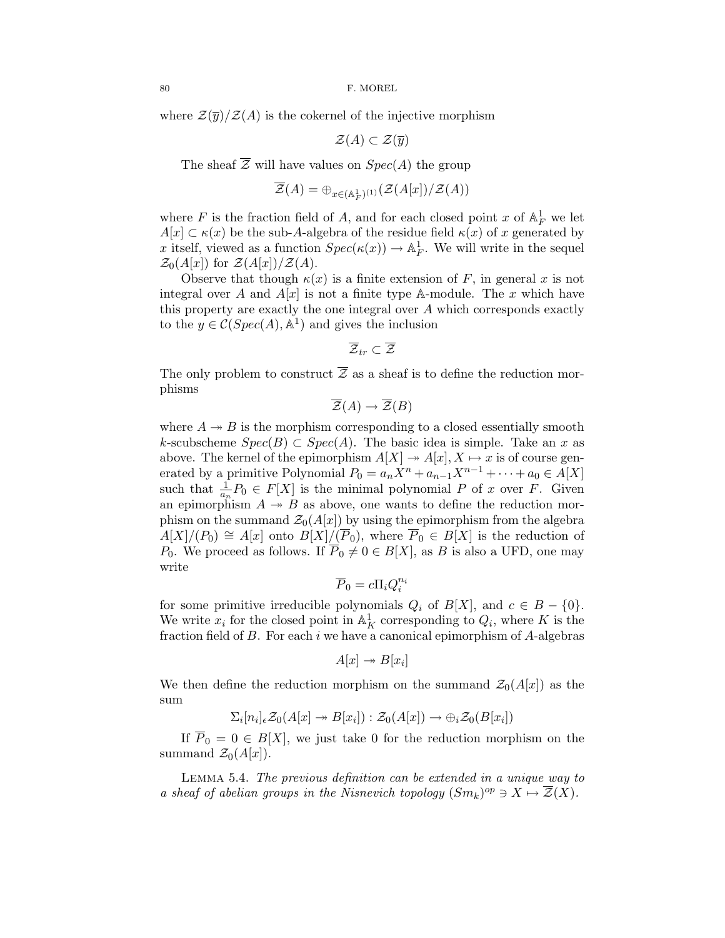where  $\mathcal{Z}(\overline{y})/\mathcal{Z}(A)$  is the cokernel of the injective morphism

 $\mathcal{Z}(A) \subset \mathcal{Z}(\overline{y})$ 

The sheaf  $\overline{Z}$  will have values on  $Spec(A)$  the group

$$
\overline{\mathcal{Z}}(A)=\oplus_{x\in (\mathbb{A}_F^1)^{(1)}}(\mathcal{Z}(A[x])/\mathcal{Z}(A))
$$

where F is the fraction field of A, and for each closed point x of  $\mathbb{A}^1_F$  we let  $A[x] \subset \kappa(x)$  be the sub-A-algebra of the residue field  $\kappa(x)$  of x generated by  $A[x] \subset \kappa(x)$  be the sub-A-algebra of the residue field  $\kappa(x)$  of x generated by x itself, viewed as a function  $Spec(\kappa(x)) \to \mathbb{A}_F^1$ . We will write in the sequel  $\mathcal{Z}_{\alpha}(A[x])$  for  $\mathcal{Z}(A[x])/\mathcal{Z}(A)$  $\mathcal{Z}_0(A[x])$  for  $\mathcal{Z}(A[x])/\mathcal{Z}(A)$ .

Observe that though  $\kappa(x)$  is a finite extension of F, in general x is not integral over A and  $A[x]$  is not a finite type A-module. The x which have this property are exactly the one integral over A which corresponds exactly to the  $y \in \mathcal{C}(Spec(A), \mathbb{A}^1)$  and gives the inclusion

$$
\overline{\mathcal{Z}}_{tr} \subset \overline{\mathcal{Z}}
$$

The only problem to construct  $\overline{Z}$  as a sheaf is to define the reduction morphisms

 $\overline{\mathcal{Z}}(A) \rightarrow \overline{\mathcal{Z}}(B)$ 

where  $A \rightarrow B$  is the morphism corresponding to a closed essentially smooth k-scubscheme  $Spec(B) \subset Spec(A)$ . The basic idea is simple. Take an x as above. The kernel of the epimorphism  $A[X] \rightarrow A[x], X \mapsto x$  is of course generated by a primitive Polynomial  $P_0 = a_n X^n + a_{n-1} X^{n-1} + \cdots + a_0 \in A[X]$ such that  $\frac{1}{a_n}P_0 \in F[X]$  is the minimal polynomial P of x over F. Given<br>an epimorphism  $A \rightarrow B$  as above one wants to define the reduction moran epimorphism  $A \rightarrow B$  as above, one wants to define the reduction morphism on the summand  $\mathcal{Z}_0(A[x])$  by using the epimorphism from the algebra  $A[X]/(P_0) \cong A[x]$  onto  $B[X]/(\overline{P}_0)$ , where  $\overline{P}_0 \in B[X]$  is the reduction of  $P_0$ . We proceed as follows. If  $\overline{P}_0 \neq 0 \in B[X]$ , as B is also a UFD, one may write

$$
\overline{P}_0 = c \Pi_i Q_i^{n_i}
$$

for some primitive irreducible polynomials  $Q_i$  of  $B[X]$ , and  $c \in B - \{0\}$ .<br>We write  $x_i$  for the closed point in  $\mathbb{A}^1$ , corresponding to  $O$ , where K is the We write  $x_i$  for the closed point in  $\mathbb{A}^1_K$  corresponding to  $Q_i$ , where K is the fraction field of B. For each *i* we have a canonical enimorphism of A-algebras fraction field of B. For each i we have a canonical epimorphism of  $A$ -algebras

$$
A[x] \twoheadrightarrow B[x_i]
$$

We then define the reduction morphism on the summand  $\mathcal{Z}_0(A[x])$  as the sum

$$
\Sigma_i[n_i]_{\epsilon} \mathcal{Z}_0(A[x] \twoheadrightarrow B[x_i]): \mathcal{Z}_0(A[x]) \rightarrow \bigoplus_i \mathcal{Z}_0(B[x_i])
$$

If  $P_0 = 0 \in B[X]$ , we just take 0 for the reduction morphism on the summand  $\mathcal{Z}_0(A[x])$ .

Lemma 5.4. *The previous definition can be extended in a unique way to a sheaf of abelian groups in the Nisnevich topology*  $(Sm_k)^{op} \ni X \mapsto \mathcal{Z}(X)$ .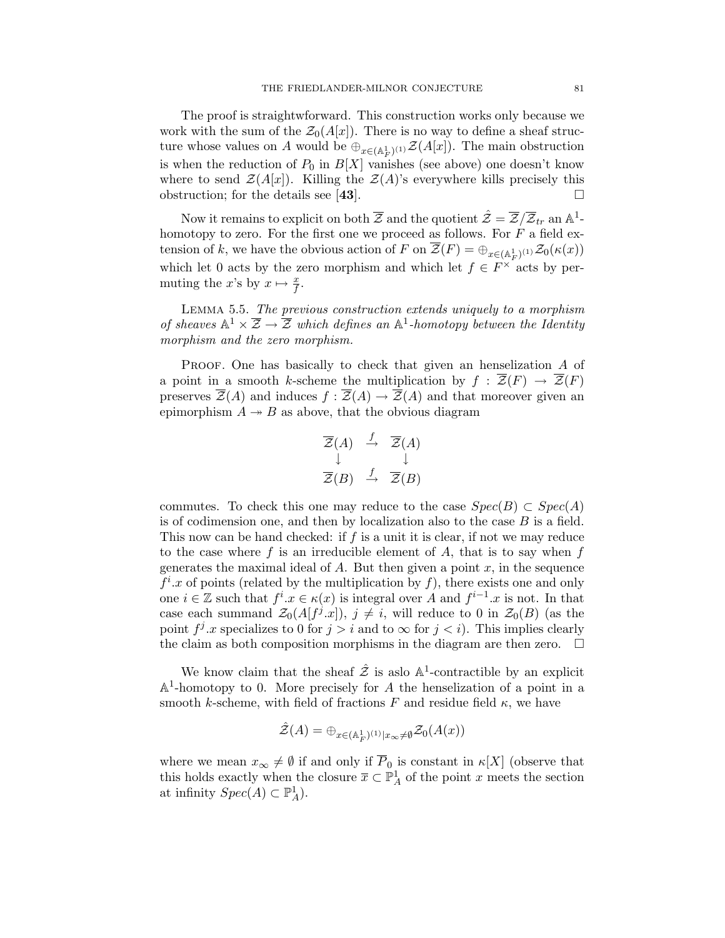The proof is straightwforward. This construction works only because we work with the sum of the  $\mathcal{Z}_0(A[x])$ . There is no way to define a sheaf structure whose values on A would be  $\bigoplus_{x \in (\mathbb{A}_F^1)^{(1)}} \mathcal{Z}(A[x])$ . The main obstruction<br>is when the reduction of B in  $P[Y]$  variables (see above) are descrit linew is when the reduction of  $P_0$  in  $B[X]$  vanishes (see above) one doesn't know where to send  $\mathcal{Z}(A[x])$ . Killing the  $\mathcal{Z}(A)$ 's everywhere kills precisely this obstruction; for the details see [43].  $\Box$ 

Now it remains to explicit on both  $\overline{\mathcal{Z}}$  and the quotient  $\hat{\mathcal{Z}} = \overline{\mathcal{Z}}/\overline{\mathcal{Z}}_{tr}$  an  $\mathbb{A}^1$ homotopy to zero. For the first one we proceed as follows. For  $F$  a field extension of k, we have the obvious action of F on  $\mathcal{Z}(F) = \bigoplus_{x \in (\mathbb{A}_F^1)^{(1)}} \mathcal{Z}_0(\kappa(x))$ which let 0 acts by the zero morphism and which let  $f \in F^{\times}$  acts by permuting the x's by  $x \mapsto \frac{x}{f}$ .

Lemma 5.5. *The previous construction extends uniquely to a morphism of sheaves*  $A^1 \times \overline{Z} \rightarrow \overline{Z}$  *which defines an*  $A^1$ -homotopy between the Identity *morphism and the zero morphism.*

PROOF. One has basically to check that given an henselization A of a point in a smooth k-scheme the multiplication by  $f : \overline{\mathcal{Z}}(F) \to \overline{\mathcal{Z}}(F)$ preserves  $\overline{\mathcal{Z}}(A)$  and induces  $f : \overline{\mathcal{Z}}(A) \to \overline{\mathcal{Z}}(A)$  and that moreover given an epimorphism  $A \rightarrow B$  as above, that the obvious diagram

$$
\overline{\mathcal{Z}}(A) \stackrel{f}{\rightarrow} \overline{\mathcal{Z}}(A) \downarrow \qquad \qquad \downarrow \overline{\mathcal{Z}}(B) \stackrel{f}{\rightarrow} \overline{\mathcal{Z}}(B)
$$

commutes. To check this one may reduce to the case  $Spec(B) \subset Spec(A)$ is of codimension one, and then by localization also to the case  $B$  is a field. This now can be hand checked: if  $f$  is a unit it is clear, if not we may reduce to the case where f is an irreducible element of  $A$ , that is to say when f generates the maximal ideal of  $A$ . But then given a point  $x$ , in the sequence  $f<sup>i</sup>$  *x* of points (related by the multiplication by f), there exists one and only one  $i \in \mathbb{Z}$  such that  $f^i \cdot x \in \kappa(x)$  is integral over A and  $f^{i-1} \cdot x$  is not. In that case each summand  $\mathcal{Z}_0(A[f^j.x])$ ,  $j \neq i$ , will reduce to 0 in  $\mathcal{Z}_0(B)$  (as the point  $f^j.x$  specializes to 0 for  $j>i$  and to  $\infty$  for  $j). This implies clearly$ the claim as both composition morphisms in the diagram are then zero.  $\Box$ 

We know claim that the sheaf  $\hat{Z}$  is aslo  $\mathbb{A}^1$ -contractible by an explicit  $\mathbb{A}^1$ -homotopy to 0. More precisely for A the henselization of a point in a smooth k-scheme, with field of fractions F and residue field  $\kappa$ , we have

$$
\hat{\mathcal{Z}}(A) = \bigoplus_{x \in (\mathbb{A}_F^1)^{(1)} | x_\infty \neq \emptyset} \mathcal{Z}_0(A(x))
$$

where we mean  $x_{\infty} \neq \emptyset$  if and only if  $\overline{P}_0$  is constant in  $\kappa[X]$  (observe that this holds exactly when the closure  $\overline{x} \subset \mathbb{P}^1_A$  of the point x meets the section<br>at infinity  $Snec(A) \subset \mathbb{P}^1_A$ at infinity  $Spec(A) \subset \mathbb{P}^1_A$ ).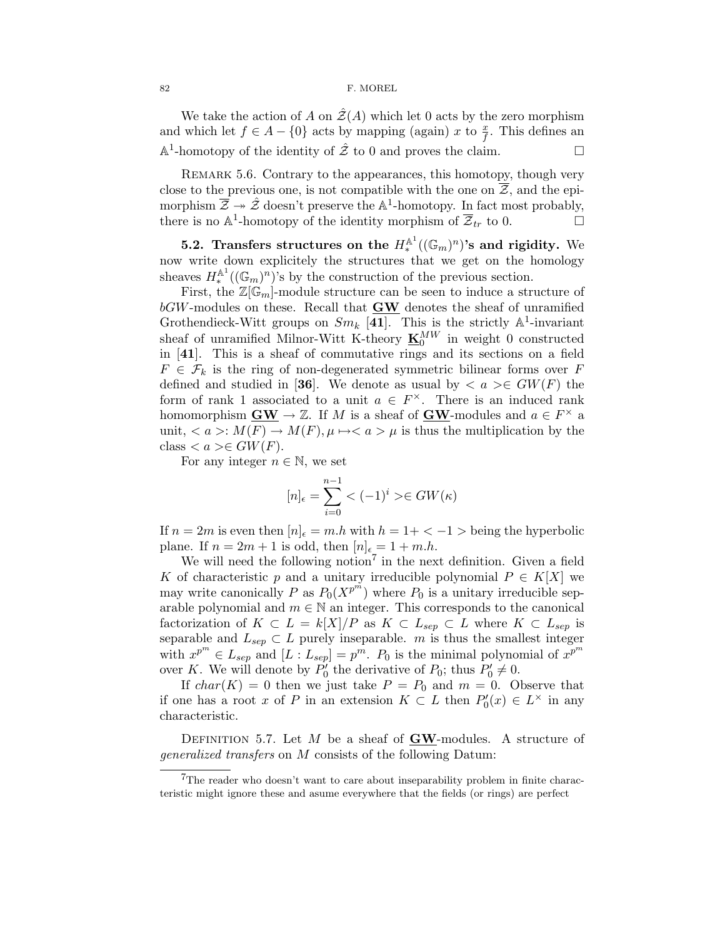We take the action of A on  $\mathcal{Z}(A)$  which let 0 acts by the zero morphism and which let  $f \in A - \{0\}$  acts by mapping (again) x to  $\frac{x}{f}$ . This defines an  $\mathbb{A}^1$ -homotopy of the identity of  $\hat{\mathcal{Z}}$  to 0 and proves the claim.

REMARK 5.6. Contrary to the appearances, this homotopy, though very close to the previous one, is not compatible with the one on  $\overline{z}$ , and the epimorphism  $\overline{\mathcal{Z}} \to \hat{\mathcal{Z}}$  doesn't preserve the  $\mathbb{A}^1$ -homotopy. In fact most probably, there is no  $\mathbb{A}^1$ -homotopy of the identity morphism of  $\overline{\mathcal{Z}}_{tr}$  to 0.  $\Box$ 

**5.2.** Transfers structures on the  $H_*^{\mathbb{A}^1}((\mathbb{G}_m)^n)^s$  and rigidity. We write down evolviding the structures that we get an the hamology now write down explicitely the structures that we get on the homology sheaves  $H_*^{\mathbb{A}^1}((\mathbb{G}_m)^n)$ 's by the construction of the previous section.

First, the  $\mathbb{Z}[\mathbb{G}_m]$ -module structure can be seen to induce a structure of bGW-modules on these. Recall that **GW** denotes the sheaf of unramified Grothendieck-Witt groups on  $Sm_k$  [41]. This is the strictly  $\mathbb{A}^1$ -invariant sheaf of unramified Milnor-Witt K-theory  $\underline{\mathbf{K}}_0^{MW}$  in weight 0 constructed in [**41**]. This is a sheaf of commutative rings and its sections on a field  $F \in \mathcal{F}_k$  is the ring of non-degenerated symmetric bilinear forms over F defined and studied in [36]. We denote as usual by  $\langle a \rangle \in GW(F)$  the form of rank 1 associated to a unit  $a \in F^{\times}$ . There is an induced rank homomorphism  $\mathbf{GW} \to \mathbb{Z}$ . If M is a sheaf of  $\mathbf{GW}\text{-modules}$  and  $a \in F^\times$  a unit,  $\langle a \rangle : M(F) \to M(F), \mu \mapsto \langle a \rangle \mu$  is thus the multiplication by the class  $\langle a \rangle \in GW(F)$ .

For any integer  $n \in \mathbb{N}$ , we set

$$
[n]_{\epsilon} = \sum_{i=0}^{n-1} < (-1)^i > \in GW(\kappa)
$$

If  $n = 2m$  is even then  $[n]_{\epsilon} = m.h$  with  $h = 1 + \langle -1 \rangle$  being the hyperbolic plane. If  $n = 2m + 1$  is odd, then  $[n]_{\epsilon} = 1 + m.h$ .

We will need the following notion<sup>7</sup> in the next definition. Given a field K of characteristic p and a unitary irreducible polynomial  $P \in K[X]$  we may write canonically P as  $P_0(X^{p^m})$  where  $P_0$  is a unitary irreducible separable polynomial and  $m \in \mathbb{N}$  an integer. This corresponds to the canonical factorization of  $K \subset L = k[X]/P$  as  $K \subset L_{sep} \subset L$  where  $K \subset L_{sep}$  is separable and  $L_{sep} \subset L$  purely inseparable. m is thus the smallest integer with  $x^{p^m} \in L_{sep}$  and  $[L: L_{sep}] = p^m$ .  $P_0$  is the minimal polynomial of  $x^{p^m}$  over K. We will denote by  $P'_0$  the derivative of  $P_0$ ; thus  $P'_0 \neq 0$ .

If  $char(K) = 0$  then we just take  $P = P_0$  and  $m = 0$ . Observe that if one has a root x of P in an extension  $K \subset L$  then  $P'_0(x) \in L^\times$  in any characteristic.

DEFINITION 5.7. Let  $M$  be a sheaf of  $GW$ -modules. A structure of *generalized transfers* on M consists of the following Datum:

<sup>&</sup>lt;sup>7</sup>The reader who doesn't want to care about inseparability problem in finite characteristic might ignore these and asume everywhere that the fields (or rings) are perfect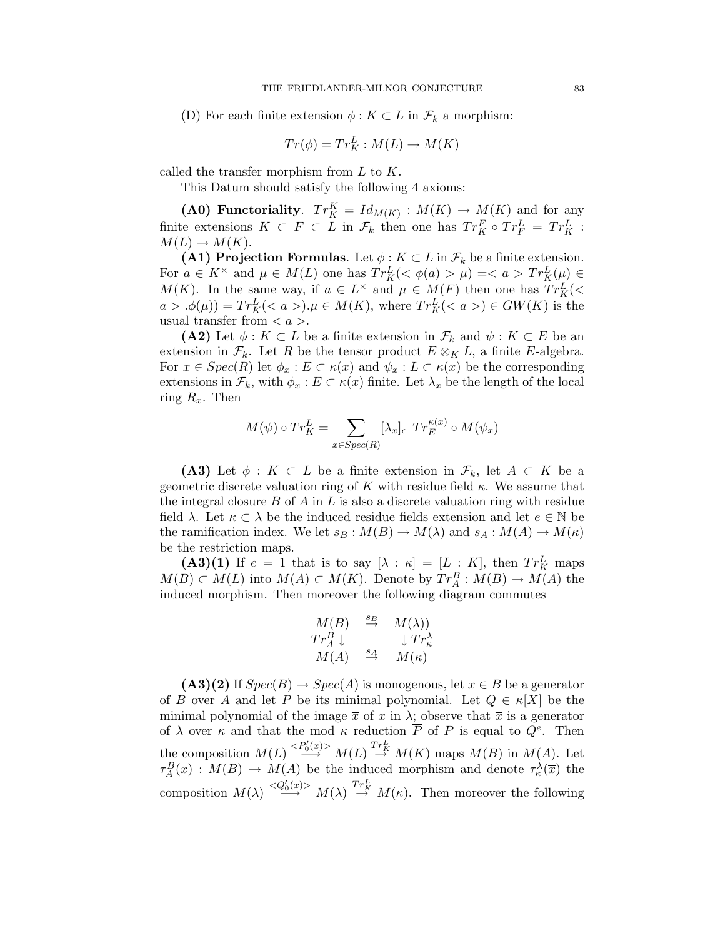(D) For each finite extension  $\phi : K \subset L$  in  $\mathcal{F}_k$  a morphism:

$$
Tr(\phi) = Tr_K^L : M(L) \to M(K)
$$

called the transfer morphism from L to K.

This Datum should satisfy the following 4 axioms:

**(A0) Functoriality**.  $Tr_K^K = Id_{M(K)} : M(K) \to M(K)$  and for any<br>is orthogons  $K \subset F \subset I$  in  $\mathcal{F}_k$  then are healily  $Tr_K^F \circ Tr_k^L = Tr_k^L$ . finite extensions  $K \subset F \subset L$  in  $\mathcal{F}_k$  then one has  $Tr_K^F \circ Tr_F^L = Tr_K^L$ :<br> $M(L) \to M(K)$  $M(L) \to M(K)$ .

**(A1) Projection Formulas**. Let  $\phi : K \subset L$  in  $\mathcal{F}_k$  be a finite extension. For  $a \in K^{\times}$  and  $\mu \in M(L)$  one has  $Tr_K^L(< \phi(a) > \mu) = Tr\_K^L\(\mu\) \in M\(K\)$ . In the same way, if  $a \in L^{\times}$  and  $\mu \in M(F)$  then one has  $Tr_K^L(< a > \phi(a)) = Tr_L^L(< a > \mu \in M(K)$  where  $Tr_L^L(< a > \mu \in G(W(K))$  is the  $a > .\phi(\mu) = Tr_K^L(\)$ .  $\mu \in M(K)$ , where  $Tr_K^L(\) \in GW\(K\)$  is the usual transfer from  $\langle a \rangle$ usual transfer from  $\langle a \rangle$ .

**(A2)** Let  $\phi : K \subset L$  be a finite extension in  $\mathcal{F}_k$  and  $\psi : K \subset E$  be an extension in  $\mathcal{F}_k$ . Let R be the tensor product  $E \otimes_K L$ , a finite E-algebra. For  $x \in Spec(R)$  let  $\phi_x : E \subset \kappa(x)$  and  $\psi_x : L \subset \kappa(x)$  be the corresponding extensions in  $\mathcal{F}_k$ , with  $\phi_x : E \subset \kappa(x)$  finite. Let  $\lambda_x$  be the length of the local ring  $R_x$ . Then

$$
M(\psi) \circ Tr_K^L = \sum_{x \in Spec(R)} [\lambda_x]_{\epsilon} Tr_E^{\kappa(x)} \circ M(\psi_x)
$$

**(A3)** Let  $\phi$  : K ⊂ L be a finite extension in  $\mathcal{F}_k$ , let  $A \subset K$  be a geometric discrete valuation ring of K with residue field  $\kappa$ . We assume that the integral closure  $B$  of  $A$  in  $L$  is also a discrete valuation ring with residue field  $\lambda$ . Let  $\kappa \subset \lambda$  be the induced residue fields extension and let  $e \in \mathbb{N}$  be the ramification index. We let  $s_B : M(B) \to M(\lambda)$  and  $s_A : M(A) \to M(\kappa)$ be the restriction maps.

**(A3)(1)** If  $e = 1$  that is to say  $[\lambda : \kappa] = [L : K]$ , then  $Tr_K^L$  maps  $R \subset M(L)$  into  $M(A) \subset M(K)$ . Denote by  $Tr^B \cdot M(R) \to M(A)$  the  $M(B) \subset M(L)$  into  $M(A) \subset M(K)$ . Denote by  $Tr_A^B : M(B) \to M(A)$  the induced morphism. Then moreover the following diagram commutes induced morphism. Then moreover the following diagram commutes

$$
\begin{array}{ccc}M(B)&\stackrel{s_B}{\to}&M(\lambda))\\Tr_A^B\downarrow&&\downarrow Tr_\kappa^\lambda\\ M(A)&\stackrel{s_A}{\to}&M(\kappa)\\ \end{array}
$$

 $(A3)(2)$  If  $Spec(B) \rightarrow Spec(A)$  is monogenous, let  $x \in B$  be a generator of B over A and let P be its minimal polynomial. Let  $Q \in \kappa[X]$  be the minimal polynomial of the image  $\bar{x}$  of x in  $\lambda$ ; observe that  $\bar{x}$  is a generator of  $\lambda$  over  $\kappa$  and that the mod  $\kappa$  reduction  $\overline{P}$  of P is equal to  $Q^e$ . Then the composition  $M(L) \stackrel{*P'_{0}(x)>}{\longrightarrow} M(L) \stackrel{Tr_{K}^{L}}{\longrightarrow} M(K)*$  maps  $M(B)$  in  $M(A)$ . Let  $\tau_A^B(x) : M(B) \to M(A)$  be the induced morphism and denote  $\tau_{\kappa}^{\lambda}(\overline{x})$  the composition  $M(\lambda) \stackrel{< Q_0'(x)>}{\longrightarrow} M(\lambda) \stackrel{Tr_K^L}{\longrightarrow} M(\kappa)$ . Then moreover the following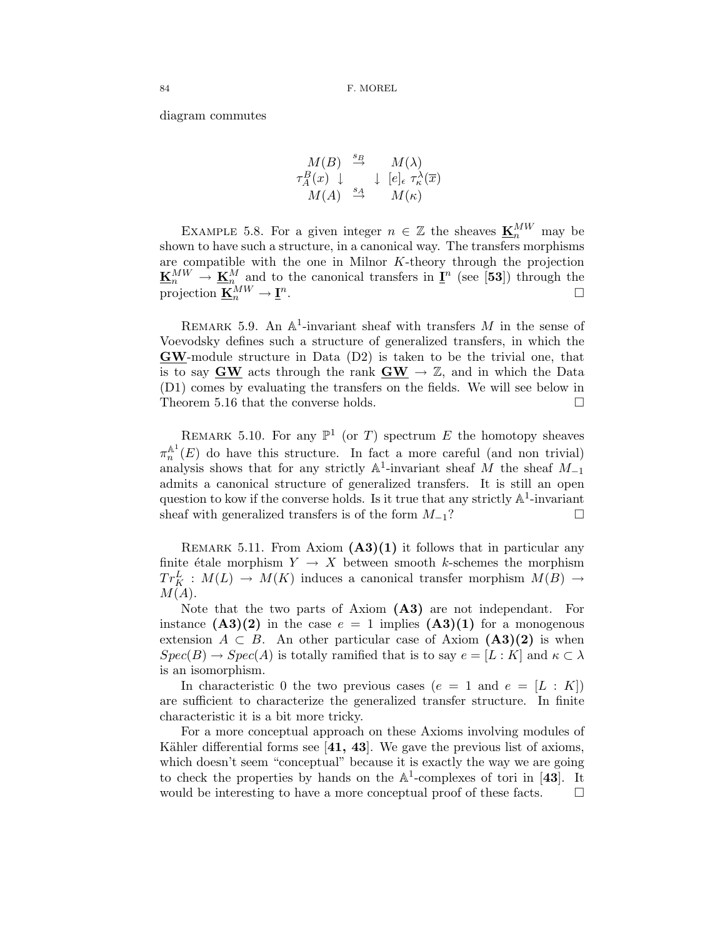diagram commutes

$$
\begin{array}{c}M(B)\stackrel{s_B}{\to} & M(\lambda)\\ \tau_A^B(x)\downarrow & \downarrow [e]_\epsilon\ \tau_\kappa^\lambda(\overline{x})\\ M(A)\stackrel{s_A}{\to} & M(\kappa) \end{array}
$$

EXAMPLE 5.8. For a given integer  $n \in \mathbb{Z}$  the sheaves  $\underline{\mathbf{K}}_{n}^{MW}$  may be<br>not being such a structure in a canonical way. The transfers mornhisms shown to have such a structure, in a canonical way. The transfers morphisms are compatible with the one in Milnor  $K$ -theory through the projection  $\underline{\mathbf{K}}_n^{MW} \to \underline{\mathbf{K}}_n^M$  and to the canonical transfers in  $\underline{\mathbf{I}}^n$  (see [53]) through the projection  $\underline{\mathbf{K}}_n^{MW} \to \underline{\mathbf{I}}^n$ .

REMARK 5.9. An  $\mathbb{A}^1$ -invariant sheaf with transfers M in the sense of Voevodsky defines such a structure of generalized transfers, in which the **GW**-module structure in Data (D2) is taken to be the trivial one, that is to say **GW** acts through the rank  $\mathbf{GW} \to \mathbb{Z}$ , and in which the Data (D1) comes by evaluating the transfers on the fields. We will see below in Theorem 5.16 that the converse holds.  $\Box$ 

REMARK 5.10. For any  $\mathbb{P}^1$  (or T) spectrum E the homotopy sheaves  $\pi_n^{\mathbb{A}^1}(E)$  do have this structure. In fact a more careful (and non trivial) analysis shows that for any strictly  $A^1$ -invariant sheaf M the sheaf  $M_{-1}$ admits a canonical structure of generalized transfers. It is still an open question to kow if the converse holds. Is it true that any strictly  $\mathbb{A}^1$ -invariant sheaf with generalized transfers is of the form  $M_{-1}$ ?  $\Box$ 

REMARK 5.11. From Axiom  $(A3)(1)$  it follows that in particular any finite étale morphism  $Y \to X$  between smooth k-schemes the morphism  $Tr_K^L: M(L) \to M(K)$  induces a canonical transfer morphism  $M(B) \to M(A)$  $M(A).$ 

Note that the two parts of Axiom **(A3)** are not independant. For instance  $(A3)(2)$  in the case  $e = 1$  implies  $(A3)(1)$  for a monogenous extension  $A \subset B$ . An other particular case of Axiom  $(A3)(2)$  is when  $Spec(B) \to Spec(A)$  is totally ramified that is to say  $e = [L : K]$  and  $\kappa \subset \lambda$ is an isomorphism.

In characteristic 0 the two previous cases  $(e = 1 \text{ and } e = [L : K])$ are sufficient to characterize the generalized transfer structure. In finite characteristic it is a bit more tricky.

For a more conceptual approach on these Axioms involving modules of Kähler differential forms see [41, 43]. We gave the previous list of axioms, which doesn't seem "conceptual" because it is exactly the way we are going to check the properties by hands on the  $\mathbb{A}^1$ -complexes of tori in [43]. It would be interesting to have a more conceptual proof of these facts.  $\Box$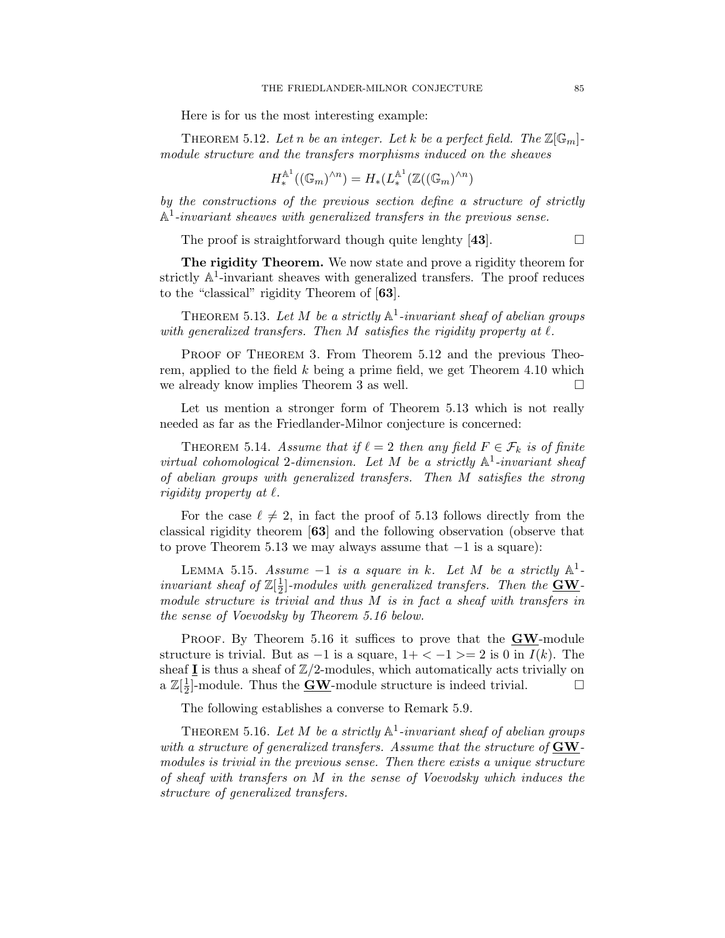Here is for us the most interesting example:

THEOREM 5.12. Let *n* be an integer. Let *k* be a perfect field. The  $\mathbb{Z}[\mathbb{G}_m]$ *module structure and the transfers morphisms induced on the sheaves*

$$
H_*^{\mathbb{A}^1}((\mathbb{G}_m)^{\wedge n}) = H_*(L_*^{\mathbb{A}^1}(\mathbb{Z}((\mathbb{G}_m)^{\wedge n})
$$

*by the constructions of the previous section define a structure of strictly* A1*-invariant sheaves with generalized transfers in the previous sense.*

The proof is straightforward though quite lenghty [**43**]. -

**The rigidity Theorem.** We now state and prove a rigidity theorem for strictly  $A^1$ -invariant sheaves with generalized transfers. The proof reduces to the "classical" rigidity Theorem of [**63**].

THEOREM 5.13. Let M be a strictly  $\mathbb{A}^1$ -invariant sheaf of abelian groups with generalized transfers. Then  $M$  satisfies the rigidity property at  $\ell$ .

PROOF OF THEOREM 3. From Theorem 5.12 and the previous Theorem, applied to the field  $k$  being a prime field, we get Theorem 4.10 which we already know implies Theorem 3 as well.  $\Box$ 

Let us mention a stronger form of Theorem 5.13 which is not really needed as far as the Friedlander-Milnor conjecture is concerned:

THEOREM 5.14. *Assume that if*  $\ell = 2$  *then any field*  $F \in \mathcal{F}_k$  *is of finite virtual cohomological* 2*-dimension. Let* M *be a strictly* A1*-invariant sheaf of abelian groups with generalized transfers. Then* M *satisfies the strong rigidity property at*  $\ell$ *.* 

For the case  $\ell \neq 2$ , in fact the proof of 5.13 follows directly from the classical rigidity theorem [**63**] and the following observation (observe that to prove Theorem 5.13 we may always assume that −1 is a square):

LEMMA 5.15. *Assume*  $-1$  *is a square in* k. Let M be a strictly  $\mathbb{A}^1$ *invariant sheaf of*  $\mathbb{Z}[\frac{1}{2}]$ -modules with generalized transfers. Then the  $\underline{GW}$ *module structure is trivial and thus* M *is in fact a sheaf with transfers in the sense of Voevodsky by Theorem 5.16 below.*

PROOF. By Theorem 5.16 it suffices to prove that the **GW**-module structure is trivial. But as  $-1$  is a square,  $1+ < -1 > = 2$  is 0 in  $I(k)$ . The sheaf  $I$  is thus a sheaf of  $\mathbb{Z}/2$ -modules, which automatically acts trivially on a  $\mathbb{Z}[\frac{1}{2}]$ -module. Thus the  $\overline{GW}$ -module structure is indeed trivial.  $\Box$ 

The following establishes a converse to Remark 5.9.

THEOREM 5.16. Let M be a strictly  $\mathbb{A}^1$ -invariant sheaf of abelian groups *with a structure of generalized transfers. Assume that the structure of* **GW***modules is trivial in the previous sense. Then there exists a unique structure of sheaf with transfers on* M *in the sense of Voevodsky which induces the structure of generalized transfers.*

 $\Box$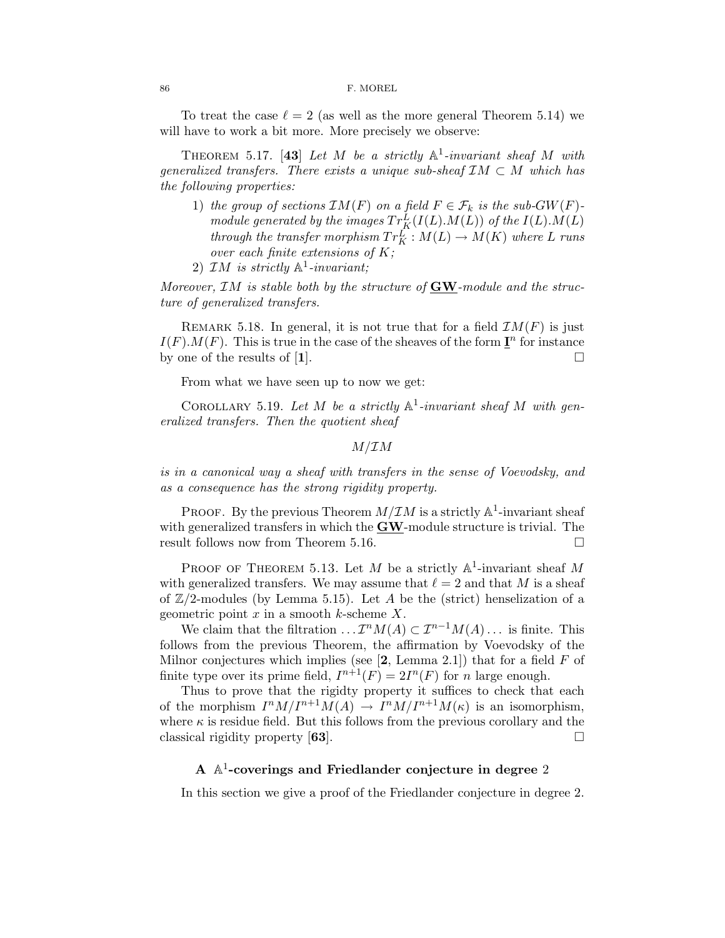To treat the case  $\ell = 2$  (as well as the more general Theorem 5.14) we will have to work a bit more. More precisely we observe:

THEOREM 5.17. [43] *Let*  $M$  *be a strictly*  $\mathbb{A}^1$ -invariant sheaf  $M$  with *generalized transfers. There exists a unique sub-sheaf*  $IM \subset M$  *which has the following properties:*

- 1) *the group of sections*  $\mathcal{I}M(F)$  *on a field*  $F \in \mathcal{F}_k$  *is the sub-GW(F)module generated by the images*  $Tr_K^L(I(L).M(L))$  *of the*  $I(L).M(L)$ <br>*through the transfer morphism*  $Tr_K^L: M(L) \to M(K)$  *where* L *runs*<br>*over each finite extensions* of K: *over each finite extensions of* K*;*
- 2)  $IM$  *is strictly*  $\mathbb{A}^1$ -*invariant*;

*Moreover,* IM *is stable both by the structure of* **GW***-module and the structure of generalized transfers.*

REMARK 5.18. In general, it is not true that for a field  $TM(F)$  is just  $I(F)$ . This is true in the case of the sheaves of the form  $I<sup>n</sup>$  for instance by one of the results of [1].  $\Box$ 

From what we have seen up to now we get:

COROLLARY 5.19. Let M be a strictly  $A^1$ -invariant sheaf M with gen*eralized transfers. Then the quotient sheaf*

 $M/\mathcal{I}M$ 

*is in a canonical way a sheaf with transfers in the sense of Voevodsky, and as a consequence has the strong rigidity property.*

**PROOF.** By the previous Theorem  $M/IM$  is a strictly  $\mathbb{A}^1$ -invariant sheaf with generalized transfers in which the **GW**-module structure is trivial. The result follows now from Theorem  $5.16$ .  $\Box$ 

PROOF OF THEOREM 5.13. Let M be a strictly  $\mathbb{A}^1$ -invariant sheaf M with generalized transfers. We may assume that  $\ell = 2$  and that M is a sheaf of  $\mathbb{Z}/2$ -modules (by Lemma 5.15). Let A be the (strict) henselization of a geometric point  $x$  in a smooth  $k$ -scheme  $X$ .

We claim that the filtration  $\ldots \mathcal{I}^nM(A) \subset \mathcal{I}^{n-1}M(A) \ldots$  is finite. This follows from the previous Theorem, the affirmation by Voevodsky of the Milnor conjectures which implies (see [**2**, Lemma 2.1]) that for a field F of finite type over its prime field,  $I^{n+1}(F)=2I^n(F)$  for n large enough.

Thus to prove that the rigidty property it suffices to check that each of the morphism  $I^{n}M/I^{n+1}M(A) \to I^{n}M/I^{n+1}M(\kappa)$  is an isomorphism, where  $\kappa$  is residue field. But this follows from the previous corollary and the classical rigidity property [**63**]. -

## **A** A1**-coverings and Friedlander conjecture in degree** 2

In this section we give a proof of the Friedlander conjecture in degree 2.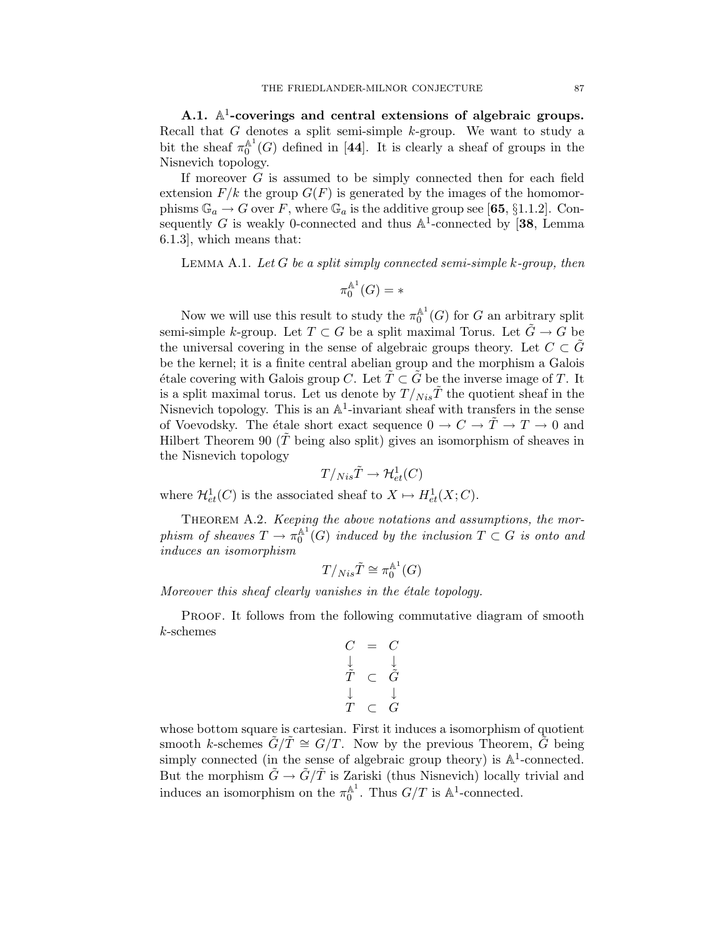**A.1.** A1**-coverings and central extensions of algebraic groups.** Recall that  $G$  denotes a split semi-simple  $k$ -group. We want to study a bit the sheaf  $\pi_0^{\mathbb{A}^1}(G)$  defined in [44]. It is clearly a sheaf of groups in the Nisnevich topology.

If moreover  $G$  is assumed to be simply connected then for each field extension  $F/k$  the group  $G(F)$  is generated by the images of the homomorphisms  $\mathbb{G}_a \to G$  over F, where  $\mathbb{G}_a$  is the additive group see [65, §1.1.2]. Consequently G is weakly 0-connected and thus  $\mathbb{A}^1$ -connected by [38, Lemma 6.1.3], which means that:

Lemma A.1. *Let* G *be a split simply connected semi-simple* k*-group, then*

$$
\pi_0^{{\mathbb A}^1}(G) = *
$$

Now we will use this result to study the  $\pi_0^{\mathbb{A}^1}(G)$  for G an arbitrary split semi-simple k-group. Let  $T \subset G$  be a split maximal Torus. Let  $\tilde{G} \to G$  be the universal covering in the sense of algebraic groups theory. Let  $C \subset G$ be the kernel; it is a finite central abelian group and the morphism a Galois étale covering with Galois group C. Let  $\tilde{T} \subset \tilde{G}$  be the inverse image of T. It is a split maximal torus. Let us denote by  $T / N_{is} \tilde{T}$  the quotient sheaf in the Nisnevich topology. This is an  $\mathbb{A}^1$ -invariant sheaf with transfers in the sense of Voevodsky. The étale short exact sequence  $0 \to C \to \tilde{T} \to T \to 0$  and Hilbert Theorem 90 ( $\hat{T}$  being also split) gives an isomorphism of sheaves in the Nisnevich topology

$$
T/Nis\widetilde{T}\to \mathcal{H}^1_{et}(C)
$$

where  $\mathcal{H}^1_{et}(C)$  is the associated sheaf to  $X \mapsto H^1_{et}(X;C)$ .

THEOREM A.2. *Keeping the above notations and assumptions, the mor* $phism$  of sheaves  $T \to \pi_0^{\mathbb{A}^1}(G)$  *induced by the inclusion*  $T \subset G$  *is onto and induces an isomorphism*

$$
T/Nis\widetilde{T}\cong \pi_0^{{\mathbb A}^1}(G)
$$

*Moreover this sheaf clearly vanishes in the étale topology.* 

PROOF. It follows from the following commutative diagram of smooth k-schemes

$$
\begin{array}{ccc}\nC & = & C \\
\downarrow & & \downarrow \\
\tilde{T} & \subset & \tilde{G} \\
\downarrow & & \downarrow \\
T & \subset & G\n\end{array}
$$

whose bottom square is cartesian. First it induces a isomorphism of quotient smooth k-schemes  $\tilde{G}/\tilde{T} \cong G/T$ . Now by the previous Theorem,  $\tilde{G}$  being simply connected (in the sense of algebraic group theory) is  $\mathbb{A}^1$ -connected. But the morphism  $\tilde{G} \rightarrow \tilde{G}/\tilde{T}$  is Zariski (thus Nisnevich) locally trivial and induces an isomorphism on the  $\pi_0^{\mathbb{A}^1}$ . Thus  $G/T$  is  $\mathbb{A}^1$ -connected.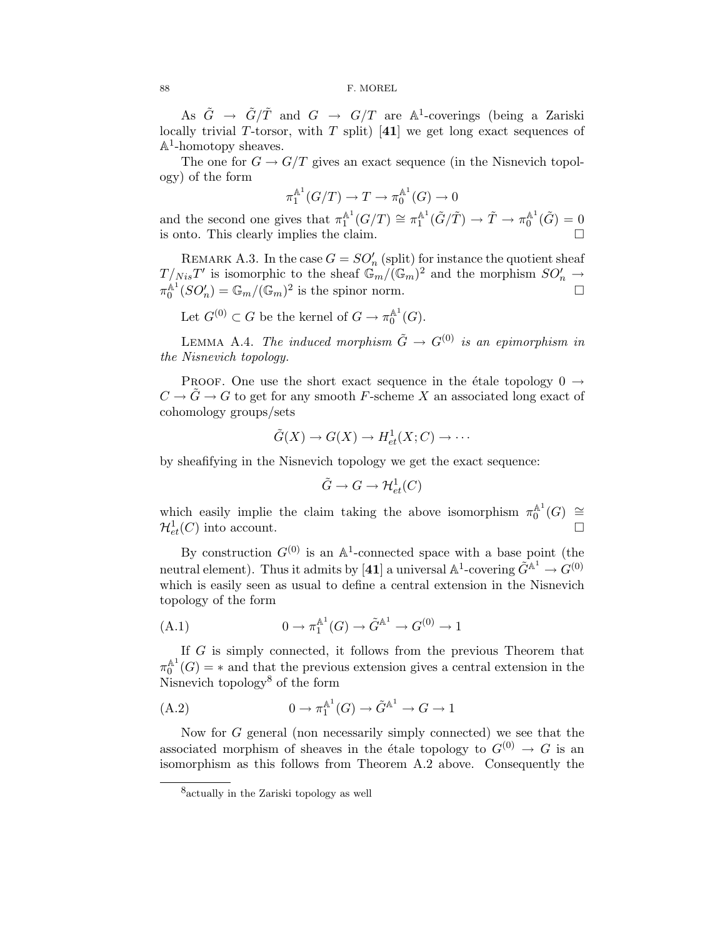As  $\tilde{G} \rightarrow \tilde{G}/\tilde{T}$  and  $G \rightarrow G/T$  are A<sup>1</sup>-coverings (being a Zariski locally trivial T-torsor, with  $T$  split) [41] we get long exact sequences of  $\mathbb{A}^1$ -homotopy sheaves.

The one for  $G \to G/T$  gives an exact sequence (in the Nisnevich topology) of the form

$$
\pi_1^{{\mathbb A}^1}(G/T) \to T \to \pi_0^{{\mathbb A}^1}(G) \to 0
$$

and the second one gives that  $\pi_1^{\mathbb{A}^1}(G/T) \cong \pi_1^{\mathbb{A}^1}(\tilde{G}/\tilde{T}) \to \tilde{T} \to \pi_0^{\mathbb{A}^1}(\tilde{G}) = 0$ is onto. This clearly implies the claim.

REMARK A.3. In the case  $G = SO_n'$  (split) for instance the quotient sheaf  $\mathbb{R}^n$   $\mathbb{R}^n$  is isomorphic to the sheaf  $\mathbb{R}^n$   $\mathbb{R}^n$  and the morphism  $SO_n'$  $T/N_{is}T'$  is isomorphic to the sheaf  $\mathbb{G}_m/(\mathbb{G}_m)^2$  and the morphism  $SO'_n \to \mathbb{G}_m^1/(SO'_n) = \mathbb{G}_m/(C_1)^2$  is the grippy porm  $\pi_0^{\mathbb{A}^1}(SO_n') = \mathbb{G}_m/(\mathbb{G}_m)^2$  is the spinor norm.

Let  $G^{(0)} \subset G$  be the kernel of  $G \to \pi_0^{\mathbb{A}^1}(G)$ .

LEMMA A.4. *The induced morphism*  $\tilde{G} \rightarrow G^{(0)}$  *is an epimorphism in the Nisnevich topology.*

PROOF. One use the short exact sequence in the étale topology  $0 \rightarrow$  $C \to \tilde{G} \to G$  to get for any smooth F-scheme X an associated long exact of cohomology groups/sets

$$
\tilde{G}(X) \to G(X) \to H^1_{et}(X;C) \to \cdots
$$

by sheafifying in the Nisnevich topology we get the exact sequence:

$$
\tilde{G} \to G \to \mathcal{H}^1_{et}(C)
$$

which easily implie the claim taking the above isomorphism  $\pi_0^{\mathbb{A}^1}(G) \cong$  $\mathcal{H}^1_{et}(C)$  into account.

By construction  $G^{(0)}$  is an  $\mathbb{A}^1$ -connected space with a base point (the neutral element). Thus it admits by  $[41]$  a universal  $\mathbb{A}^1$ -covering  $\tilde{G}^{\mathbb{A}^1}\to G^{(0)}$ which is easily seen as usual to define a central extension in the Nisnevich topology of the form

(A.1) 
$$
0 \to \pi_1^{\mathbb{A}^1}(G) \to \tilde{G}^{\mathbb{A}^1} \to G^{(0)} \to 1
$$

If  $G$  is simply connected, it follows from the previous Theorem that  $\pi_0^{\mathbb{A}^1}(G)$  = \* and that the previous extension gives a central extension in the Nisnevich topology<sup>8</sup> of the form

(A.2) 
$$
0 \to \pi_1^{\mathbb{A}^1}(G) \to \tilde{G}^{\mathbb{A}^1} \to G \to 1
$$

Now for G general (non necessarily simply connected) we see that the associated morphism of sheaves in the étale topology to  $G^{(0)} \to G$  is an isomorphism as this follows from Theorem A.2 above. Consequently the

<sup>8</sup>actually in the Zariski topology as well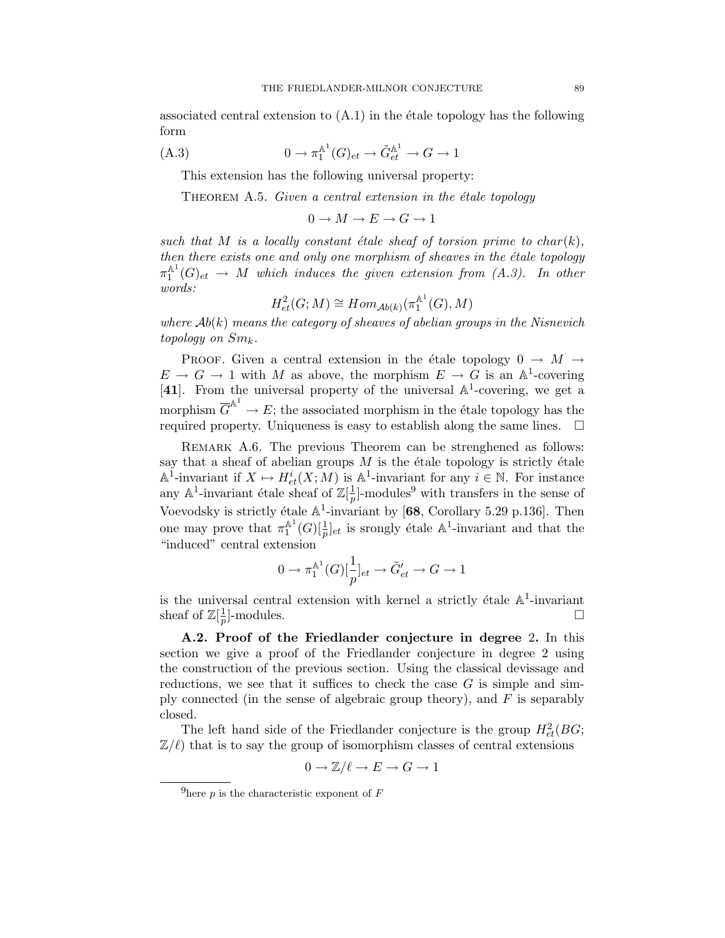associated central extension to  $(A.1)$  in the étale topology has the following form

(A.3) 
$$
0 \to \pi_1^{\mathbb{A}^1}(G)_{et} \to \tilde{G}^{\mathbb{A}^1}_{et} \to G \to 1
$$

This extension has the following universal property:

THEOREM A.5. *Given a central extension in the étale topology* 

 $0 \to M \to E \to G \to 1$ 

such that M is a locally constant étale sheaf of torsion prime to char(k), *then there exists one and only one morphism of sheaves in the étale topology*  $\pi_1^{\mathbb{A}^1}(G)_{et} \to M$  which induces the given extension from  $(A.3)$ . In other *words:*

$$
H_{et}^2(G;M) \cong Hom_{Ab(k)}(\pi_1^{\mathbb{A}^1}(G),M)
$$

*where* Ab(k) *means the category of sheaves of abelian groups in the Nisnevich topology on*  $Sm_k$ .

PROOF. Given a central extension in the étale topology  $0 \rightarrow M \rightarrow$  $E \to G \to 1$  with M as above, the morphism  $E \to \hat{G}$  is an A<sup>1</sup>-covering [41]. From the universal property of the universal  $\mathbb{A}^1$ -covering, we get a morphism  $\overline{G}^{A^1} \to E$ ; the associated morphism in the étale topology has the required property. Uniqueness is easy to establish along the same lines.  $\Box$ 

Remark A.6. The previous Theorem can be strenghened as follows: say that a sheaf of abelian groups  $M$  is the étale topology is strictly étale  $\mathbb{A}^1$ -invariant if  $X \mapsto H^i_{et}(X; M)$  is  $\mathbb{A}^1$ -invariant for any  $i \in \mathbb{N}$ . For instance any  $\mathbb{A}^1$ -invariant étale sheaf of  $\mathbb{Z}[\frac{1}{p}]$ -modules<sup>9</sup> with transfers in the sense of Voevodsky is strictly étale  $A^1$ -invariant by [68, Corollary 5.29 p.136]. Then one may prove that  $\pi_1^{\mathbb{A}^1}(G)[\frac{1}{p}]_{et}$  is srongly étale  $\mathbb{A}^1$ -invariant and that the "induced" central extension "induced" central extension

$$
0 \to \pi_1^{{\mathbb A}^1}(G)[\frac{1}{p}]_{et} \to \tilde{G}'_{et} \to G \to 1
$$

is the universal central extension with kernel a strictly étale  $\mathbb{A}^1$ -invariant sheaf of  $\mathbb{Z}[\frac{1}{n}]$  $\frac{1}{p}$ ]-modules.  $\square$ 

**A.2. Proof of the Friedlander conjecture in degree** 2**.** In this section we give a proof of the Friedlander conjecture in degree 2 using the construction of the previous section. Using the classical devissage and reductions, we see that it suffices to check the case  $G$  is simple and simply connected (in the sense of algebraic group theory), and  $F$  is separably closed.

The left hand side of the Friedlander conjecture is the group  $H<sup>2</sup><sub>et</sub>(BG;$ <br>that is to say the group of isomorphism classes of central extensions  $\mathbb{Z}/\ell$ ) that is to say the group of isomorphism classes of central extensions

$$
0 \to \mathbb{Z}/\ell \to E \to G \to 1
$$

<sup>&</sup>lt;sup>9</sup>here *p* is the characteristic exponent of  $F$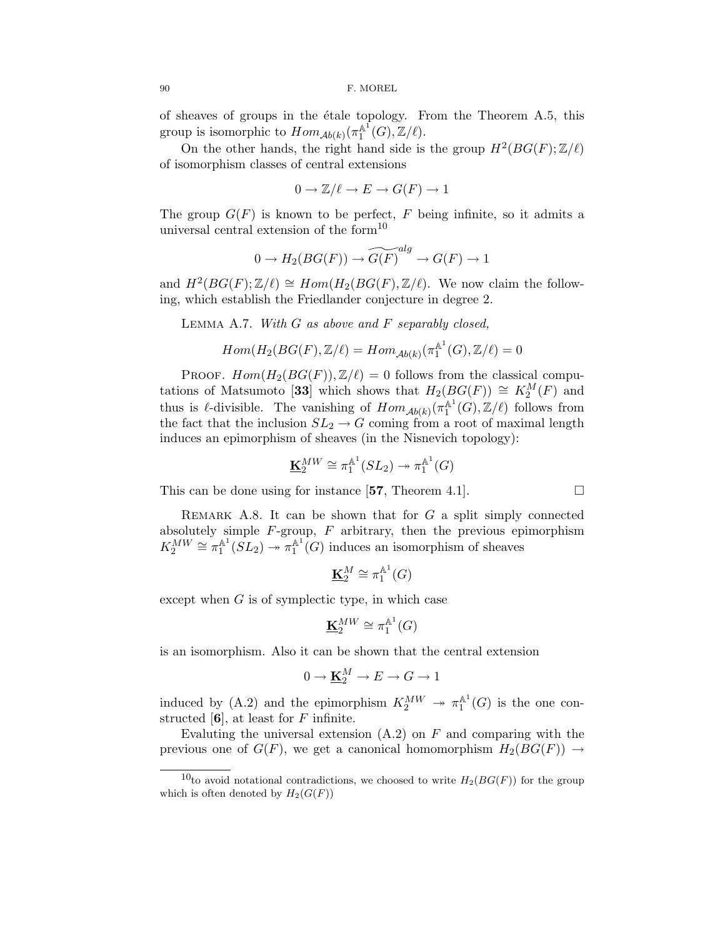of sheaves of groups in the étale topology. From the Theorem A.5, this group is isomorphic to  $Hom_{\mathcal{A}b(k)}(\pi_1^{\mathbb{A}^{\mathbb{T}}}(G), \mathbb{Z}/\ell).$ 

On the other hands, the right hand side is the group  $H^2(BG(F);\mathbb{Z}/\ell)$ of isomorphism classes of central extensions

$$
0 \to \mathbb{Z}/\ell \to E \to G(F) \to 1
$$

The group  $G(F)$  is known to be perfect, F being infinite, so it admits a universal central extension of the form $10$ 

$$
0 \to H_2(BG(F)) \to \widetilde{G(F)}^{alg} \to G(F) \to 1
$$

and  $H^2(BG(F);\mathbb{Z}/\ell) \cong Hom(H_2(BG(F),\mathbb{Z}/\ell))$ . We now claim the following, which establish the Friedlander conjecture in degree 2.

Lemma A.7. *With* G *as above and* F *separably closed,*

$$
Hom(H_2(BG(F), \mathbb{Z}/\ell) = Hom_{\mathcal{Ab}(k)}(\pi_1^{\mathbb{A}^1}(G), \mathbb{Z}/\ell) = 0
$$

PROOF.  $Hom(H_2(BG(F)), \mathbb{Z}/\ell) = 0$  follows from the classical computations of Matsumoto [33] which shows that  $H_2(BG(F)) \cong K_2^M(F)$  and thus is  $\ell$ -divisible. The vanishing of  $Hom_{\mathcal{A}b(k)}(\pi_1^{\mathbb{A}^1}(G), \mathbb{Z}/\ell)$  follows from the fact that the inclusion  $SL_{\ell} \longrightarrow C$  coming from a root of maximal length the fact that the inclusion  $SL_2 \to G$  coming from a root of maximal length induces an epimorphism of sheaves (in the Nisnevich topology):

$$
\mathbf{K}_2^{MW} \cong \pi_1^{\mathbb{A}^1}(SL_2) \twoheadrightarrow \pi_1^{\mathbb{A}^1}(G)
$$

This can be done using for instance [**57**, Theorem 4.1]. -

REMARK A.8. It can be shown that for  $G$  a split simply connected absolutely simple  $F$ -group,  $F$  arbitrary, then the previous epimorphism  $K_2^{MW} \cong \pi_1^{\mathbb{A}^1}(SL_2) \twoheadrightarrow \pi_1^{\mathbb{A}^1}(G)$  induces an isomorphism of sheaves

$$
\underline{\bf K}^M_2\cong\pi_1^{{\mathbb A}^1}(G)
$$

except when  $G$  is of symplectic type, in which case

$$
\underline{\bf K}_2^{MW}\cong\pi_1^{{\mathbb A}^1}(G)
$$

is an isomorphism. Also it can be shown that the central extension

$$
0 \to \underline{\mathbf{K}}_2^M \to E \to G \to 1
$$

induced by (A.2) and the epimorphism  $K_2^{MW} \rightarrow \pi_1^{\mathbb{A}^1}(G)$  is the one constructed [**6**], at least for F infinite.

Evaluting the universal extension  $(A.2)$  on F and comparing with the previous one of  $G(F)$ , we get a canonical homomorphism  $H_2(BG(F)) \to$ 

<sup>&</sup>lt;sup>10</sup>to avoid notational contradictions, we choosed to write  $H_2(BG(F))$  for the group which is often denoted by  $H_2(G(F))$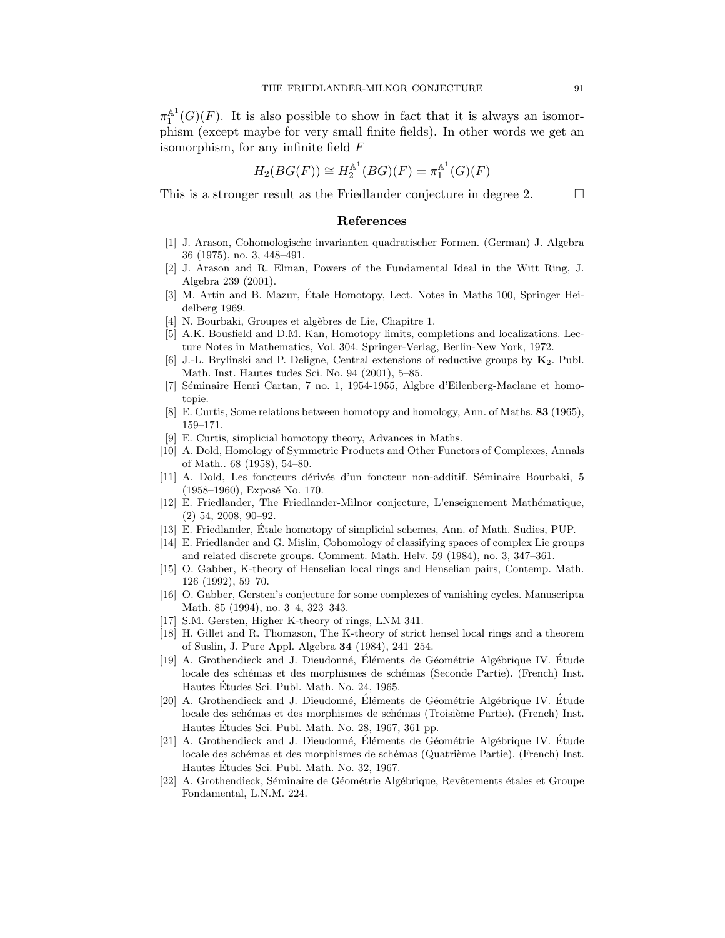$\pi_1^{\mathbb{A}^1}(G)(F)$ . It is also possible to show in fact that it is always an isomorphism (except maybe for very small finite fields). In other words we get an isomorphism, for any infinite field F

$$
H_2(BG(F)) \cong H_2^{\mathbb{A}^1}(BG)(F) = \pi_1^{\mathbb{A}^1}(G)(F)
$$

This is a stronger result as the Friedlander conjecture in degree 2.  $\Box$ 

## **References**

- [1] J. Arason, Cohomologische invarianten quadratischer Formen. (German) J. Algebra 36 (1975), no. 3, 448–491.
- [2] J. Arason and R. Elman, Powers of the Fundamental Ideal in the Witt Ring, J. Algebra 239 (2001).
- [3] M. Artin and B. Mazur, Étale Homotopy, Lect. Notes in Maths 100, Springer Heidelberg 1969.
- [4] N. Bourbaki, Groupes et algèbres de Lie, Chapitre 1.
- [5] A.K. Bousfield and D.M. Kan, Homotopy limits, completions and localizations. Lecture Notes in Mathematics, Vol. 304. Springer-Verlag, Berlin-New York, 1972.
- [6] J.-L. Brylinski and P. Deligne, Central extensions of reductive groups by **K**2. Publ. Math. Inst. Hautes tudes Sci. No. 94 (2001), 5–85.
- [7] Séminaire Henri Cartan, 7 no. 1, 1954-1955, Algbre d'Eilenberg-Maclane et homotopie.
- [8] E. Curtis, Some relations between homotopy and homology, Ann. of Maths. **83** (1965), 159–171.
- [9] E. Curtis, simplicial homotopy theory, Advances in Maths.
- [10] A. Dold, Homology of Symmetric Products and Other Functors of Complexes, Annals of Math.. 68 (1958), 54–80.
- [11] A. Dold, Les foncteurs dérivés d'un foncteur non-additif. Séminaire Bourbaki, 5 (1958–1960), Exposé No. 170.
- [12] E. Friedlander, The Friedlander-Milnor conjecture, L'enseignement Math´ematique, (2) 54, 2008, 90–92.
- [13] E. Friedlander, Etale homotopy of simplicial schemes, Ann. of Math. Sudies, PUP. ´
- [14] E. Friedlander and G. Mislin, Cohomology of classifying spaces of complex Lie groups and related discrete groups. Comment. Math. Helv. 59 (1984), no. 3, 347–361.
- [15] O. Gabber, K-theory of Henselian local rings and Henselian pairs, Contemp. Math. 126 (1992), 59–70.
- [16] O. Gabber, Gersten's conjecture for some complexes of vanishing cycles. Manuscripta Math. 85 (1994), no. 3–4, 323–343.
- [17] S.M. Gersten, Higher K-theory of rings, LNM 341.
- [18] H. Gillet and R. Thomason, The K-theory of strict hensel local rings and a theorem of Suslin, J. Pure Appl. Algebra **34** (1984), 241–254.
- [19] A. Grothendieck and J. Dieudonné, Éléments de Géométrie Algébrique IV. Étude locale des schémas et des morphismes de schémas (Seconde Partie). (French) Inst. Hautes Etudes Sci. Publ. Math. No. 24, 1965. ´
- [20] A. Grothendieck and J. Dieudonné, Eléments de Géométrie Algébrique IV. Etude locale des schémas et des morphismes de schémas (Troisième Partie). (French) Inst. Hautes Etudes Sci. Publ. Math. No. 28, 1967, 361 pp. ´
- [21] A. Grothendieck and J. Dieudonné, Éléments de Géométrie Algébrique IV. Étude locale des schémas et des morphismes de schémas (Quatrième Partie). (French) Inst. Hautes Etudes Sci. Publ. Math. No. 32, 1967. ´
- [22] A. Grothendieck, Séminaire de Géométrie Algébrique, Revêtements étales et Groupe Fondamental, L.N.M. 224.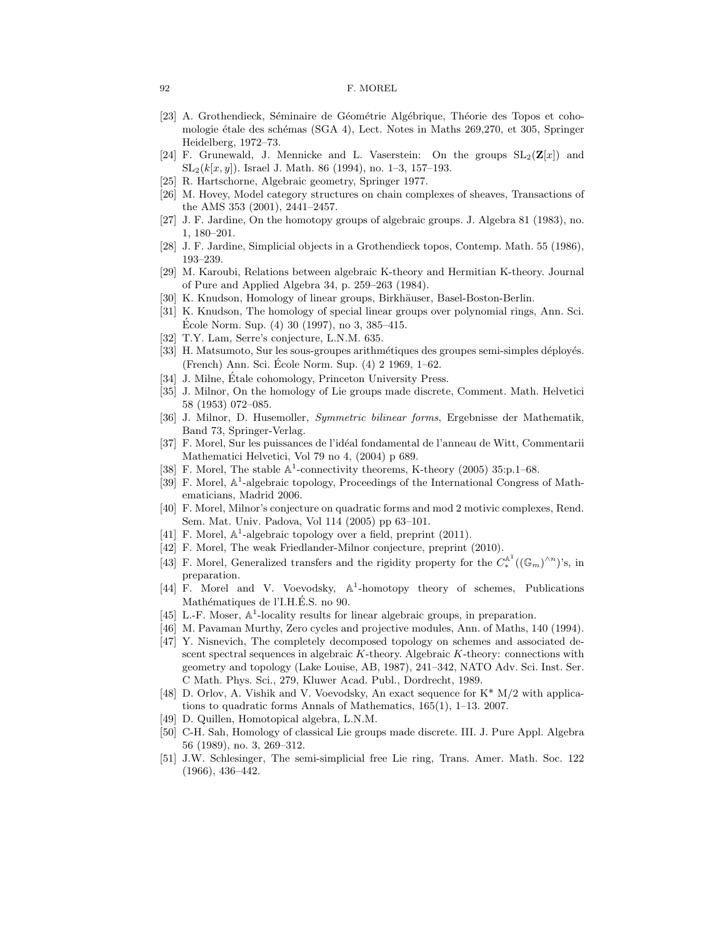- [23] A. Grothendieck, Séminaire de Géométrie Algébrique, Théorie des Topos et cohomologie étale des schémas (SGA 4), Lect. Notes in Maths 269,270, et 305, Springer Heidelberg, 1972–73.
- [24] F. Grunewald, J. Mennicke and L. Vaserstein: On the groups  $SL_2(\mathbf{Z}[\mathbf{z}])$  and SL2(*k*[*x, y*]). Israel J. Math. 86 (1994), no. 1–3, 157–193.
- [25] R. Hartschorne, Algebraic geometry, Springer 1977.
- [26] M. Hovey, Model category structures on chain complexes of sheaves, Transactions of the AMS 353 (2001), 2441–2457.
- [27] J. F. Jardine, On the homotopy groups of algebraic groups. J. Algebra 81 (1983), no. 1, 180–201.
- [28] J. F. Jardine, Simplicial objects in a Grothendieck topos, Contemp. Math. 55 (1986), 193–239.
- [29] M. Karoubi, Relations between algebraic K-theory and Hermitian K-theory. Journal of Pure and Applied Algebra 34, p. 259–263 (1984).
- [30] K. Knudson, Homology of linear groups, Birkhäuser, Basel-Boston-Berlin.
- [31] K. Knudson, The homology of special linear groups over polynomial rings, Ann. Sci. École Norm. Sup.  $(4)$  30  $(1997)$ , no 3, 385–415.
- [32] T.Y. Lam, Serre's conjecture, L.N.M. 635.
- [33] H. Matsumoto, Sur les sous-groupes arithmétiques des groupes semi-simples déployés. (French) Ann. Sci. Ecole Norm. Sup. (4) 2 1969, 1–62. ´
- [34] J. Milne, Étale cohomology, Princeton University Press.
- [35] J. Milnor, On the homology of Lie groups made discrete, Comment. Math. Helvetici 58 (1953) 072–085.
- [36] J. Milnor, D. Husemoller, *Symmetric bilinear forms*, Ergebnisse der Mathematik, Band 73, Springer-Verlag.
- [37] F. Morel, Sur les puissances de l'id´eal fondamental de l'anneau de Witt, Commentarii Mathematici Helvetici, Vol 79 no 4, (2004) p 689.
- [38] F. Morel, The stable  $\mathbb{A}^1$ -connectivity theorems, K-theory (2005) 35:p.1–68.
- [39] F. Morel, A<sup>1</sup>-algebraic topology, Proceedings of the International Congress of Mathematicians, Madrid 2006.
- [40] F. Morel, Milnor's conjecture on quadratic forms and mod 2 motivic complexes, Rend. Sem. Mat. Univ. Padova, Vol 114 (2005) pp 63–101.
- [41] F. Morel,  $\mathbb{A}^1$ -algebraic topology over a field, preprint (2011).
- [42] F. Morel, The weak Friedlander-Milnor conjecture, preprint (2010).
- [43] F. Morel, Generalized transfers and the rigidity property for the  $C_*^{\mathbb{A}^1}((\mathbb{G}_m)^{\wedge n})$ 's, in preparation.
- [44] F. Morel and V. Voevodsky,  $\mathbb{A}^1$ -homotopy theory of schemes, Publications Mathématiques de l'I.H.É.S. no 90.
- [45] L.-F. Moser,  $\mathbb{A}^1$ -locality results for linear algebraic groups, in preparation.
- [46] M. Pavaman Murthy, Zero cycles and projective modules, Ann. of Maths, 140 (1994).
- [47] Y. Nisnevich, The completely decomposed topology on schemes and associated descent spectral sequences in algebraic *K*-theory. Algebraic *K*-theory: connections with geometry and topology (Lake Louise, AB, 1987), 241–342, NATO Adv. Sci. Inst. Ser. C Math. Phys. Sci., 279, Kluwer Acad. Publ., Dordrecht, 1989.
- [48] D. Orlov, A. Vishik and V. Voevodsky, An exact sequence for K\* M/2 with applications to quadratic forms Annals of Mathematics, 165(1), 1–13. 2007.
- [49] D. Quillen, Homotopical algebra, L.N.M.
- [50] C-H. Sah, Homology of classical Lie groups made discrete. III. J. Pure Appl. Algebra 56 (1989), no. 3, 269–312.
- [51] J.W. Schlesinger, The semi-simplicial free Lie ring, Trans. Amer. Math. Soc. 122 (1966), 436–442.